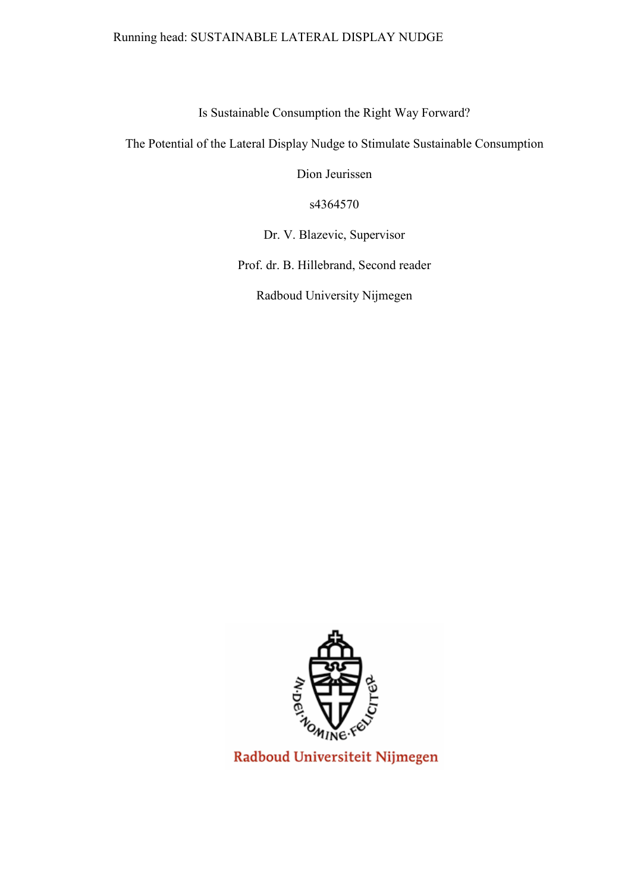# Running head: SUSTAINABLE LATERAL DISPLAY NUDGE

Is Sustainable Consumption the Right Way Forward?

The Potential of the Lateral Display Nudge to Stimulate Sustainable Consumption

Dion Jeurissen

s4364570

Dr. V. Blazevic, Supervisor

Prof. dr. B. Hillebrand, Second reader

Radboud University Nijmegen



Radboud Universiteit Nijmegen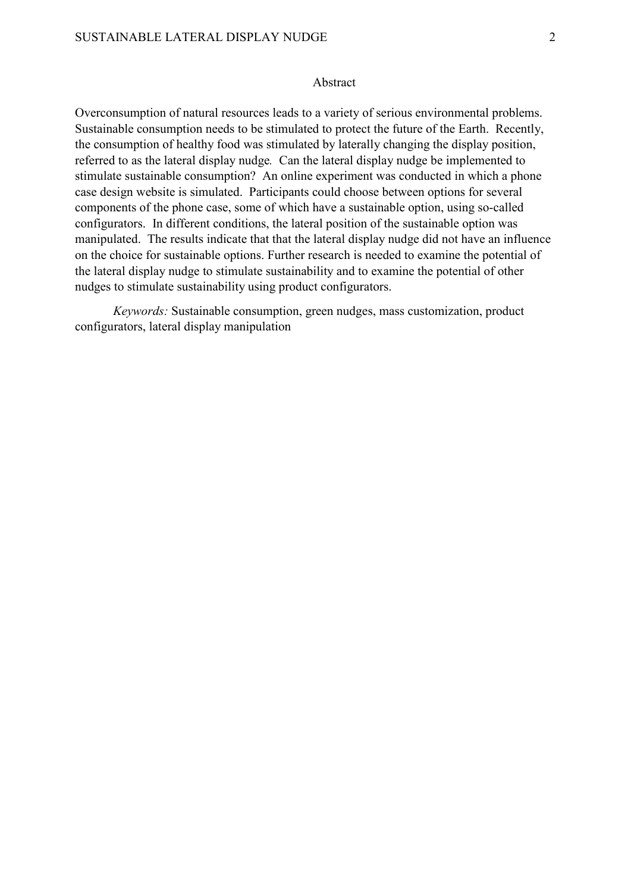#### Abstract

Overconsumption of natural resources leads to a variety of serious environmental problems. Sustainable consumption needs to be stimulated to protect the future of the Earth. Recently, the consumption of healthy food was stimulated by laterally changing the display position, referred to as the lateral display nudge*.* Can the lateral display nudge be implemented to stimulate sustainable consumption? An online experiment was conducted in which a phone case design website is simulated. Participants could choose between options for several components of the phone case, some of which have a sustainable option, using so-called configurators. In different conditions, the lateral position of the sustainable option was manipulated. The results indicate that that the lateral display nudge did not have an influence on the choice for sustainable options. Further research is needed to examine the potential of the lateral display nudge to stimulate sustainability and to examine the potential of other nudges to stimulate sustainability using product configurators.

*Keywords:* Sustainable consumption, green nudges, mass customization, product configurators, lateral display manipulation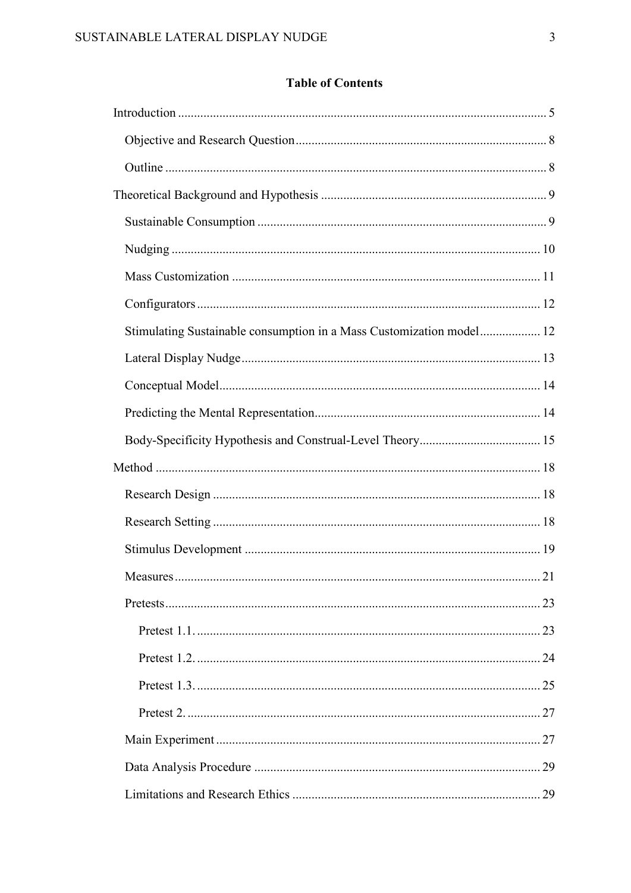# **Table of Contents**

| Stimulating Sustainable consumption in a Mass Customization model 12 |  |
|----------------------------------------------------------------------|--|
|                                                                      |  |
|                                                                      |  |
|                                                                      |  |
|                                                                      |  |
|                                                                      |  |
|                                                                      |  |
|                                                                      |  |
|                                                                      |  |
|                                                                      |  |
|                                                                      |  |
|                                                                      |  |
|                                                                      |  |
|                                                                      |  |
|                                                                      |  |
|                                                                      |  |
|                                                                      |  |
|                                                                      |  |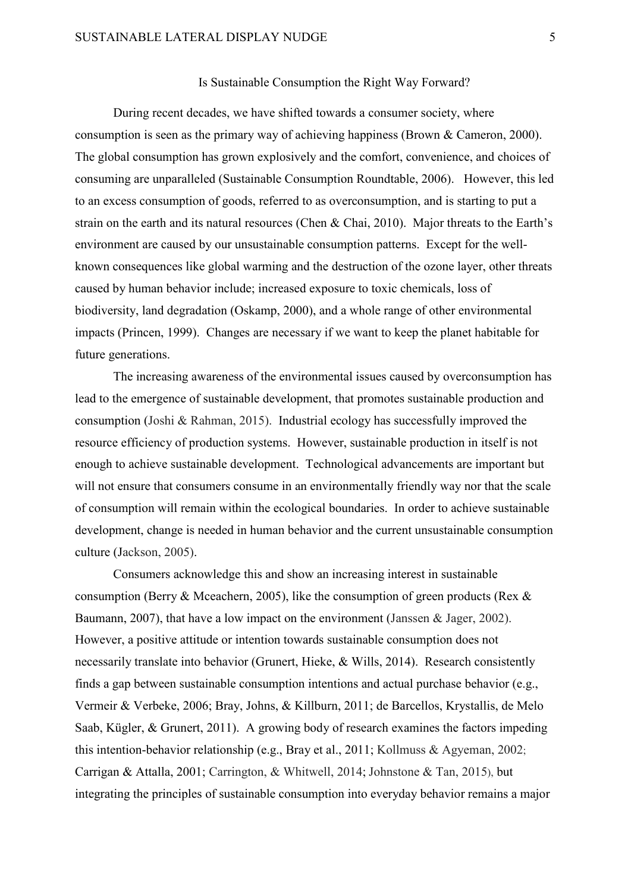# Is Sustainable Consumption the Right Way Forward?

During recent decades, we have shifted towards a consumer society, where consumption is seen as the primary way of achieving happiness (Brown & Cameron, 2000). The global consumption has grown explosively and the comfort, convenience, and choices of consuming are unparalleled (Sustainable Consumption Roundtable, 2006). However, this led to an excess consumption of goods, referred to as overconsumption, and is starting to put a strain on the earth and its natural resources (Chen & Chai, 2010). Major threats to the Earth's environment are caused by our unsustainable consumption patterns. Except for the wellknown consequences like global warming and the destruction of the ozone layer, other threats caused by human behavior include; increased exposure to toxic chemicals, loss of biodiversity, land degradation (Oskamp, 2000), and a whole range of other environmental impacts (Princen, 1999). Changes are necessary if we want to keep the planet habitable for future generations.

The increasing awareness of the environmental issues caused by overconsumption has lead to the emergence of sustainable development, that promotes sustainable production and consumption (Joshi & Rahman, 2015). Industrial ecology has successfully improved the resource efficiency of production systems. However, sustainable production in itself is not enough to achieve sustainable development. Technological advancements are important but will not ensure that consumers consume in an environmentally friendly way nor that the scale of consumption will remain within the ecological boundaries. In order to achieve sustainable development, change is needed in human behavior and the current unsustainable consumption culture (Jackson, 2005).

Consumers acknowledge this and show an increasing interest in sustainable consumption (Berry & Mceachern, 2005), like the consumption of green products (Rex & Baumann, 2007), that have a low impact on the environment (Janssen & Jager, 2002). However, a positive attitude or intention towards sustainable consumption does not necessarily translate into behavior (Grunert, Hieke, & Wills, 2014). Research consistently finds a gap between sustainable consumption intentions and actual purchase behavior (e.g., Vermeir & Verbeke, 2006; Bray, Johns, & Killburn, 2011; de Barcellos, Krystallis, de Melo Saab, Kügler, & Grunert, 2011). A growing body of research examines the factors impeding this intention-behavior relationship (e.g., Bray et al., 2011; Kollmuss & Agyeman, 2002; Carrigan & Attalla, 2001; Carrington, & Whitwell, 2014; Johnstone & Tan, 2015), but integrating the principles of sustainable consumption into everyday behavior remains a major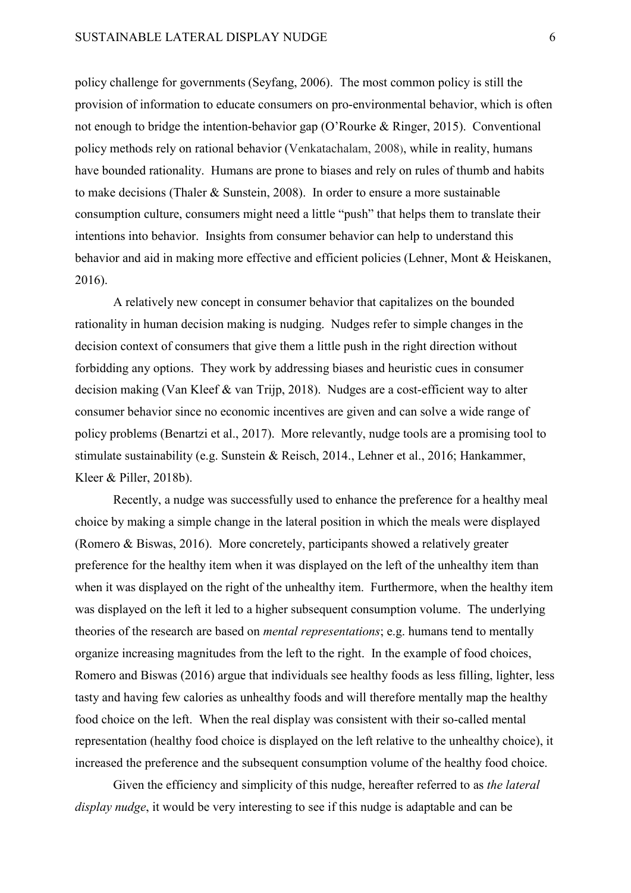policy challenge for governments (Seyfang, 2006). The most common policy is still the provision of information to educate consumers on pro-environmental behavior, which is often not enough to bridge the intention-behavior gap (O'Rourke & Ringer, 2015). Conventional policy methods rely on rational behavior (Venkatachalam, 2008), while in reality, humans have bounded rationality. Humans are prone to biases and rely on rules of thumb and habits to make decisions (Thaler & Sunstein, 2008). In order to ensure a more sustainable consumption culture, consumers might need a little "push" that helps them to translate their intentions into behavior. Insights from consumer behavior can help to understand this behavior and aid in making more effective and efficient policies (Lehner, Mont & Heiskanen, 2016).

A relatively new concept in consumer behavior that capitalizes on the bounded rationality in human decision making is nudging. Nudges refer to simple changes in the decision context of consumers that give them a little push in the right direction without forbidding any options. They work by addressing biases and heuristic cues in consumer decision making (Van Kleef & van Trijp, 2018). Nudges are a cost-efficient way to alter consumer behavior since no economic incentives are given and can solve a wide range of policy problems (Benartzi et al., 2017). More relevantly, nudge tools are a promising tool to stimulate sustainability (e.g. Sunstein & Reisch, 2014., Lehner et al., 2016; Hankammer, Kleer & Piller, 2018b).

Recently, a nudge was successfully used to enhance the preference for a healthy meal choice by making a simple change in the lateral position in which the meals were displayed (Romero & Biswas, 2016). More concretely, participants showed a relatively greater preference for the healthy item when it was displayed on the left of the unhealthy item than when it was displayed on the right of the unhealthy item. Furthermore, when the healthy item was displayed on the left it led to a higher subsequent consumption volume. The underlying theories of the research are based on *mental representations*; e.g. humans tend to mentally organize increasing magnitudes from the left to the right. In the example of food choices, Romero and Biswas (2016) argue that individuals see healthy foods as less filling, lighter, less tasty and having few calories as unhealthy foods and will therefore mentally map the healthy food choice on the left. When the real display was consistent with their so-called mental representation (healthy food choice is displayed on the left relative to the unhealthy choice), it increased the preference and the subsequent consumption volume of the healthy food choice.

Given the efficiency and simplicity of this nudge, hereafter referred to as *the lateral display nudge*, it would be very interesting to see if this nudge is adaptable and can be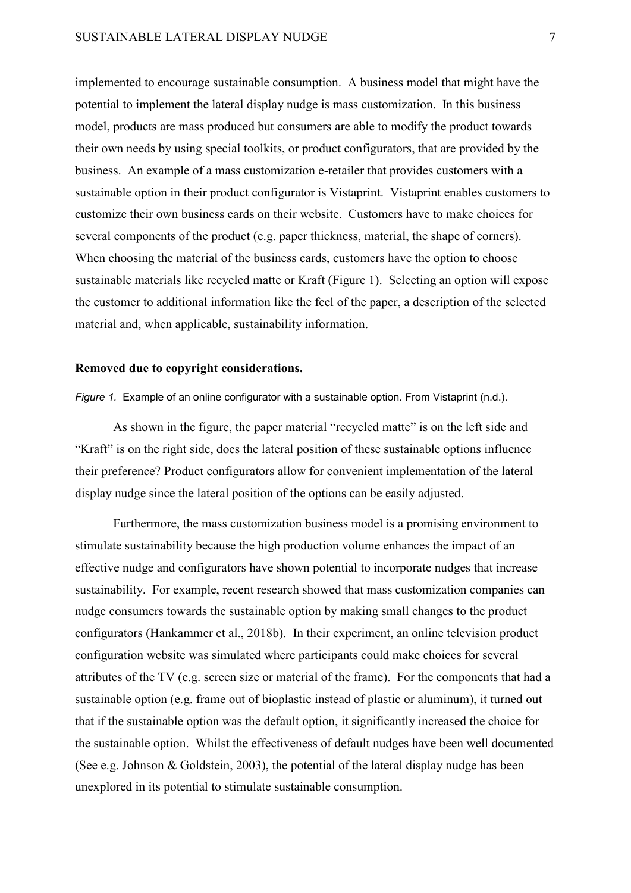implemented to encourage sustainable consumption. A business model that might have the potential to implement the lateral display nudge is mass customization. In this business model, products are mass produced but consumers are able to modify the product towards their own needs by using special toolkits, or product configurators, that are provided by the business. An example of a mass customization e-retailer that provides customers with a sustainable option in their product configurator is Vistaprint. Vistaprint enables customers to customize their own business cards on their website. Customers have to make choices for several components of the product (e.g. paper thickness, material, the shape of corners). When choosing the material of the business cards, customers have the option to choose sustainable materials like recycled matte or Kraft (Figure 1). Selecting an option will expose the customer to additional information like the feel of the paper, a description of the selected material and, when applicable, sustainability information.

## **Removed due to copyright considerations.**

*Figure 1.* Example of an online configurator with a sustainable option. From Vistaprint (n.d.).

As shown in the figure, the paper material "recycled matte" is on the left side and "Kraft" is on the right side, does the lateral position of these sustainable options influence their preference? Product configurators allow for convenient implementation of the lateral display nudge since the lateral position of the options can be easily adjusted.

Furthermore, the mass customization business model is a promising environment to stimulate sustainability because the high production volume enhances the impact of an effective nudge and configurators have shown potential to incorporate nudges that increase sustainability. For example, recent research showed that mass customization companies can nudge consumers towards the sustainable option by making small changes to the product configurators (Hankammer et al., 2018b). In their experiment, an online television product configuration website was simulated where participants could make choices for several attributes of the TV (e.g. screen size or material of the frame). For the components that had a sustainable option (e.g. frame out of bioplastic instead of plastic or aluminum), it turned out that if the sustainable option was the default option, it significantly increased the choice for the sustainable option. Whilst the effectiveness of default nudges have been well documented (See e.g. Johnson & Goldstein, 2003), the potential of the lateral display nudge has been unexplored in its potential to stimulate sustainable consumption.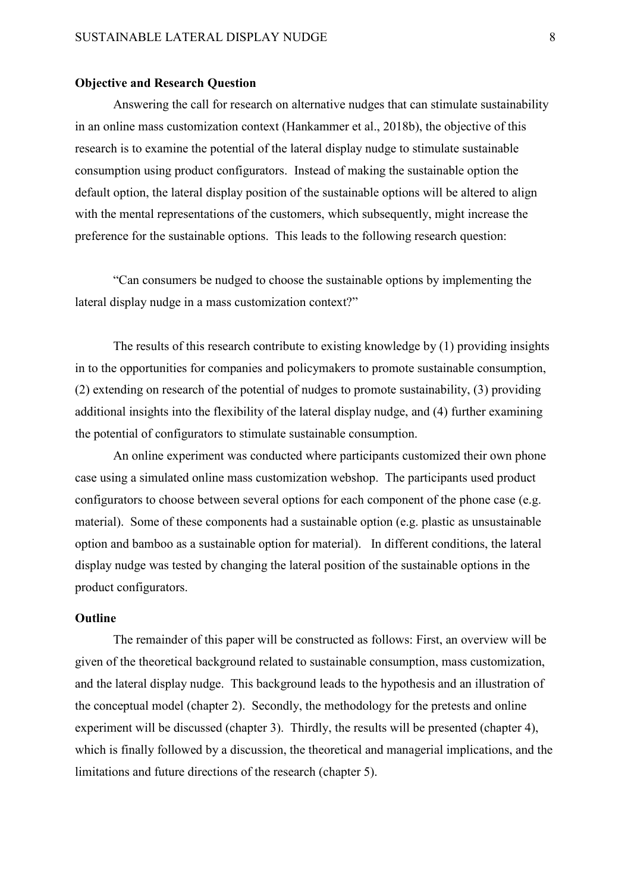#### **Objective and Research Question**

Answering the call for research on alternative nudges that can stimulate sustainability in an online mass customization context (Hankammer et al., 2018b), the objective of this research is to examine the potential of the lateral display nudge to stimulate sustainable consumption using product configurators. Instead of making the sustainable option the default option, the lateral display position of the sustainable options will be altered to align with the mental representations of the customers, which subsequently, might increase the preference for the sustainable options. This leads to the following research question:

"Can consumers be nudged to choose the sustainable options by implementing the lateral display nudge in a mass customization context?"

The results of this research contribute to existing knowledge by (1) providing insights in to the opportunities for companies and policymakers to promote sustainable consumption, (2) extending on research of the potential of nudges to promote sustainability, (3) providing additional insights into the flexibility of the lateral display nudge, and (4) further examining the potential of configurators to stimulate sustainable consumption.

An online experiment was conducted where participants customized their own phone case using a simulated online mass customization webshop. The participants used product configurators to choose between several options for each component of the phone case (e.g. material). Some of these components had a sustainable option (e.g. plastic as unsustainable option and bamboo as a sustainable option for material). In different conditions, the lateral display nudge was tested by changing the lateral position of the sustainable options in the product configurators.

# **Outline**

The remainder of this paper will be constructed as follows: First, an overview will be given of the theoretical background related to sustainable consumption, mass customization, and the lateral display nudge. This background leads to the hypothesis and an illustration of the conceptual model (chapter 2). Secondly, the methodology for the pretests and online experiment will be discussed (chapter 3). Thirdly, the results will be presented (chapter 4), which is finally followed by a discussion, the theoretical and managerial implications, and the limitations and future directions of the research (chapter 5).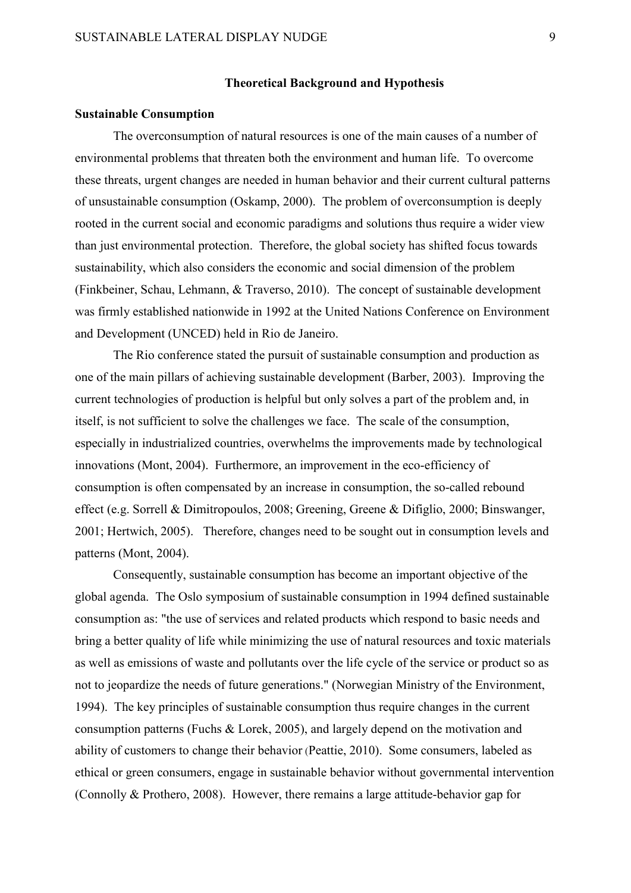### **Theoretical Background and Hypothesis**

#### **Sustainable Consumption**

The overconsumption of natural resources is one of the main causes of a number of environmental problems that threaten both the environment and human life. To overcome these threats, urgent changes are needed in human behavior and their current cultural patterns of unsustainable consumption (Oskamp, 2000). The problem of overconsumption is deeply rooted in the current social and economic paradigms and solutions thus require a wider view than just environmental protection. Therefore, the global society has shifted focus towards sustainability, which also considers the economic and social dimension of the problem (Finkbeiner, Schau, Lehmann, & Traverso, 2010). The concept of sustainable development was firmly established nationwide in 1992 at the United Nations Conference on Environment and Development (UNCED) held in Rio de Janeiro.

The Rio conference stated the pursuit of sustainable consumption and production as one of the main pillars of achieving sustainable development (Barber, 2003). Improving the current technologies of production is helpful but only solves a part of the problem and, in itself, is not sufficient to solve the challenges we face. The scale of the consumption, especially in industrialized countries, overwhelms the improvements made by technological innovations (Mont, 2004). Furthermore, an improvement in the eco-efficiency of consumption is often compensated by an increase in consumption, the so-called rebound effect (e.g. Sorrell & Dimitropoulos, 2008; Greening, Greene & Difiglio, 2000; Binswanger, 2001; Hertwich, 2005). Therefore, changes need to be sought out in consumption levels and patterns (Mont, 2004).

Consequently, sustainable consumption has become an important objective of the global agenda. The Oslo symposium of sustainable consumption in 1994 defined sustainable consumption as: "the use of services and related products which respond to basic needs and bring a better [quality of life](https://en.wikipedia.org/wiki/Quality_of_life) while minimizing the use of natural resources and toxic materials as well as emissions of waste and pollutants over the life cycle of the service or product so as not to jeopardize the needs of future generations." (Norwegian Ministry of the Environment, 1994). The key principles of sustainable consumption thus require changes in the current consumption patterns (Fuchs & Lorek, 2005), and largely depend on the motivation and ability of customers to change their behavior (Peattie, 2010). Some consumers, labeled as ethical or green consumers, engage in sustainable behavior without governmental intervention (Connolly & Prothero, 2008). However, there remains a large attitude-behavior gap for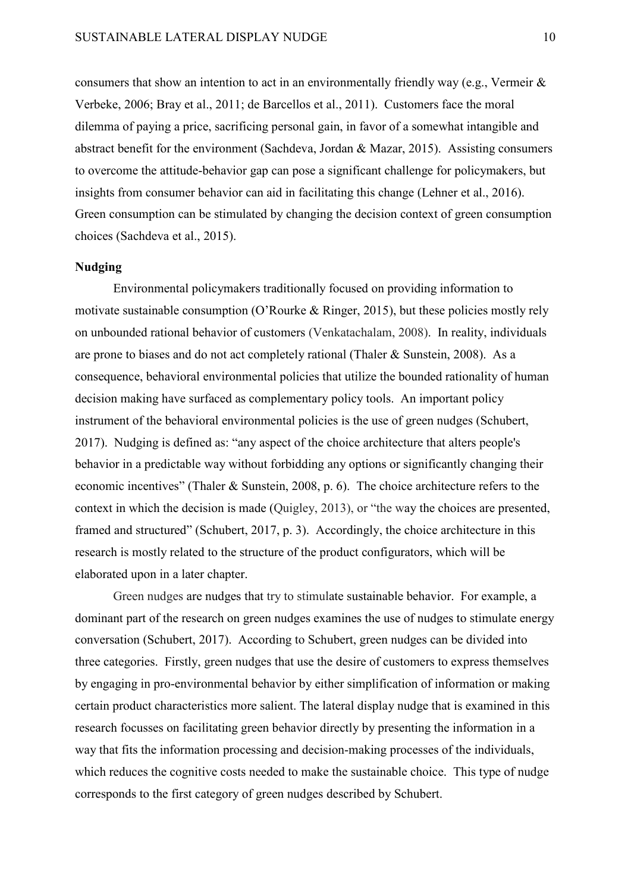consumers that show an intention to act in an environmentally friendly way (e.g., Vermeir & Verbeke, 2006; Bray et al., 2011; de Barcellos et al., 2011). Customers face the moral dilemma of paying a price, sacrificing personal gain, in favor of a somewhat intangible and abstract benefit for the environment (Sachdeva, Jordan & Mazar, 2015). Assisting consumers to overcome the attitude-behavior gap can pose a significant challenge for policymakers, but insights from consumer behavior can aid in facilitating this change (Lehner et al., 2016). Green consumption can be stimulated by changing the decision context of green consumption choices (Sachdeva et al., 2015).

#### **Nudging**

Environmental policymakers traditionally focused on providing information to motivate sustainable consumption (O'Rourke & Ringer, 2015), but these policies mostly rely on unbounded rational behavior of customers (Venkatachalam, 2008). In reality, individuals are prone to biases and do not act completely rational (Thaler & Sunstein, 2008). As a consequence, behavioral environmental policies that utilize the bounded rationality of human decision making have surfaced as complementary policy tools. An important policy instrument of the behavioral environmental policies is the use of green nudges (Schubert, 2017). Nudging is defined as: "any aspect of the [choice architecture](https://en.wikipedia.org/wiki/Choice_architecture) that alters people's behavior in a predictable way without forbidding any options or significantly changing their economic incentives" (Thaler & Sunstein, 2008, p. 6). The choice architecture refers to the context in which the decision is made (Quigley, 2013), or "the way the choices are presented, framed and structured" (Schubert, 2017, p. 3). Accordingly, the choice architecture in this research is mostly related to the structure of the product configurators, which will be elaborated upon in a later chapter.

Green nudges are nudges that try to stimulate sustainable behavior. For example, a dominant part of the research on green nudges examines the use of nudges to stimulate energy conversation (Schubert, 2017). According to Schubert, green nudges can be divided into three categories. Firstly, green nudges that use the desire of customers to express themselves by engaging in pro-environmental behavior by either simplification of information or making certain product characteristics more salient. The lateral display nudge that is examined in this research focusses on facilitating green behavior directly by presenting the information in a way that fits the information processing and decision-making processes of the individuals, which reduces the cognitive costs needed to make the sustainable choice. This type of nudge corresponds to the first category of green nudges described by Schubert.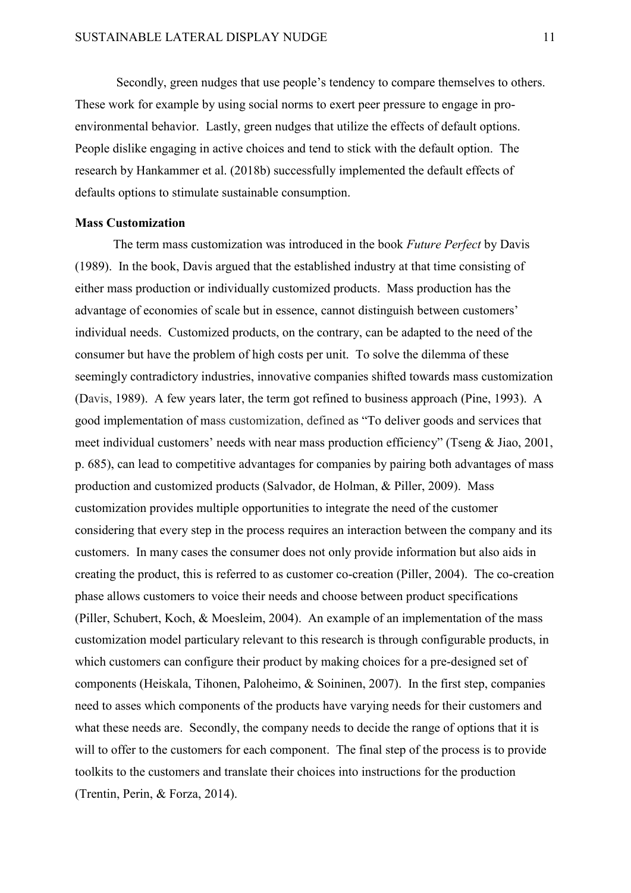Secondly, green nudges that use people's tendency to compare themselves to others. These work for example by using social norms to exert peer pressure to engage in proenvironmental behavior. Lastly, green nudges that utilize the effects of default options. People dislike engaging in active choices and tend to stick with the default option. The research by Hankammer et al. (2018b) successfully implemented the default effects of defaults options to stimulate sustainable consumption.

## **Mass Customization**

The term mass customization was introduced in the book *Future Perfect* by Davis (1989). In the book, Davis argued that the established industry at that time consisting of either mass production or individually customized products. Mass production has the advantage of economies of scale but in essence, cannot distinguish between customers' individual needs. Customized products, on the contrary, can be adapted to the need of the consumer but have the problem of high costs per unit. To solve the dilemma of these seemingly contradictory industries, innovative companies shifted towards mass customization (Davis, 1989). A few years later, the term got refined to business approach (Pine, 1993). A good implementation of mass customization, defined as "To deliver goods and services that meet individual customers' needs with near mass production efficiency" (Tseng & Jiao, 2001, p. 685), can lead to competitive advantages for companies by pairing both advantages of mass production and customized products (Salvador, de Holman, & Piller, 2009). Mass customization provides multiple opportunities to integrate the need of the customer considering that every step in the process requires an interaction between the company and its customers. In many cases the consumer does not only provide information but also aids in creating the product, this is referred to as customer co-creation (Piller, 2004). The co-creation phase allows customers to voice their needs and choose between product specifications (Piller, Schubert, Koch, & Moesleim, 2004). An example of an implementation of the mass customization model particulary relevant to this research is through configurable products, in which customers can configure their product by making choices for a pre-designed set of components (Heiskala, Tihonen, Paloheimo, & Soininen, 2007). In the first step, companies need to asses which components of the products have varying needs for their customers and what these needs are. Secondly, the company needs to decide the range of options that it is will to offer to the customers for each component. The final step of the process is to provide toolkits to the customers and translate their choices into instructions for the production (Trentin, Perin, & Forza, 2014).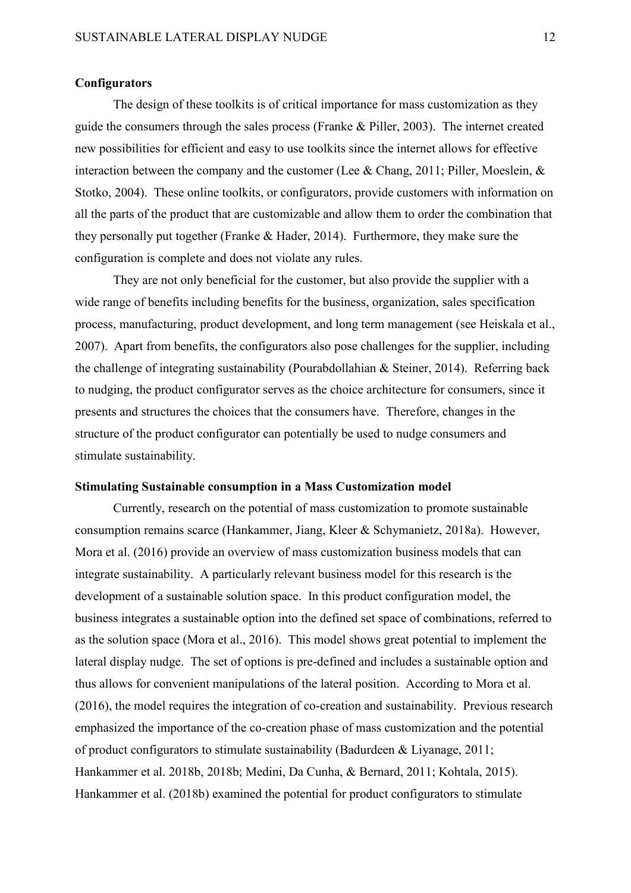### **Configurators**

The design of these toolkits is of critical importance for mass customization as they guide the consumers through the sales process (Franke & Piller, 2003). The internet created new possibilities for efficient and easy to use toolkits since the internet allows for effective interaction between the company and the customer (Lee & Chang, 2011; Piller, Moeslein, & Stotko, 2004). These online toolkits, or configurators, provide customers with information on all the parts of the product that are customizable and allow them to order the combination that they personally put together (Franke & Hader, 2014). Furthermore, they make sure the configuration is complete and does not violate any rules.

They are not only beneficial for the customer, but also provide the supplier with a wide range of benefits including benefits for the business, organization, sales specification process, manufacturing, product development, and long term management (see Heiskala et al., 2007). Apart from benefits, the configurators also pose challenges for the supplier, including the challenge of integrating sustainability (Pourabdollahian & Steiner, 2014). Referring back to nudging, the product configurator serves as the choice architecture for consumers, since it presents and structures the choices that the consumers have. Therefore, changes in the structure of the product configurator can potentially be used to nudge consumers and stimulate sustainability.

# **Stimulating Sustainable consumption in a Mass Customization model**

Currently, research on the potential of mass customization to promote sustainable consumption remains scarce (Hankammer, Jiang, Kleer & Schymanietz, 2018a). However, Mora et al. (2016) provide an overview of mass customization business models that can integrate sustainability. A particularly relevant business model for this research is the development of a sustainable solution space. In this product configuration model, the business integrates a sustainable option into the defined set space of combinations, referred to as the solution space (Mora et al., 2016). This model shows great potential to implement the lateral display nudge. The set of options is pre-defined and includes a sustainable option and thus allows for convenient manipulations of the lateral position. According to Mora et al. (2016), the model requires the integration of co-creation and sustainability. Previous research emphasized the importance of the co-creation phase of mass customization and the potential of product configurators to stimulate sustainability (Badurdeen & Liyanage, 2011; Hankammer et al. 2018b, 2018b; Medini, Da Cunha, & Bernard, 2011; Kohtala, 2015). Hankammer et al. (2018b) examined the potential for product configurators to stimulate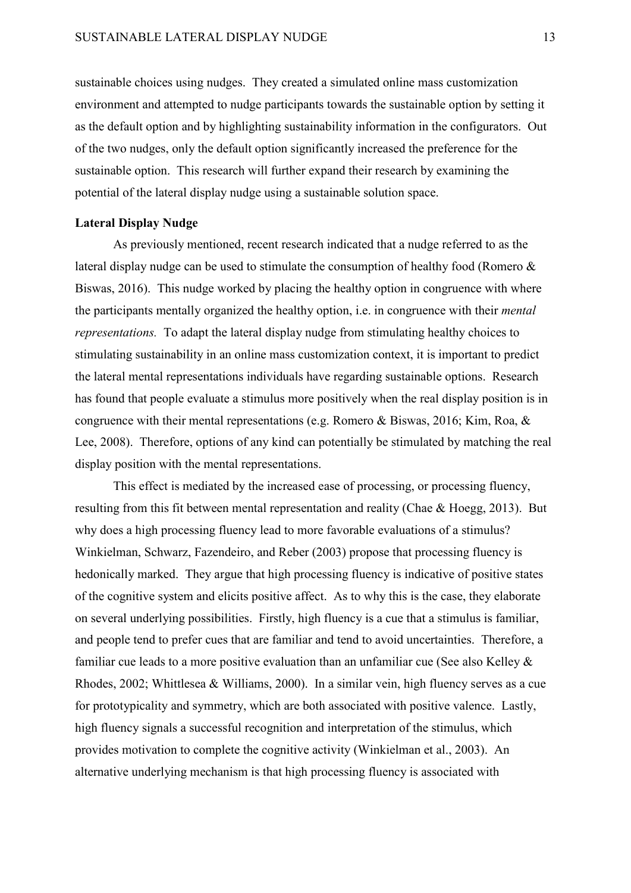sustainable choices using nudges. They created a simulated online mass customization environment and attempted to nudge participants towards the sustainable option by setting it as the default option and by highlighting sustainability information in the configurators. Out of the two nudges, only the default option significantly increased the preference for the sustainable option. This research will further expand their research by examining the potential of the lateral display nudge using a sustainable solution space.

# **Lateral Display Nudge**

As previously mentioned, recent research indicated that a nudge referred to as the lateral display nudge can be used to stimulate the consumption of healthy food (Romero & Biswas, 2016). This nudge worked by placing the healthy option in congruence with where the participants mentally organized the healthy option, i.e. in congruence with their *mental representations.* To adapt the lateral display nudge from stimulating healthy choices to stimulating sustainability in an online mass customization context, it is important to predict the lateral mental representations individuals have regarding sustainable options. Research has found that people evaluate a stimulus more positively when the real display position is in congruence with their mental representations (e.g. Romero & Biswas, 2016; Kim, Roa, & Lee, 2008). Therefore, options of any kind can potentially be stimulated by matching the real display position with the mental representations.

This effect is mediated by the increased ease of processing, or processing fluency, resulting from this fit between mental representation and reality (Chae & Hoegg, 2013). But why does a high processing fluency lead to more favorable evaluations of a stimulus? Winkielman, Schwarz, Fazendeiro, and Reber (2003) propose that processing fluency is hedonically marked. They argue that high processing fluency is indicative of positive states of the cognitive system and elicits positive affect. As to why this is the case, they elaborate on several underlying possibilities. Firstly, high fluency is a cue that a stimulus is familiar, and people tend to prefer cues that are familiar and tend to avoid uncertainties. Therefore, a familiar cue leads to a more positive evaluation than an unfamiliar cue (See also Kelley  $\&$ Rhodes, 2002; Whittlesea & Williams, 2000). In a similar vein, high fluency serves as a cue for prototypicality and symmetry, which are both associated with positive valence. Lastly, high fluency signals a successful recognition and interpretation of the stimulus, which provides motivation to complete the cognitive activity (Winkielman et al., 2003). An alternative underlying mechanism is that high processing fluency is associated with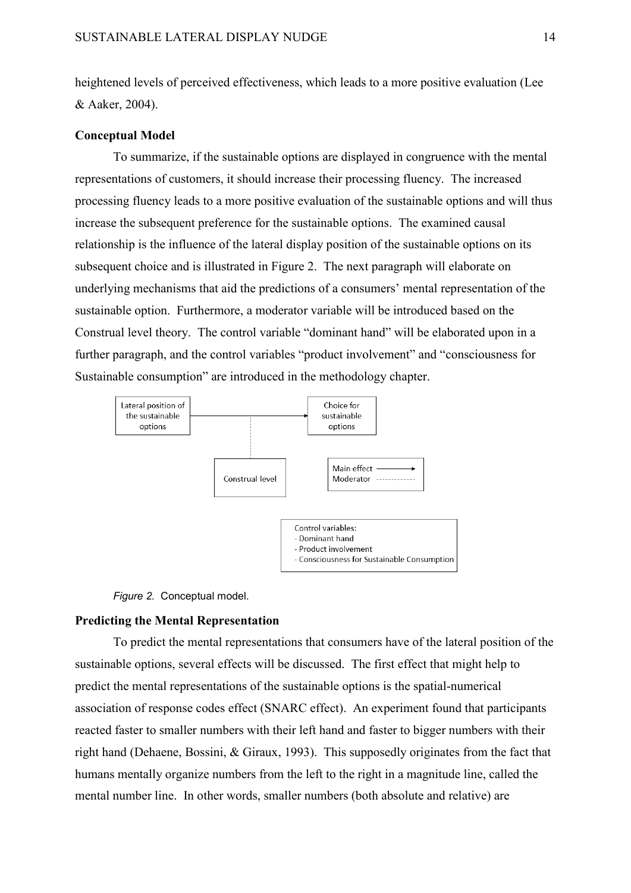heightened levels of perceived effectiveness, which leads to a more positive evaluation (Lee & Aaker, 2004).

# **Conceptual Model**

To summarize, if the sustainable options are displayed in congruence with the mental representations of customers, it should increase their processing fluency. The increased processing fluency leads to a more positive evaluation of the sustainable options and will thus increase the subsequent preference for the sustainable options. The examined causal relationship is the influence of the lateral display position of the sustainable options on its subsequent choice and is illustrated in Figure 2. The next paragraph will elaborate on underlying mechanisms that aid the predictions of a consumers' mental representation of the sustainable option. Furthermore, a moderator variable will be introduced based on the Construal level theory. The control variable "dominant hand" will be elaborated upon in a further paragraph, and the control variables "product involvement" and "consciousness for Sustainable consumption" are introduced in the methodology chapter.





# **Predicting the Mental Representation**

To predict the mental representations that consumers have of the lateral position of the sustainable options, several effects will be discussed. The first effect that might help to predict the mental representations of the sustainable options is the spatial-numerical association of response codes effect (SNARC effect). An experiment found that participants reacted faster to smaller numbers with their left hand and faster to bigger numbers with their right hand (Dehaene, Bossini, & Giraux, 1993). This supposedly originates from the fact that humans mentally organize numbers from the left to the right in a magnitude line, called the mental number line. In other words, smaller numbers (both absolute and relative) are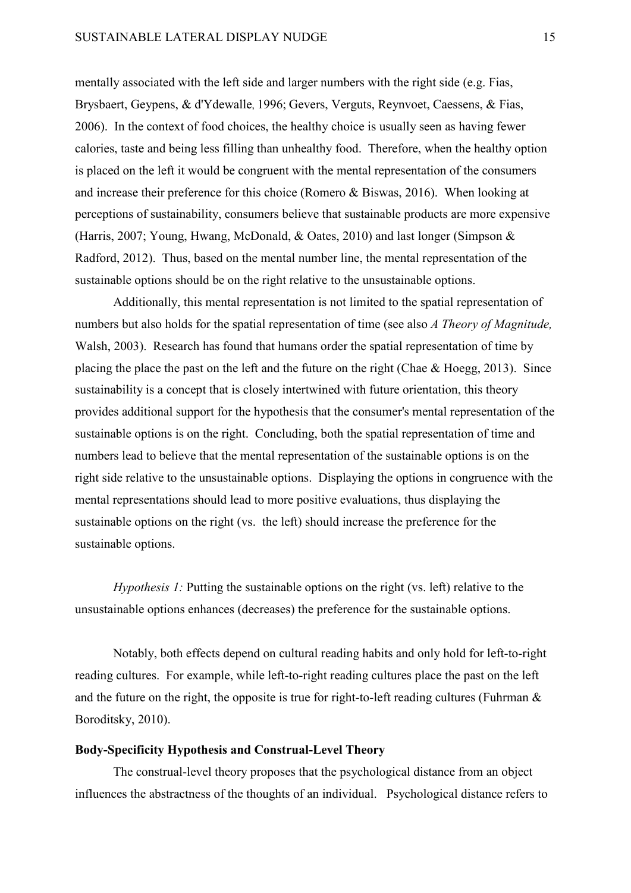mentally associated with the left side and larger numbers with the right side (e.g. Fias, Brysbaert, Geypens, & d'Ydewalle, 1996; Gevers, Verguts, Reynvoet, Caessens, & Fias, 2006). In the context of food choices, the healthy choice is usually seen as having fewer calories, taste and being less filling than unhealthy food. Therefore, when the healthy option is placed on the left it would be congruent with the mental representation of the consumers and increase their preference for this choice (Romero & Biswas, 2016). When looking at perceptions of sustainability, consumers believe that sustainable products are more expensive (Harris, 2007; Young, Hwang, McDonald, & Oates, 2010) and last longer (Simpson & Radford, 2012). Thus, based on the mental number line, the mental representation of the sustainable options should be on the right relative to the unsustainable options.

Additionally, this mental representation is not limited to the spatial representation of numbers but also holds for the spatial representation of time (see also *A Theory of Magnitude,*  Walsh, 2003). Research has found that humans order the spatial representation of time by placing the place the past on the left and the future on the right (Chae & Hoegg, 2013). Since sustainability is a concept that is closely intertwined with future orientation, this theory provides additional support for the hypothesis that the consumer's mental representation of the sustainable options is on the right. Concluding, both the spatial representation of time and numbers lead to believe that the mental representation of the sustainable options is on the right side relative to the unsustainable options. Displaying the options in congruence with the mental representations should lead to more positive evaluations, thus displaying the sustainable options on the right (vs. the left) should increase the preference for the sustainable options.

*Hypothesis 1:* Putting the sustainable options on the right (vs. left) relative to the unsustainable options enhances (decreases) the preference for the sustainable options.

Notably, both effects depend on cultural reading habits and only hold for left-to-right reading cultures. For example, while left-to-right reading cultures place the past on the left and the future on the right, the opposite is true for right-to-left reading cultures (Fuhrman  $\&$ Boroditsky, 2010).

# **Body-Specificity Hypothesis and Construal-Level Theory**

The construal-level theory proposes that the psychological distance from an object influences the abstractness of the thoughts of an individual. Psychological distance refers to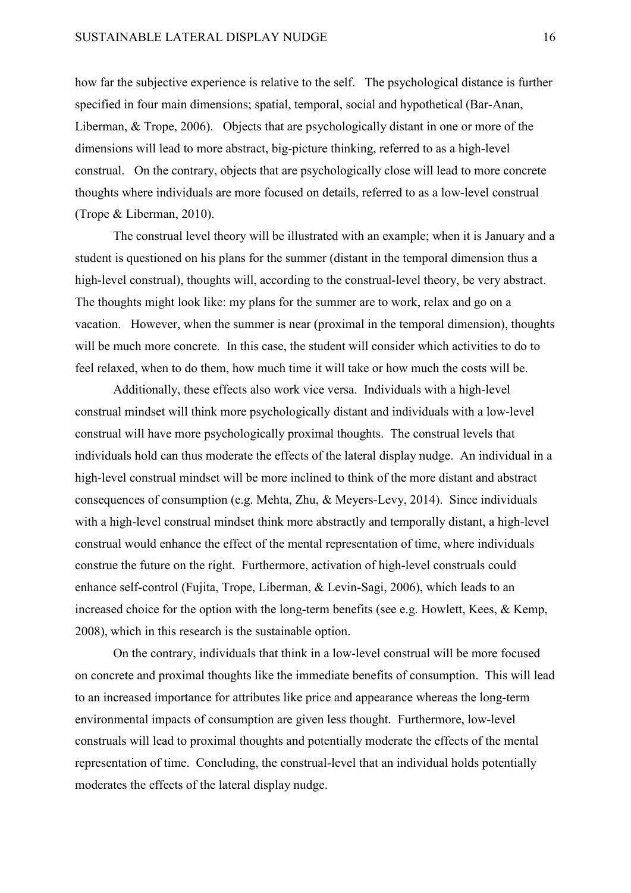how far the subjective experience is relative to the self. The psychological distance is further specified in four main dimensions; spatial, temporal, social and hypothetical (Bar-Anan, Liberman, & Trope, 2006). Objects that are psychologically distant in one or more of the dimensions will lead to more abstract, big-picture thinking, referred to as a high-level construal. On the contrary, objects that are psychologically close will lead to more concrete thoughts where individuals are more focused on details, referred to as a low-level construal (Trope & Liberman, 2010).

The construal level theory will be illustrated with an example; when it is January and a student is questioned on his plans for the summer (distant in the temporal dimension thus a high-level construal), thoughts will, according to the construal-level theory, be very abstract. The thoughts might look like: my plans for the summer are to work, relax and go on a vacation. However, when the summer is near (proximal in the temporal dimension), thoughts will be much more concrete. In this case, the student will consider which activities to do to feel relaxed, when to do them, how much time it will take or how much the costs will be.

Additionally, these effects also work vice versa. Individuals with a high-level construal mindset will think more psychologically distant and individuals with a low-level construal will have more psychologically proximal thoughts. The construal levels that individuals hold can thus moderate the effects of the lateral display nudge. An individual in a high-level construal mindset will be more inclined to think of the more distant and abstract consequences of consumption (e.g. Mehta, Zhu, & Meyers-Levy, 2014). Since individuals with a high-level construal mindset think more abstractly and temporally distant, a high-level construal would enhance the effect of the mental representation of time, where individuals construe the future on the right. Furthermore, activation of high-level construals could enhance self-control (Fujita, Trope, Liberman, & Levin-Sagi, 2006), which leads to an increased choice for the option with the long-term benefits (see e.g. Howlett, Kees, & Kemp, 2008), which in this research is the sustainable option.

On the contrary, individuals that think in a low-level construal will be more focused on concrete and proximal thoughts like the immediate benefits of consumption. This will lead to an increased importance for attributes like price and appearance whereas the long-term environmental impacts of consumption are given less thought. Furthermore, low-level construals will lead to proximal thoughts and potentially moderate the effects of the mental representation of time. Concluding, the construal-level that an individual holds potentially moderates the effects of the lateral display nudge.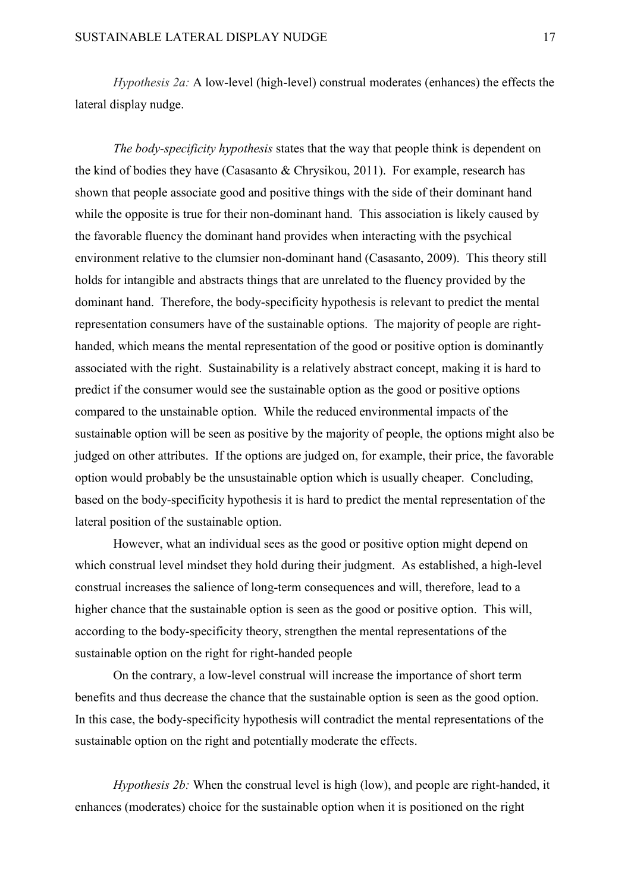*Hypothesis 2a:* A low-level (high-level) construal moderates (enhances) the effects the lateral display nudge.

*The body-specificity hypothesis* states that the way that people think is dependent on the kind of bodies they have (Casasanto & Chrysikou, 2011). For example, research has shown that people associate good and positive things with the side of their dominant hand while the opposite is true for their non-dominant hand. This association is likely caused by the favorable fluency the dominant hand provides when interacting with the psychical environment relative to the clumsier non-dominant hand (Casasanto, 2009). This theory still holds for intangible and abstracts things that are unrelated to the fluency provided by the dominant hand. Therefore, the body-specificity hypothesis is relevant to predict the mental representation consumers have of the sustainable options. The majority of people are righthanded, which means the mental representation of the good or positive option is dominantly associated with the right. Sustainability is a relatively abstract concept, making it is hard to predict if the consumer would see the sustainable option as the good or positive options compared to the unstainable option. While the reduced environmental impacts of the sustainable option will be seen as positive by the majority of people, the options might also be judged on other attributes. If the options are judged on, for example, their price, the favorable option would probably be the unsustainable option which is usually cheaper. Concluding, based on the body-specificity hypothesis it is hard to predict the mental representation of the lateral position of the sustainable option.

However, what an individual sees as the good or positive option might depend on which construal level mindset they hold during their judgment. As established, a high-level construal increases the salience of long-term consequences and will, therefore, lead to a higher chance that the sustainable option is seen as the good or positive option. This will, according to the body-specificity theory, strengthen the mental representations of the sustainable option on the right for right-handed people

On the contrary, a low-level construal will increase the importance of short term benefits and thus decrease the chance that the sustainable option is seen as the good option. In this case, the body-specificity hypothesis will contradict the mental representations of the sustainable option on the right and potentially moderate the effects.

*Hypothesis 2b:* When the construal level is high (low), and people are right-handed, it enhances (moderates) choice for the sustainable option when it is positioned on the right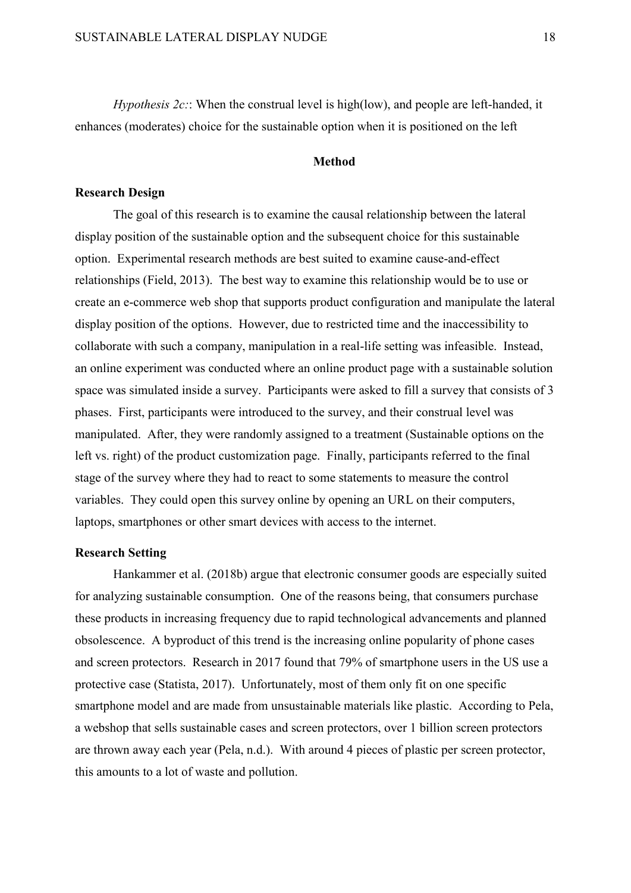*Hypothesis 2c:*: When the construal level is high(low), and people are left-handed, it enhances (moderates) choice for the sustainable option when it is positioned on the left

#### **Method**

# **Research Design**

The goal of this research is to examine the causal relationship between the lateral display position of the sustainable option and the subsequent choice for this sustainable option. Experimental research methods are best suited to examine cause-and-effect relationships (Field, 2013). The best way to examine this relationship would be to use or create an e-commerce web shop that supports product configuration and manipulate the lateral display position of the options. However, due to restricted time and the inaccessibility to collaborate with such a company, manipulation in a real-life setting was infeasible. Instead, an online experiment was conducted where an online product page with a sustainable solution space was simulated inside a survey. Participants were asked to fill a survey that consists of 3 phases. First, participants were introduced to the survey, and their construal level was manipulated. After, they were randomly assigned to a treatment (Sustainable options on the left vs. right) of the product customization page. Finally, participants referred to the final stage of the survey where they had to react to some statements to measure the control variables. They could open this survey online by opening an URL on their computers, laptops, smartphones or other smart devices with access to the internet.

# **Research Setting**

Hankammer et al. (2018b) argue that electronic consumer goods are especially suited for analyzing sustainable consumption. One of the reasons being, that consumers purchase these products in increasing frequency due to rapid technological advancements and planned obsolescence. A byproduct of this trend is the increasing online popularity of phone cases and screen protectors. Research in 2017 found that 79% of smartphone users in the US use a protective case (Statista, 2017). Unfortunately, most of them only fit on one specific smartphone model and are made from unsustainable materials like plastic. According to Pela, a webshop that sells sustainable cases and screen protectors, over 1 billion screen protectors are thrown away each year (Pela, n.d.). With around 4 pieces of plastic per screen protector, this amounts to a lot of waste and pollution.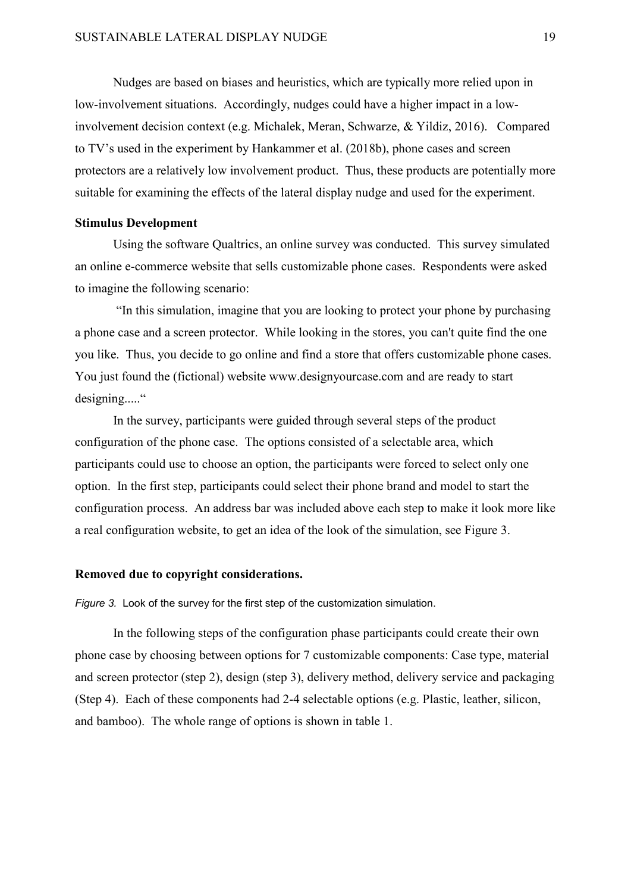Nudges are based on biases and heuristics, which are typically more relied upon in low-involvement situations. Accordingly, nudges could have a higher impact in a lowinvolvement decision context (e.g. Michalek, Meran, Schwarze, & Yildiz, 2016). Compared to TV's used in the experiment by Hankammer et al. (2018b), phone cases and screen protectors are a relatively low involvement product. Thus, these products are potentially more suitable for examining the effects of the lateral display nudge and used for the experiment.

#### **Stimulus Development**

Using the software Qualtrics, an online survey was conducted. This survey simulated an online e-commerce website that sells customizable phone cases. Respondents were asked to imagine the following scenario:

"In this simulation, imagine that you are looking to protect your phone by purchasing a phone case and a screen protector. While looking in the stores, you can't quite find the one you like. Thus, you decide to go online and find a store that offers customizable phone cases. You just found the (fictional) website www.designyourcase.com and are ready to start designing....."

In the survey, participants were guided through several steps of the product configuration of the phone case. The options consisted of a selectable area, which participants could use to choose an option, the participants were forced to select only one option. In the first step, participants could select their phone brand and model to start the configuration process. An address bar was included above each step to make it look more like a real configuration website, to get an idea of the look of the simulation, see Figure 3.

# **Removed due to copyright considerations.**

*Figure 3.* Look of the survey for the first step of the customization simulation.

In the following steps of the configuration phase participants could create their own phone case by choosing between options for 7 customizable components: Case type, material and screen protector (step 2), design (step 3), delivery method, delivery service and packaging (Step 4). Each of these components had 2-4 selectable options (e.g. Plastic, leather, silicon, and bamboo). The whole range of options is shown in table 1.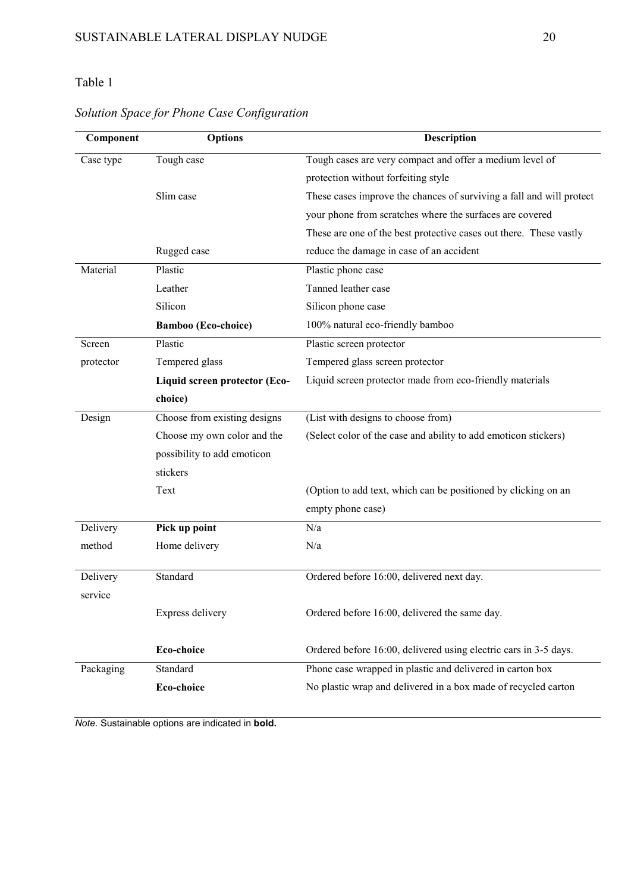# Table 1

#### **Component Options Description** Case type Tough case Slim case Rugged case Tough cases are very compact and offer a medium level of protection without forfeiting style These cases improve the chances of surviving a fall and will protect your phone from scratches where the surfaces are covered These are one of the best protective cases out there. These vastly reduce the damage in case of an accident Material Plastic Leather Silicon **Bamboo (Eco-choice)** Plastic phone case Tanned leather case Silicon phone case 100% natural eco-friendly bamboo Screen protector Plastic Tempered glass **Liquid screen protector (Ecochoice)** Plastic screen protector Tempered glass screen protector Liquid screen protector made from eco-friendly materials Design Choose from existing designs Choose my own color and the possibility to add emoticon stickers Text (List with designs to choose from) (Select color of the case and ability to add emoticon stickers) (Option to add text, which can be positioned by clicking on an empty phone case) Delivery method **Pick up point** Home delivery N/a N/a Delivery service Standard Express delivery **Eco-choice** Ordered before 16:00, delivered next day. Ordered before 16:00, delivered the same day. Ordered before 16:00, delivered using electric cars in 3-5 days. Packaging Standard **Eco-choice**  Phone case wrapped in plastic and delivered in carton box No plastic wrap and delivered in a box made of recycled carton

# *Solution Space for Phone Case Configuration*

*Note.* Sustainable options are indicated in **bold.**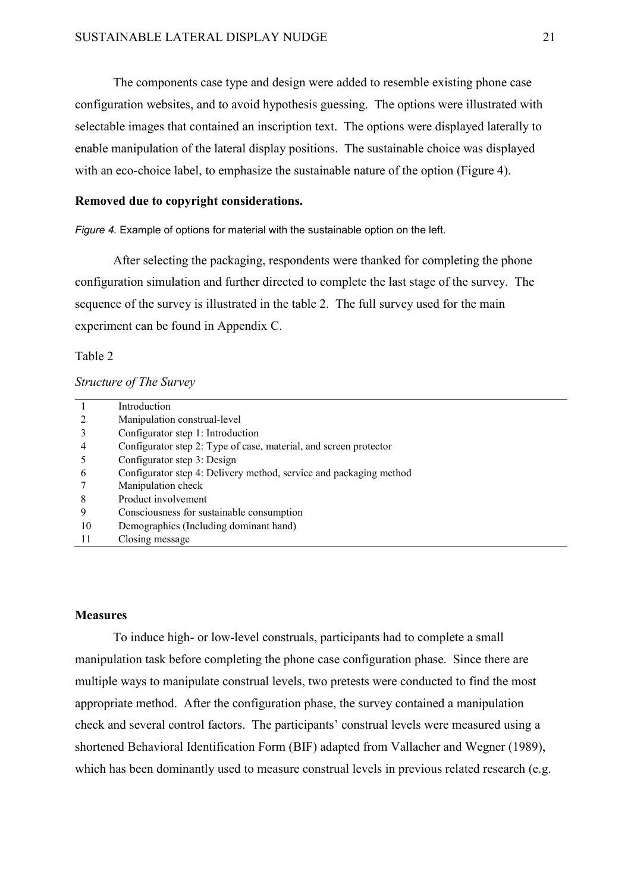The components case type and design were added to resemble existing phone case configuration websites, and to avoid hypothesis guessing. The options were illustrated with selectable images that contained an inscription text. The options were displayed laterally to enable manipulation of the lateral display positions. The sustainable choice was displayed with an eco-choice label, to emphasize the sustainable nature of the option (Figure 4).

### **Removed due to copyright considerations.**

*Figure 4.* Example of options for material with the sustainable option on the left.

After selecting the packaging, respondents were thanked for completing the phone configuration simulation and further directed to complete the last stage of the survey. The sequence of the survey is illustrated in the table 2. The full survey used for the main experiment can be found in Appendix C.

# Table 2

#### *Structure of The Survey*

|    | Introduction                                                       |
|----|--------------------------------------------------------------------|
|    | Manipulation construal-level                                       |
|    | Configurator step 1: Introduction                                  |
| 4  | Configurator step 2: Type of case, material, and screen protector  |
|    | Configurator step 3: Design                                        |
| 6  | Configurator step 4: Delivery method, service and packaging method |
|    | Manipulation check                                                 |
| 8  | Product involvement                                                |
| 9  | Consciousness for sustainable consumption                          |
| 10 | Demographics (Including dominant hand)                             |
|    | Closing message                                                    |

# **Measures**

To induce high- or low-level construals, participants had to complete a small manipulation task before completing the phone case configuration phase. Since there are multiple ways to manipulate construal levels, two pretests were conducted to find the most appropriate method. After the configuration phase, the survey contained a manipulation check and several control factors. The participants' construal levels were measured using a shortened Behavioral Identification Form (BIF) adapted from Vallacher and Wegner (1989), which has been dominantly used to measure construal levels in previous related research (e.g.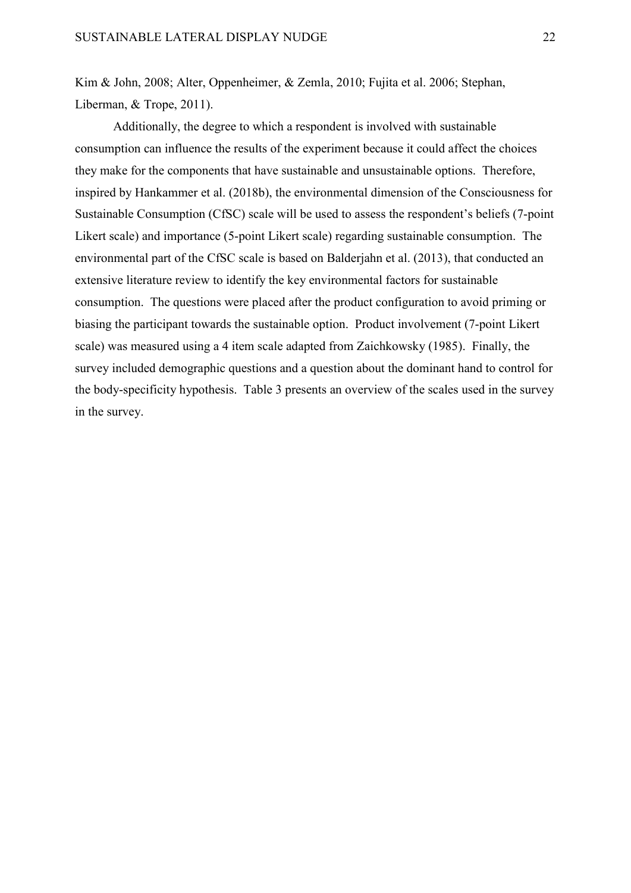Kim & John, 2008; Alter, Oppenheimer, & Zemla, 2010; Fujita et al. 2006; Stephan, Liberman, & Trope, 2011).

Additionally, the degree to which a respondent is involved with sustainable consumption can influence the results of the experiment because it could affect the choices they make for the components that have sustainable and unsustainable options. Therefore, inspired by Hankammer et al. (2018b), the environmental dimension of the Consciousness for Sustainable Consumption (CfSC) scale will be used to assess the respondent's beliefs (7-point Likert scale) and importance (5-point Likert scale) regarding sustainable consumption. The environmental part of the CfSC scale is based on Balderjahn et al. (2013), that conducted an extensive literature review to identify the key environmental factors for sustainable consumption. The questions were placed after the product configuration to avoid priming or biasing the participant towards the sustainable option. Product involvement (7-point Likert scale) was measured using a 4 item scale adapted from [Zaichkowsky](https://scholar.google.nl/citations?user=oDOQyd4AAAAJ&hl=en&oi=sra) (1985). Finally, the survey included demographic questions and a question about the dominant hand to control for the body-specificity hypothesis. Table 3 presents an overview of the scales used in the survey in the survey.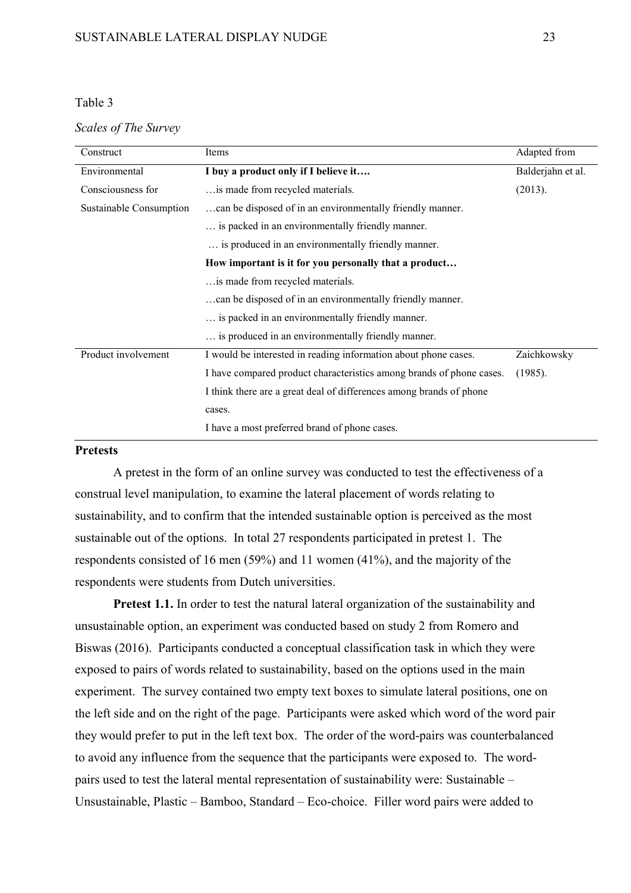# Table 3

## *Scales of The Survey*

| Construct               | Items                                                                | Adapted from      |
|-------------------------|----------------------------------------------------------------------|-------------------|
| Environmental           | I buy a product only if I believe it                                 | Balderjahn et al. |
| Consciousness for       | is made from recycled materials.                                     | (2013).           |
| Sustainable Consumption | can be disposed of in an environmentally friendly manner.            |                   |
|                         | is packed in an environmentally friendly manner.                     |                   |
|                         | is produced in an environmentally friendly manner.                   |                   |
|                         | How important is it for you personally that a product                |                   |
|                         | is made from recycled materials.                                     |                   |
|                         | can be disposed of in an environmentally friendly manner.            |                   |
|                         | is packed in an environmentally friendly manner.                     |                   |
|                         | is produced in an environmentally friendly manner.                   |                   |
| Product involvement     | I would be interested in reading information about phone cases.      | Zaichkowsky       |
|                         | I have compared product characteristics among brands of phone cases. | (1985).           |
|                         | I think there are a great deal of differences among brands of phone  |                   |
|                         | cases.                                                               |                   |
|                         | I have a most preferred brand of phone cases.                        |                   |

# **Pretests**

A pretest in the form of an online survey was conducted to test the effectiveness of a construal level manipulation, to examine the lateral placement of words relating to sustainability, and to confirm that the intended sustainable option is perceived as the most sustainable out of the options. In total 27 respondents participated in pretest 1. The respondents consisted of 16 men (59%) and 11 women (41%), and the majority of the respondents were students from Dutch universities.

**Pretest 1.1.** In order to test the natural lateral organization of the sustainability and unsustainable option, an experiment was conducted based on study 2 from Romero and Biswas (2016). Participants conducted a conceptual classification task in which they were exposed to pairs of words related to sustainability, based on the options used in the main experiment. The survey contained two empty text boxes to simulate lateral positions, one on the left side and on the right of the page. Participants were asked which word of the word pair they would prefer to put in the left text box. The order of the word-pairs was counterbalanced to avoid any influence from the sequence that the participants were exposed to. The wordpairs used to test the lateral mental representation of sustainability were: Sustainable – Unsustainable, Plastic – Bamboo, Standard – Eco-choice. Filler word pairs were added to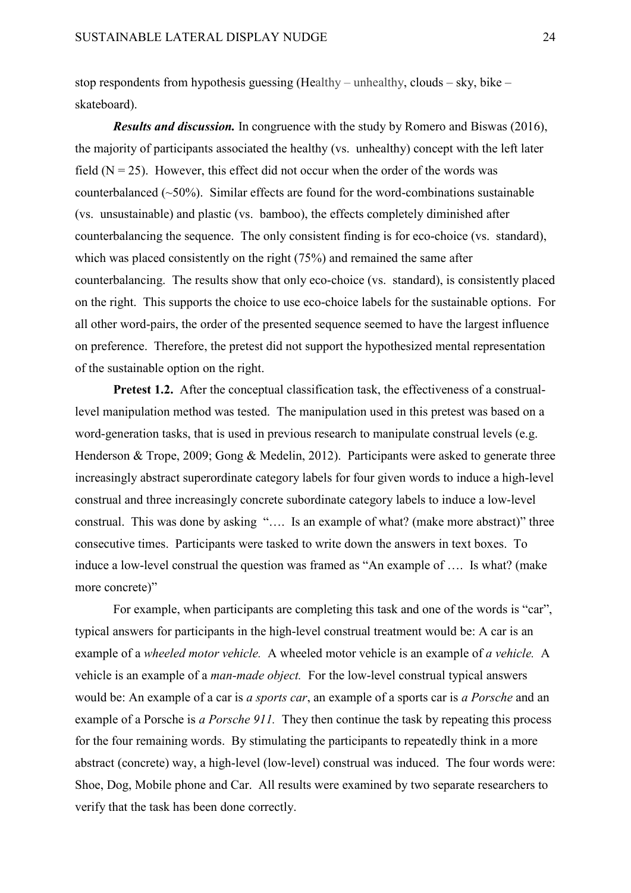stop respondents from hypothesis guessing (Healthy – unhealthy, clouds – sky, bike – skateboard).

*Results and discussion.* In congruence with the study by Romero and Biswas (2016), the majority of participants associated the healthy (vs. unhealthy) concept with the left later field  $(N = 25)$ . However, this effect did not occur when the order of the words was counterbalanced  $(\sim 50\%)$ . Similar effects are found for the word-combinations sustainable (vs. unsustainable) and plastic (vs. bamboo), the effects completely diminished after counterbalancing the sequence. The only consistent finding is for eco-choice (vs. standard), which was placed consistently on the right (75%) and remained the same after counterbalancing. The results show that only eco-choice (vs. standard), is consistently placed on the right. This supports the choice to use eco-choice labels for the sustainable options. For all other word-pairs, the order of the presented sequence seemed to have the largest influence on preference. Therefore, the pretest did not support the hypothesized mental representation of the sustainable option on the right.

**Pretest 1.2.** After the conceptual classification task, the effectiveness of a construallevel manipulation method was tested. The manipulation used in this pretest was based on a word-generation tasks, that is used in previous research to manipulate construal levels (e.g. Henderson & Trope, 2009; Gong & Medelin, 2012). Participants were asked to generate three increasingly abstract superordinate category labels for four given words to induce a high-level construal and three increasingly concrete subordinate category labels to induce a low-level construal. This was done by asking "…. Is an example of what? (make more abstract)" three consecutive times. Participants were tasked to write down the answers in text boxes. To induce a low-level construal the question was framed as "An example of …. Is what? (make more concrete)"

For example, when participants are completing this task and one of the words is "car", typical answers for participants in the high-level construal treatment would be: A car is an example of a *wheeled motor vehicle.* A wheeled motor vehicle is an example of *a vehicle.* A vehicle is an example of a *man-made object.* For the low-level construal typical answers would be: An example of a car is *a sports car*, an example of a sports car is *a Porsche* and an example of a Porsche is *a Porsche 911.* They then continue the task by repeating this process for the four remaining words. By stimulating the participants to repeatedly think in a more abstract (concrete) way, a high-level (low-level) construal was induced. The four words were: Shoe, Dog, Mobile phone and Car. All results were examined by two separate researchers to verify that the task has been done correctly.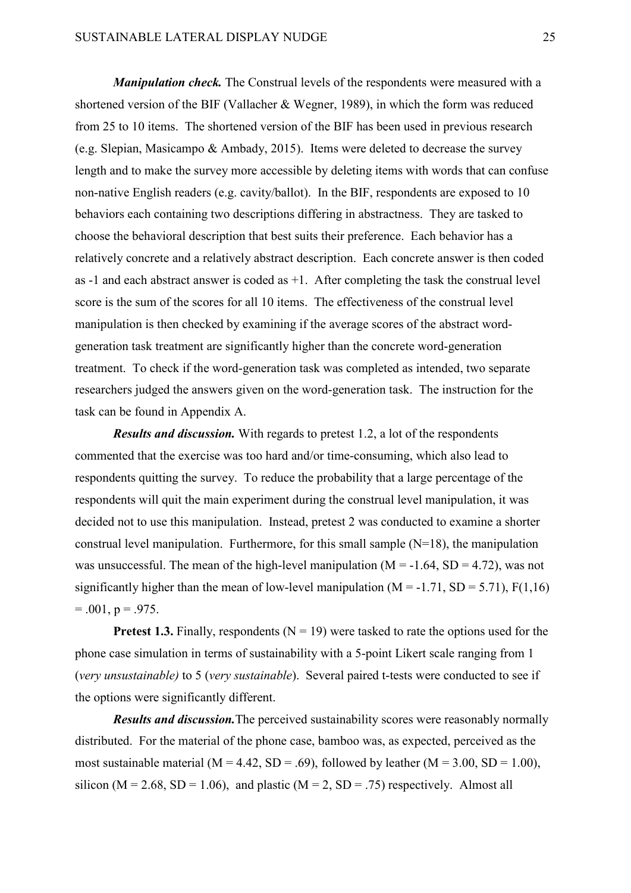*Manipulation check.* The Construal levels of the respondents were measured with a shortened version of the BIF (Vallacher & Wegner, 1989), in which the form was reduced from 25 to 10 items. The shortened version of the BIF has been used in previous research (e.g. Slepian, Masicampo & Ambady, 2015). Items were deleted to decrease the survey length and to make the survey more accessible by deleting items with words that can confuse non-native English readers (e.g. cavity/ballot). In the BIF, respondents are exposed to 10 behaviors each containing two descriptions differing in abstractness. They are tasked to choose the behavioral description that best suits their preference. Each behavior has a relatively concrete and a relatively abstract description. Each concrete answer is then coded as  $-1$  and each abstract answer is coded as  $+1$ . After completing the task the construal level score is the sum of the scores for all 10 items. The effectiveness of the construal level manipulation is then checked by examining if the average scores of the abstract wordgeneration task treatment are significantly higher than the concrete word-generation treatment. To check if the word-generation task was completed as intended, two separate researchers judged the answers given on the word-generation task. The instruction for the task can be found in Appendix A.

*Results and discussion.* With regards to pretest 1.2, a lot of the respondents commented that the exercise was too hard and/or time-consuming, which also lead to respondents quitting the survey. To reduce the probability that a large percentage of the respondents will quit the main experiment during the construal level manipulation, it was decided not to use this manipulation. Instead, pretest 2 was conducted to examine a shorter construal level manipulation. Furthermore, for this small sample  $(N=18)$ , the manipulation was unsuccessful. The mean of the high-level manipulation ( $M = -1.64$ ,  $SD = 4.72$ ), was not significantly higher than the mean of low-level manipulation ( $M = -1.71$ ,  $SD = 5.71$ ),  $F(1,16)$  $= .001$ , p = .975.

**Pretest 1.3.** Finally, respondents ( $N = 19$ ) were tasked to rate the options used for the phone case simulation in terms of sustainability with a 5-point Likert scale ranging from 1 (*very unsustainable)* to 5 (*very sustainable*). Several paired t-tests were conducted to see if the options were significantly different.

*Results and discussion.*The perceived sustainability scores were reasonably normally distributed. For the material of the phone case, bamboo was, as expected, perceived as the most sustainable material ( $M = 4.42$ , SD = .69), followed by leather ( $M = 3.00$ , SD = 1.00), silicon ( $M = 2.68$ ,  $SD = 1.06$ ), and plastic ( $M = 2$ ,  $SD = .75$ ) respectively. Almost all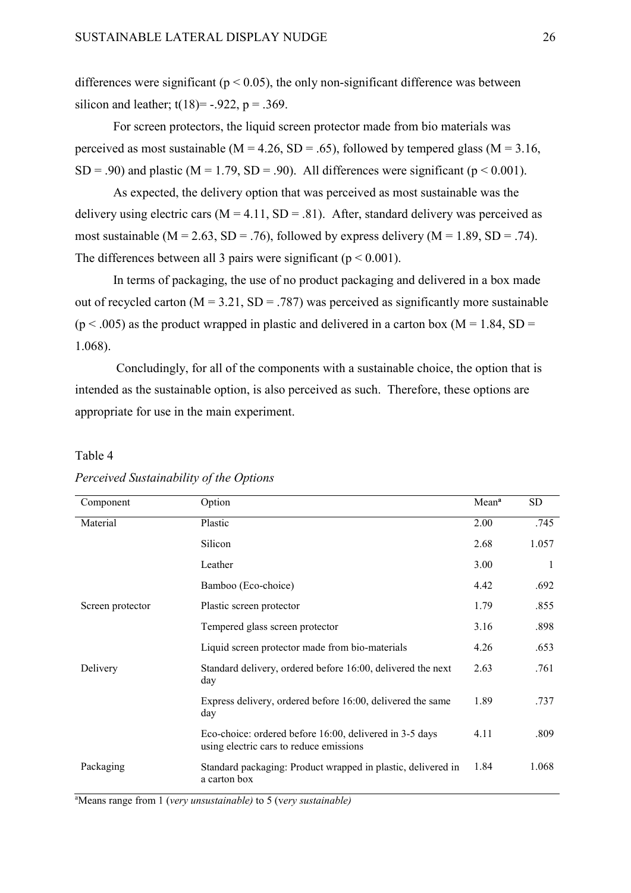differences were significant ( $p < 0.05$ ), the only non-significant difference was between silicon and leather;  $t(18) = -0.922$ ,  $p = 0.369$ .

For screen protectors, the liquid screen protector made from bio materials was perceived as most sustainable ( $M = 4.26$ ,  $SD = .65$ ), followed by tempered glass ( $M = 3.16$ , SD = .90) and plastic ( $M = 1.79$ , SD = .90). All differences were significant ( $p < 0.001$ ).

As expected, the delivery option that was perceived as most sustainable was the delivery using electric cars ( $M = 4.11$ ,  $SD = .81$ ). After, standard delivery was perceived as most sustainable ( $M = 2.63$ ,  $SD = .76$ ), followed by express delivery ( $M = 1.89$ ,  $SD = .74$ ). The differences between all 3 pairs were significant ( $p < 0.001$ ).

In terms of packaging, the use of no product packaging and delivered in a box made out of recycled carton ( $M = 3.21$ ,  $SD = .787$ ) was perceived as significantly more sustainable  $(p < .005)$  as the product wrapped in plastic and delivered in a carton box (M = 1.84, SD = 1.068).

Concludingly, for all of the components with a sustainable choice, the option that is intended as the sustainable option, is also perceived as such. Therefore, these options are appropriate for use in the main experiment.

#### Table 4

| Component        | Option                                                                                             | Mean <sup>a</sup> | SD.   |
|------------------|----------------------------------------------------------------------------------------------------|-------------------|-------|
| Material         | Plastic                                                                                            | 2.00              | .745  |
|                  | Silicon                                                                                            | 2.68              | 1.057 |
|                  | Leather                                                                                            | 3.00              | 1     |
|                  | Bamboo (Eco-choice)                                                                                | 4.42              | .692  |
| Screen protector | Plastic screen protector                                                                           | 1.79              | .855  |
|                  | Tempered glass screen protector                                                                    | 3.16              | .898  |
|                  | Liquid screen protector made from bio-materials                                                    | 4.26              | .653  |
| Delivery         | Standard delivery, ordered before 16:00, delivered the next<br>day                                 | 2.63              | .761  |
|                  | Express delivery, ordered before 16:00, delivered the same<br>day                                  | 1.89              | .737  |
|                  | Eco-choice: ordered before 16:00, delivered in 3-5 days<br>using electric cars to reduce emissions | 4.11              | .809  |
| Packaging        | Standard packaging: Product wrapped in plastic, delivered in<br>a carton box                       | 1.84              | 1.068 |

# *Perceived Sustainability of the Options*

a Means range from 1 (*very unsustainable)* to 5 (v*ery sustainable)*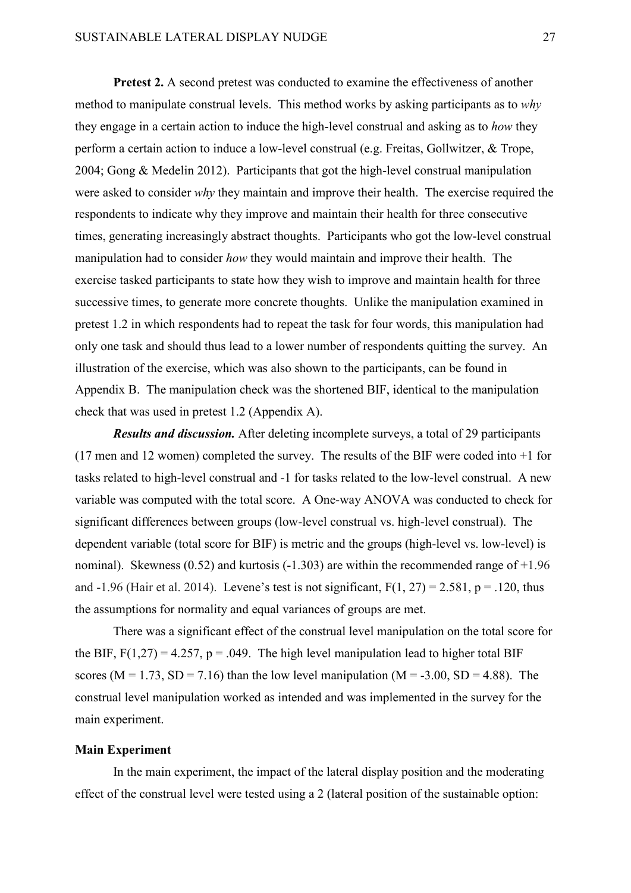**Pretest 2.** A second pretest was conducted to examine the effectiveness of another method to manipulate construal levels. This method works by asking participants as to *why* they engage in a certain action to induce the high-level construal and asking as to *how* they perform a certain action to induce a low-level construal (e.g. Freitas, Gollwitzer, & Trope, 2004; Gong & Medelin 2012). Participants that got the high-level construal manipulation were asked to consider *why* they maintain and improve their health. The exercise required the respondents to indicate why they improve and maintain their health for three consecutive times, generating increasingly abstract thoughts. Participants who got the low-level construal manipulation had to consider *how* they would maintain and improve their health. The exercise tasked participants to state how they wish to improve and maintain health for three successive times, to generate more concrete thoughts. Unlike the manipulation examined in pretest 1.2 in which respondents had to repeat the task for four words, this manipulation had only one task and should thus lead to a lower number of respondents quitting the survey. An illustration of the exercise, which was also shown to the participants, can be found in Appendix B. The manipulation check was the shortened BIF, identical to the manipulation check that was used in pretest 1.2 (Appendix A).

*Results and discussion.* After deleting incomplete surveys, a total of 29 participants (17 men and 12 women) completed the survey. The results of the BIF were coded into +1 for tasks related to high-level construal and -1 for tasks related to the low-level construal. A new variable was computed with the total score. A One-way ANOVA was conducted to check for significant differences between groups (low-level construal vs. high-level construal). The dependent variable (total score for BIF) is metric and the groups (high-level vs. low-level) is nominal). Skewness (0.52) and kurtosis  $(-1.303)$  are within the recommended range of  $+1.96$ and -1.96 (Hair et al. 2014). Levene's test is not significant,  $F(1, 27) = 2.581$ ,  $p = .120$ , thus the assumptions for normality and equal variances of groups are met.

There was a significant effect of the construal level manipulation on the total score for the BIF,  $F(1,27) = 4.257$ ,  $p = .049$ . The high level manipulation lead to higher total BIF scores ( $M = 1.73$ ,  $SD = 7.16$ ) than the low level manipulation ( $M = -3.00$ ,  $SD = 4.88$ ). The construal level manipulation worked as intended and was implemented in the survey for the main experiment.

# **Main Experiment**

In the main experiment, the impact of the lateral display position and the moderating effect of the construal level were tested using a 2 (lateral position of the sustainable option: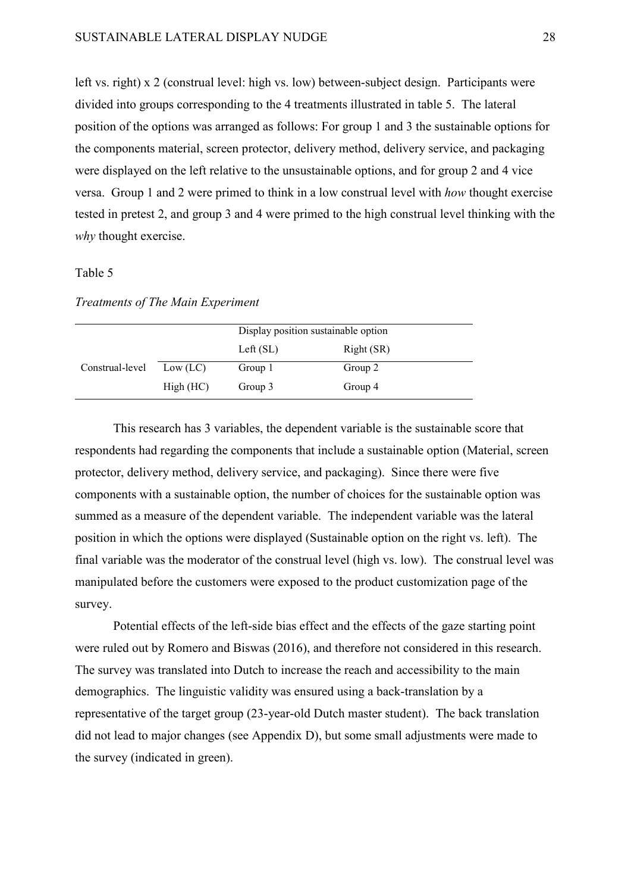left vs. right) x 2 (construal level: high vs. low) between-subject design. Participants were divided into groups corresponding to the 4 treatments illustrated in table 5. The lateral position of the options was arranged as follows: For group 1 and 3 the sustainable options for the components material, screen protector, delivery method, delivery service, and packaging were displayed on the left relative to the unsustainable options, and for group 2 and 4 vice versa. Group 1 and 2 were primed to think in a low construal level with *how* thought exercise tested in pretest 2, and group 3 and 4 were primed to the high construal level thinking with the *why* thought exercise.

# Table 5

# *Treatments of The Main Experiment*

|                 |           | Display position sustainable option |            |
|-----------------|-----------|-------------------------------------|------------|
|                 |           | Left $(SL)$                         | Right (SR) |
| Construal-level | Low (LC)  | Group 1                             | Group 2    |
|                 | High (HC) | Group 3                             | Group 4    |

This research has 3 variables, the dependent variable is the sustainable score that respondents had regarding the components that include a sustainable option (Material, screen protector, delivery method, delivery service, and packaging). Since there were five components with a sustainable option, the number of choices for the sustainable option was summed as a measure of the dependent variable. The independent variable was the lateral position in which the options were displayed (Sustainable option on the right vs. left). The final variable was the moderator of the construal level (high vs. low). The construal level was manipulated before the customers were exposed to the product customization page of the survey.

Potential effects of the left-side bias effect and the effects of the gaze starting point were ruled out by Romero and Biswas (2016), and therefore not considered in this research. The survey was translated into Dutch to increase the reach and accessibility to the main demographics. The linguistic validity was ensured using a back-translation by a representative of the target group (23-year-old Dutch master student). The back translation did not lead to major changes (see Appendix D), but some small adjustments were made to the survey (indicated in green).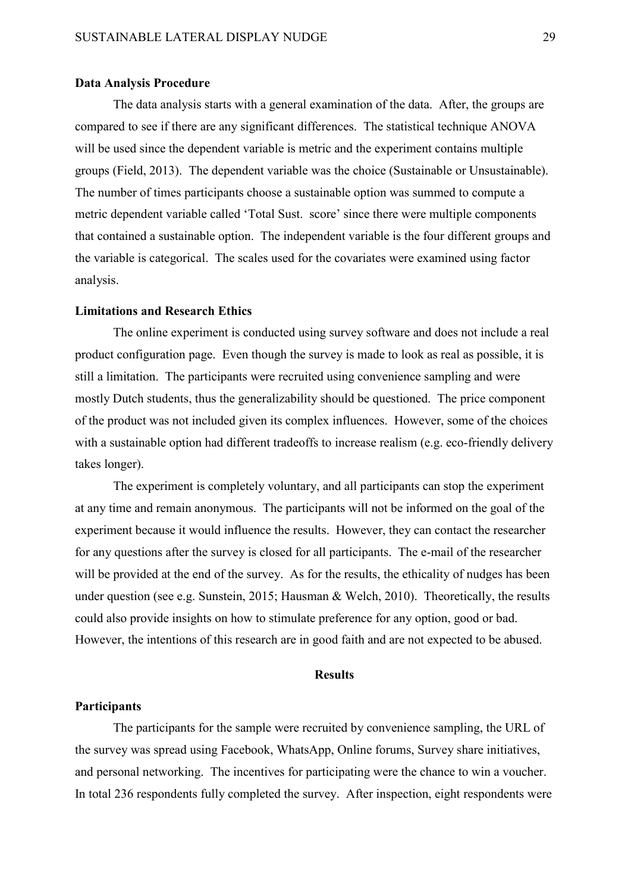### **Data Analysis Procedure**

The data analysis starts with a general examination of the data. After, the groups are compared to see if there are any significant differences. The statistical technique ANOVA will be used since the dependent variable is metric and the experiment contains multiple groups (Field, 2013). The dependent variable was the choice (Sustainable or Unsustainable). The number of times participants choose a sustainable option was summed to compute a metric dependent variable called 'Total Sust. score' since there were multiple components that contained a sustainable option. The independent variable is the four different groups and the variable is categorical. The scales used for the covariates were examined using factor analysis.

# **Limitations and Research Ethics**

The online experiment is conducted using survey software and does not include a real product configuration page. Even though the survey is made to look as real as possible, it is still a limitation. The participants were recruited using convenience sampling and were mostly Dutch students, thus the generalizability should be questioned. The price component of the product was not included given its complex influences. However, some of the choices with a sustainable option had different tradeoffs to increase realism (e.g. eco-friendly delivery takes longer).

The experiment is completely voluntary, and all participants can stop the experiment at any time and remain anonymous. The participants will not be informed on the goal of the experiment because it would influence the results. However, they can contact the researcher for any questions after the survey is closed for all participants. The e-mail of the researcher will be provided at the end of the survey. As for the results, the ethicality of nudges has been under question (see e.g. Sunstein, 2015; Hausman & Welch, 2010). Theoretically, the results could also provide insights on how to stimulate preference for any option, good or bad. However, the intentions of this research are in good faith and are not expected to be abused.

#### **Results**

#### **Participants**

The participants for the sample were recruited by convenience sampling, the URL of the survey was spread using Facebook, WhatsApp, Online forums, Survey share initiatives, and personal networking. The incentives for participating were the chance to win a voucher. In total 236 respondents fully completed the survey. After inspection, eight respondents were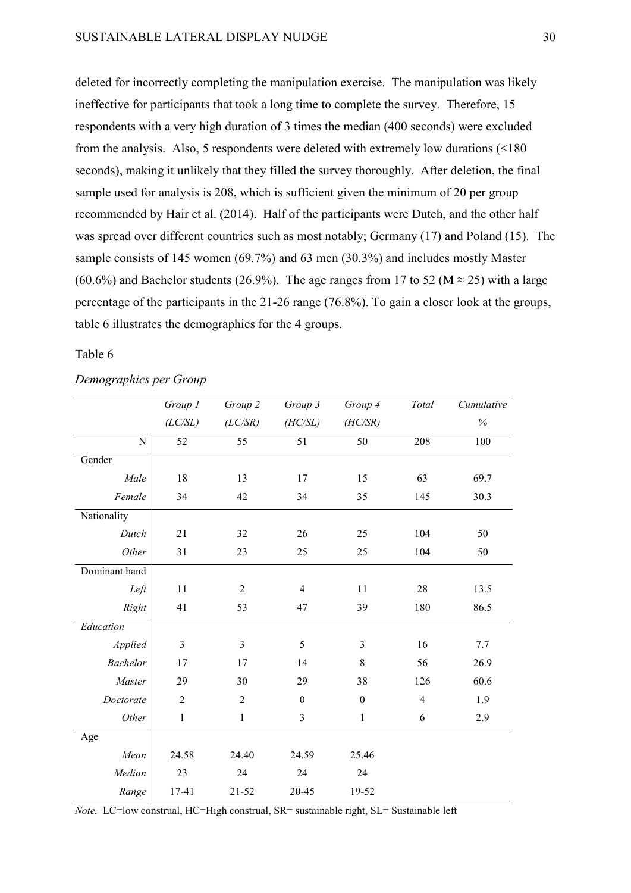deleted for incorrectly completing the manipulation exercise. The manipulation was likely ineffective for participants that took a long time to complete the survey. Therefore, 15 respondents with a very high duration of 3 times the median (400 seconds) were excluded from the analysis. Also, 5 respondents were deleted with extremely low durations (<180 seconds), making it unlikely that they filled the survey thoroughly. After deletion, the final sample used for analysis is 208, which is sufficient given the minimum of 20 per group recommended by Hair et al. (2014). Half of the participants were Dutch, and the other half was spread over different countries such as most notably; Germany (17) and Poland (15). The sample consists of 145 women (69.7%) and 63 men (30.3%) and includes mostly Master (60.6%) and Bachelor students (26.9%). The age ranges from 17 to 52 (M  $\approx$  25) with a large percentage of the participants in the 21-26 range (76.8%). To gain a closer look at the groups, table 6 illustrates the demographics for the 4 groups.

Table 6

|                 | Group 1        | Group 2        | Group 3          | Group 4          | Total          | Cumulative |
|-----------------|----------------|----------------|------------------|------------------|----------------|------------|
|                 | (LC/SL)        | (LC/SR)        | (HC/SL)          | (HC/SR)          |                | $\%$       |
| $\mathbf N$     | 52             | 55             | 51               | 50               | 208            | 100        |
| Gender          |                |                |                  |                  |                |            |
| Male            | 18             | 13             | 17               | 15               | 63             | 69.7       |
| Female          | 34             | 42             | 34               | 35               | 145            | 30.3       |
| Nationality     |                |                |                  |                  |                |            |
| Dutch           | 21             | 32             | 26               | 25               | 104            | 50         |
| Other           | 31             | 23             | 25               | 25               | 104            | 50         |
| Dominant hand   |                |                |                  |                  |                |            |
| Left            | 11             | $\overline{2}$ | $\overline{4}$   | 11               | 28             | 13.5       |
| Right           | 41             | 53             | 47               | 39               | 180            | 86.5       |
| Education       |                |                |                  |                  |                |            |
| Applied         | 3              | $\mathfrak{Z}$ | 5                | 3                | 16             | 7.7        |
| <b>Bachelor</b> | 17             | 17             | 14               | 8                | 56             | 26.9       |
| Master          | 29             | 30             | 29               | 38               | 126            | 60.6       |
| Doctorate       | $\overline{2}$ | $\overline{2}$ | $\boldsymbol{0}$ | $\boldsymbol{0}$ | $\overline{4}$ | 1.9        |
| Other           | $\mathbf{1}$   | $\mathbf{1}$   | 3                | $\mathbf{1}$     | 6              | 2.9        |
| Age             |                |                |                  |                  |                |            |
| Mean            | 24.58          | 24.40          | 24.59            | 25.46            |                |            |
| Median          | 23             | 24             | 24               | 24               |                |            |
| Range           | 17-41          | $21 - 52$      | 20-45            | 19-52            |                |            |

*Demographics per Group*

*Note.* LC=low construal, HC=High construal, SR= sustainable right, SL= Sustainable left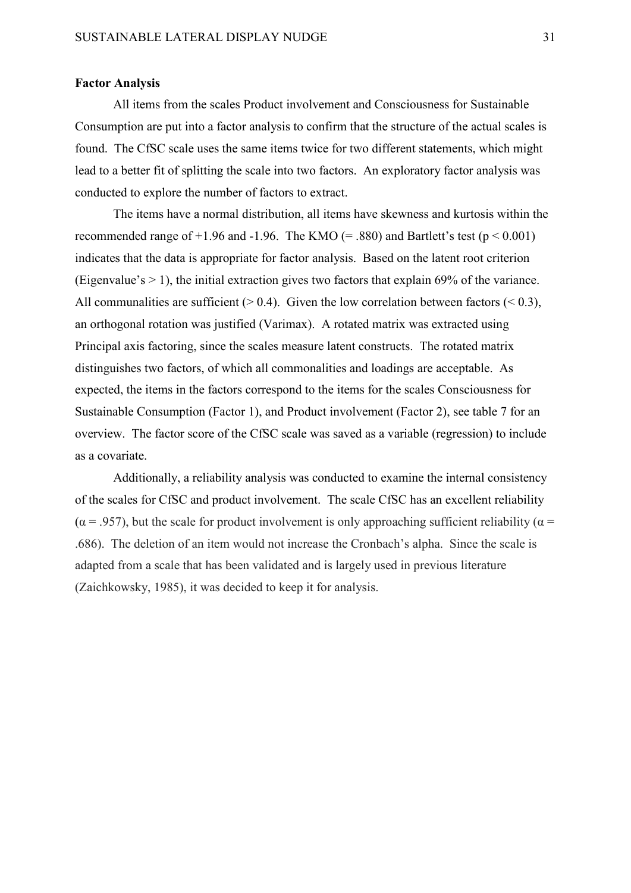# **Factor Analysis**

All items from the scales Product involvement and Consciousness for Sustainable Consumption are put into a factor analysis to confirm that the structure of the actual scales is found. The CfSC scale uses the same items twice for two different statements, which might lead to a better fit of splitting the scale into two factors. An exploratory factor analysis was conducted to explore the number of factors to extract.

The items have a normal distribution, all items have skewness and kurtosis within the recommended range of  $+1.96$  and  $-1.96$ . The KMO (= .880) and Bartlett's test ( $p < 0.001$ ) indicates that the data is appropriate for factor analysis. Based on the latent root criterion (Eigenvalue's  $> 1$ ), the initial extraction gives two factors that explain 69% of the variance. All communalities are sufficient ( $> 0.4$ ). Given the low correlation between factors ( $< 0.3$ ), an orthogonal rotation was justified (Varimax). A rotated matrix was extracted using Principal axis factoring, since the scales measure latent constructs. The rotated matrix distinguishes two factors, of which all commonalities and loadings are acceptable. As expected, the items in the factors correspond to the items for the scales Consciousness for Sustainable Consumption (Factor 1), and Product involvement (Factor 2), see table 7 for an overview. The factor score of the CfSC scale was saved as a variable (regression) to include as a covariate.

Additionally, a reliability analysis was conducted to examine the internal consistency of the scales for CfSC and product involvement. The scale CfSC has an excellent reliability  $(\alpha = .957)$ , but the scale for product involvement is only approaching sufficient reliability ( $\alpha$  = .686). The deletion of an item would not increase the Cronbach's alpha. Since the scale is adapted from a scale that has been validated and is largely used in previous literature (Zaichkowsky, 1985), it was decided to keep it for analysis.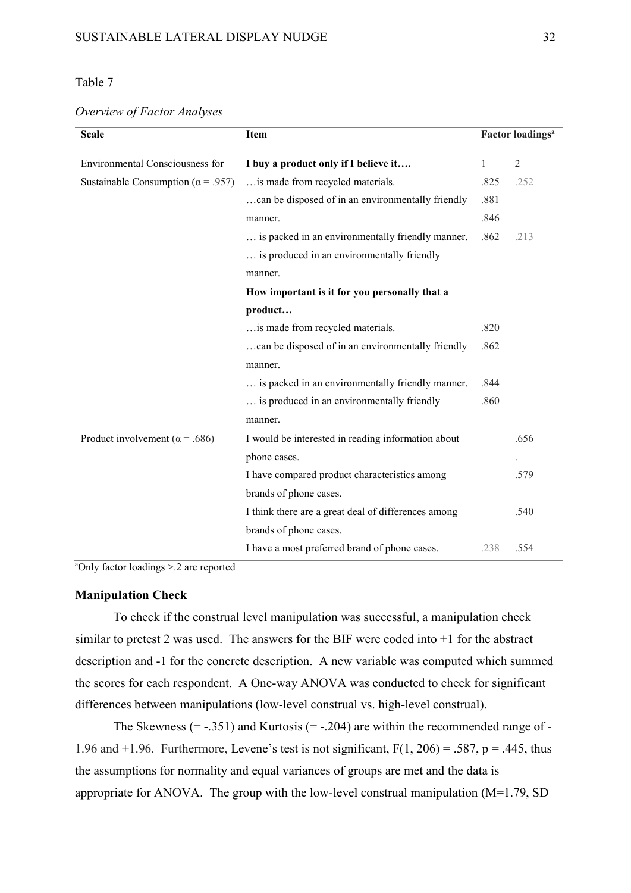# Table 7

*Overview of Factor Analyses*

| <b>Scale</b><br>Item                       |                                                     |      | Factor loadings <sup>a</sup> |  |  |
|--------------------------------------------|-----------------------------------------------------|------|------------------------------|--|--|
| Environmental Consciousness for            | I buy a product only if I believe it                | 1    | $\overline{2}$               |  |  |
| Sustainable Consumption ( $\alpha$ = .957) | is made from recycled materials.                    | .825 | .252                         |  |  |
|                                            | can be disposed of in an environmentally friendly   | .881 |                              |  |  |
|                                            |                                                     |      |                              |  |  |
|                                            | manner.                                             | .846 |                              |  |  |
|                                            | is packed in an environmentally friendly manner.    | .862 | .213                         |  |  |
|                                            | is produced in an environmentally friendly          |      |                              |  |  |
|                                            | manner.                                             |      |                              |  |  |
|                                            | How important is it for you personally that a       |      |                              |  |  |
|                                            | product                                             |      |                              |  |  |
|                                            | is made from recycled materials.                    | .820 |                              |  |  |
|                                            | can be disposed of in an environmentally friendly   | .862 |                              |  |  |
|                                            | manner.                                             |      |                              |  |  |
|                                            | is packed in an environmentally friendly manner.    | .844 |                              |  |  |
|                                            | is produced in an environmentally friendly          | .860 |                              |  |  |
|                                            | manner.                                             |      |                              |  |  |
| Product involvement ( $\alpha$ = .686)     | I would be interested in reading information about  |      | .656                         |  |  |
|                                            | phone cases.                                        |      |                              |  |  |
|                                            | I have compared product characteristics among       |      | .579                         |  |  |
|                                            | brands of phone cases.                              |      |                              |  |  |
|                                            | I think there are a great deal of differences among |      | .540                         |  |  |
|                                            | brands of phone cases.                              |      |                              |  |  |
|                                            | I have a most preferred brand of phone cases.       | .238 | .554                         |  |  |

a Only factor loadings >.2 are reported

## **Manipulation Check**

To check if the construal level manipulation was successful, a manipulation check similar to pretest 2 was used. The answers for the BIF were coded into +1 for the abstract description and -1 for the concrete description. A new variable was computed which summed the scores for each respondent. A One-way ANOVA was conducted to check for significant differences between manipulations (low-level construal vs. high-level construal).

The Skewness  $(= -.351)$  and Kurtosis  $(= -.204)$  are within the recommended range of -1.96 and  $+1.96$ . Furthermore, Levene's test is not significant,  $F(1, 206) = .587$ , p = .445, thus the assumptions for normality and equal variances of groups are met and the data is appropriate for ANOVA. The group with the low-level construal manipulation (M=1.79, SD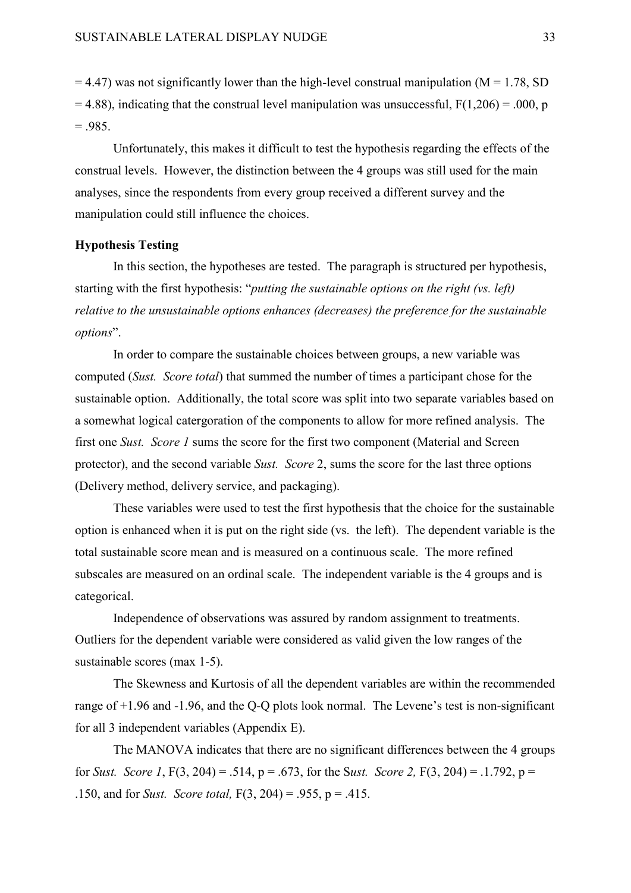$= 4.47$ ) was not significantly lower than the high-level construal manipulation (M = 1.78, SD  $= 4.88$ ), indicating that the construal level manipulation was unsuccessful,  $F(1,206) = .000$ , p  $=.985.$ 

Unfortunately, this makes it difficult to test the hypothesis regarding the effects of the construal levels. However, the distinction between the 4 groups was still used for the main analyses, since the respondents from every group received a different survey and the manipulation could still influence the choices.

# **Hypothesis Testing**

In this section, the hypotheses are tested. The paragraph is structured per hypothesis, starting with the first hypothesis: "*putting the sustainable options on the right (vs. left) relative to the unsustainable options enhances (decreases) the preference for the sustainable options*".

In order to compare the sustainable choices between groups, a new variable was computed (*Sust. Score total*) that summed the number of times a participant chose for the sustainable option. Additionally, the total score was split into two separate variables based on a somewhat logical catergoration of the components to allow for more refined analysis. The first one *Sust. Score 1* sums the score for the first two component (Material and Screen protector), and the second variable *Sust. Score* 2, sums the score for the last three options (Delivery method, delivery service, and packaging).

These variables were used to test the first hypothesis that the choice for the sustainable option is enhanced when it is put on the right side (vs. the left). The dependent variable is the total sustainable score mean and is measured on a continuous scale. The more refined subscales are measured on an ordinal scale. The independent variable is the 4 groups and is categorical.

Independence of observations was assured by random assignment to treatments. Outliers for the dependent variable were considered as valid given the low ranges of the sustainable scores (max 1-5).

The Skewness and Kurtosis of all the dependent variables are within the recommended range of +1.96 and -1.96, and the Q-Q plots look normal. The Levene's test is non-significant for all 3 independent variables (Appendix E).

The MANOVA indicates that there are no significant differences between the 4 groups for *Sust. Score 1*, F(3, 204) = .514, p = .673, for the S*ust. Score 2,* F(3, 204) = .1.792, p = .150, and for *Sust. Score total,* F(3, 204) = .955, p = .415.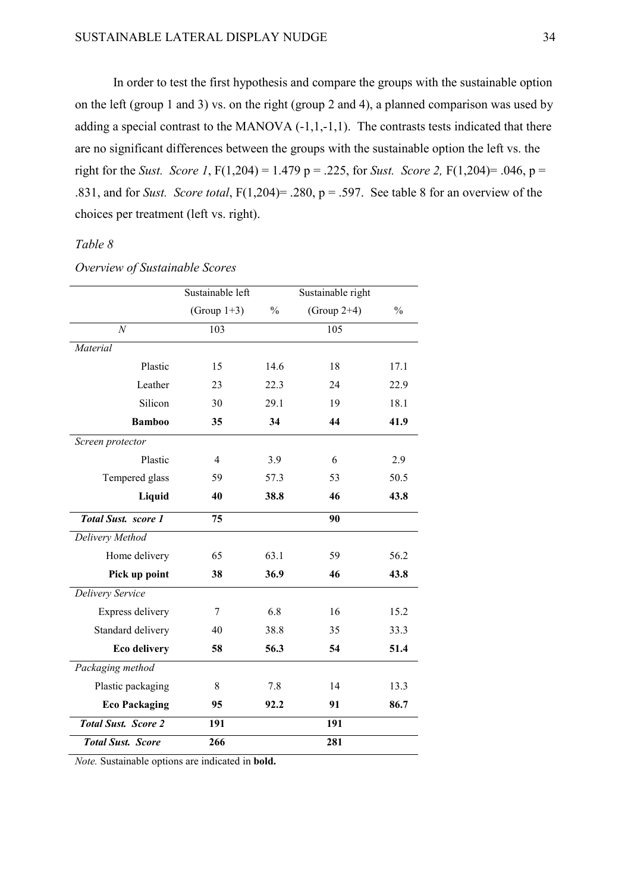In order to test the first hypothesis and compare the groups with the sustainable option on the left (group 1 and 3) vs. on the right (group 2 and 4), a planned comparison was used by adding a special contrast to the MANOVA  $(-1,1,-1,1)$ . The contrasts tests indicated that there are no significant differences between the groups with the sustainable option the left vs. the right for the *Sust. Score* 1,  $F(1,204) = 1.479$  p = .225, for *Sust. Score* 2,  $F(1,204) = .046$ , p = .831, and for *Sust. Score total*, F(1,204)= .280, p = .597. See table 8 for an overview of the choices per treatment (left vs. right).

# *Table 8*

# *Overview of Sustainable Scores*

|                            | Sustainable left                |      | Sustainable right |               |
|----------------------------|---------------------------------|------|-------------------|---------------|
|                            | (Group $1+3$ )<br>$\frac{0}{0}$ |      | (Group $2+4$ )    | $\frac{0}{0}$ |
| $\overline{N}$             | 103                             |      | 105               |               |
| Material                   |                                 |      |                   |               |
| Plastic                    | 15                              | 14.6 | 18                | 17.1          |
| Leather                    | 23                              | 22.3 | 24                | 22.9          |
| Silicon                    | 30                              | 29.1 | 19                | 18.1          |
| <b>Bamboo</b>              | 35                              | 34   | 44                | 41.9          |
| Screen protector           |                                 |      |                   |               |
| Plastic                    | $\overline{4}$                  | 3.9  | 6                 | 2.9           |
| Tempered glass             | 59                              | 57.3 | 53                | 50.5          |
| Liquid                     | 40                              | 38.8 |                   | 43.8          |
| <b>Total Sust.</b> score 1 | 75                              |      | 90                |               |
| Delivery Method            |                                 |      |                   |               |
| Home delivery              | 65                              | 63.1 | 59                | 56.2          |
| Pick up point              | 38<br>36.9                      |      | 46                | 43.8          |
| Delivery Service           |                                 |      |                   |               |
| Express delivery           | 7                               | 6.8  | 16                | 15.2          |
| Standard delivery          | 40                              | 38.8 | 35                | 33.3          |
| <b>Eco delivery</b>        | 56.3<br>58                      |      | 54                | 51.4          |
| Packaging method           |                                 |      |                   |               |
| Plastic packaging          | 8                               | 7.8  | 14                | 13.3          |
| <b>Eco Packaging</b>       | 95                              | 92.2 | 91                | 86.7          |
| <b>Total Sust. Score 2</b> | 191                             |      | 191               |               |
| <b>Total Sust. Score</b>   | 266                             |      | 281               |               |

*Note.* Sustainable options are indicated in **bold.**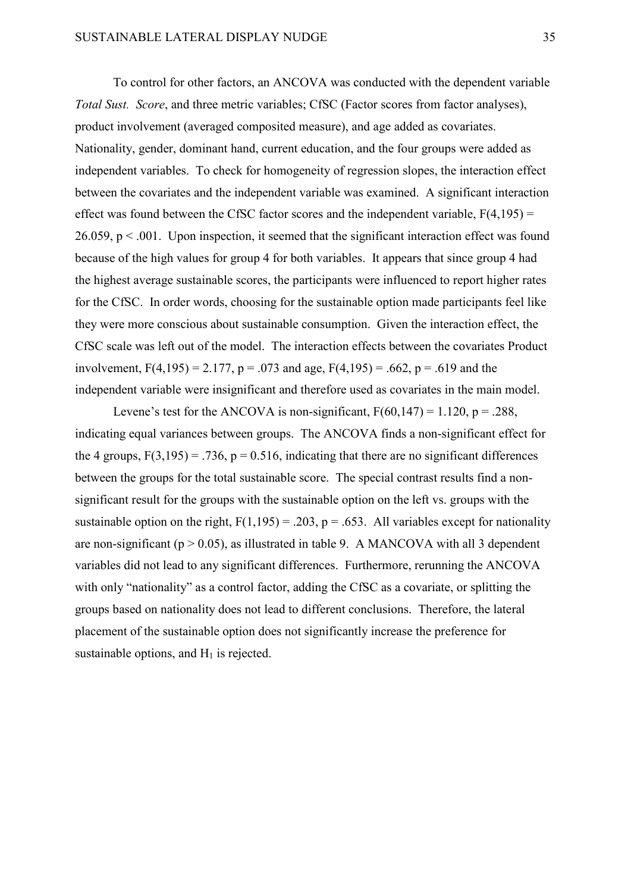To control for other factors, an ANCOVA was conducted with the dependent variable *Total Sust. Score*, and three metric variables; CfSC (Factor scores from factor analyses), product involvement (averaged composited measure), and age added as covariates. Nationality, gender, dominant hand, current education, and the four groups were added as independent variables. To check for homogeneity of regression slopes, the interaction effect between the covariates and the independent variable was examined. A significant interaction effect was found between the CfSC factor scores and the independent variable,  $F(4,195) =$ 26.059,  $p < 0.001$ . Upon inspection, it seemed that the significant interaction effect was found because of the high values for group 4 for both variables. It appears that since group 4 had the highest average sustainable scores, the participants were influenced to report higher rates for the CfSC. In order words, choosing for the sustainable option made participants feel like they were more conscious about sustainable consumption. Given the interaction effect, the CfSC scale was left out of the model. The interaction effects between the covariates Product involvement,  $F(4,195) = 2.177$ ,  $p = .073$  and age,  $F(4,195) = .662$ ,  $p = .619$  and the independent variable were insignificant and therefore used as covariates in the main model.

Levene's test for the ANCOVA is non-significant,  $F(60,147) = 1.120$ ,  $p = .288$ , indicating equal variances between groups. The ANCOVA finds a non-significant effect for the 4 groups,  $F(3,195) = .736$ ,  $p = 0.516$ , indicating that there are no significant differences between the groups for the total sustainable score. The special contrast results find a nonsignificant result for the groups with the sustainable option on the left vs. groups with the sustainable option on the right,  $F(1,195) = .203$ ,  $p = .653$ . All variables except for nationality are non-significant ( $p > 0.05$ ), as illustrated in table 9. A MANCOVA with all 3 dependent variables did not lead to any significant differences. Furthermore, rerunning the ANCOVA with only "nationality" as a control factor, adding the CfSC as a covariate, or splitting the groups based on nationality does not lead to different conclusions. Therefore, the lateral placement of the sustainable option does not significantly increase the preference for sustainable options, and  $H_1$  is rejected.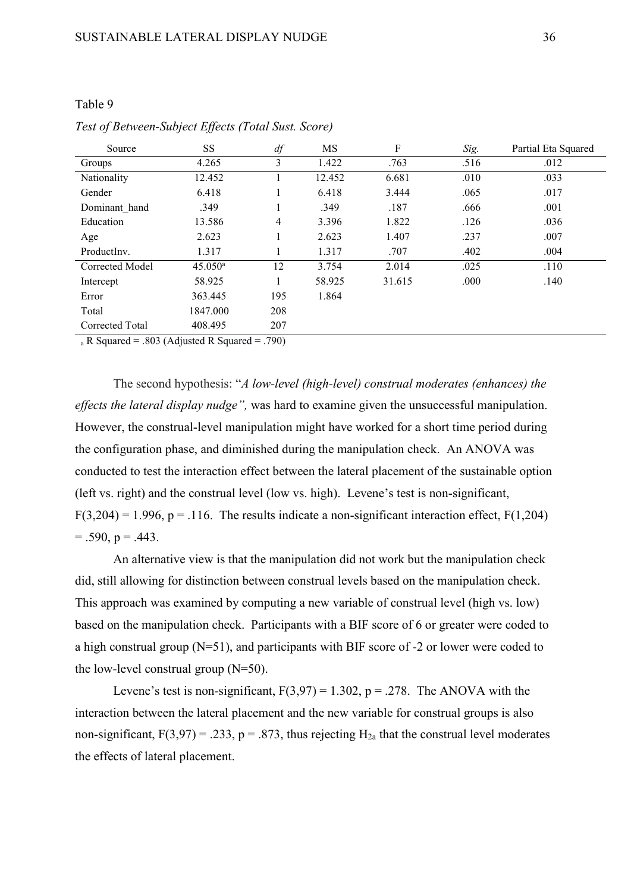# Table 9

| Source          | <b>SS</b>        | df             | MS     | F      | Sig. | Partial Eta Squared |
|-----------------|------------------|----------------|--------|--------|------|---------------------|
| Groups          | 4.265            | 3              | 1.422  | .763   | .516 | .012                |
| Nationality     | 12.452           |                | 12.452 | 6.681  | .010 | .033                |
| Gender          | 6.418            |                | 6.418  | 3.444  | .065 | .017                |
| Dominant hand   | .349             |                | .349   | .187   | .666 | .001                |
| Education       | 13.586           | $\overline{4}$ | 3.396  | 1.822  | .126 | .036                |
| Age             | 2.623            |                | 2.623  | 1.407  | .237 | .007                |
| ProductInv.     | 1.317            |                | 1.317  | .707   | .402 | .004                |
| Corrected Model | $45.050^{\rm a}$ | 12             | 3.754  | 2.014  | .025 | .110                |
| Intercept       | 58.925           |                | 58.925 | 31.615 | .000 | .140                |
| Error           | 363.445          | 195            | 1.864  |        |      |                     |
| Total           | 1847.000         | 208            |        |        |      |                     |
| Corrected Total | 408.495          | 207            |        |        |      |                     |

## *Test of Between-Subject Effects (Total Sust. Score)*

<sup>a</sup> R Squared = .803 (Adjusted R Squared = .790)

The second hypothesis: "*A low-level (high-level) construal moderates (enhances) the effects the lateral display nudge",* was hard to examine given the unsuccessful manipulation. However, the construal-level manipulation might have worked for a short time period during the configuration phase, and diminished during the manipulation check. An ANOVA was conducted to test the interaction effect between the lateral placement of the sustainable option (left vs. right) and the construal level (low vs. high). Levene's test is non-significant,  $F(3,204) = 1.996$ ,  $p = .116$ . The results indicate a non-significant interaction effect,  $F(1,204)$  $= .590, p = .443.$ 

An alternative view is that the manipulation did not work but the manipulation check did, still allowing for distinction between construal levels based on the manipulation check. This approach was examined by computing a new variable of construal level (high vs. low) based on the manipulation check. Participants with a BIF score of 6 or greater were coded to a high construal group (N=51), and participants with BIF score of -2 or lower were coded to the low-level construal group  $(N=50)$ .

Levene's test is non-significant,  $F(3.97) = 1.302$ ,  $p = .278$ . The ANOVA with the interaction between the lateral placement and the new variable for construal groups is also non-significant,  $F(3,97) = .233$ ,  $p = .873$ , thus rejecting  $H_{2a}$  that the construal level moderates the effects of lateral placement.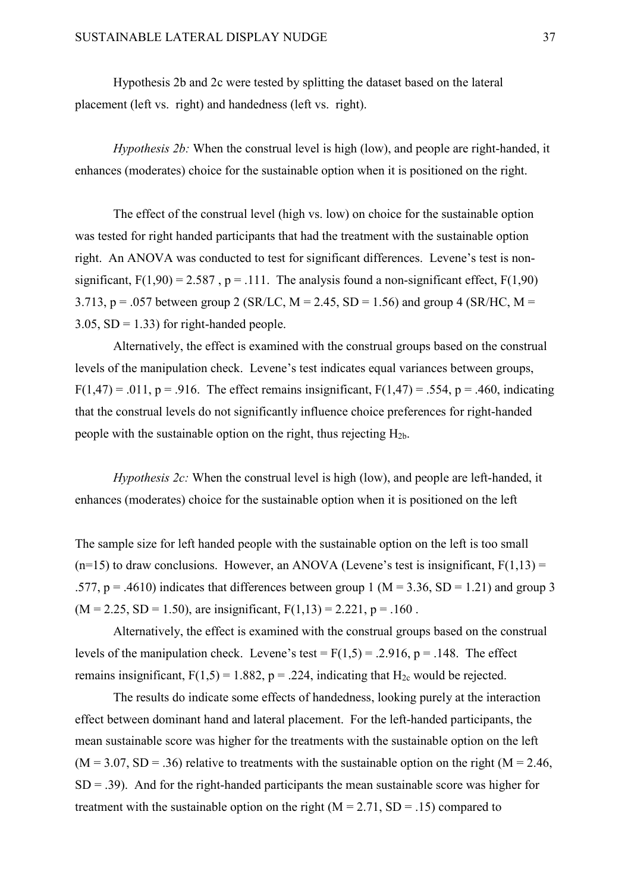Hypothesis 2b and 2c were tested by splitting the dataset based on the lateral placement (left vs. right) and handedness (left vs. right).

*Hypothesis 2b:* When the construal level is high (low), and people are right-handed, it enhances (moderates) choice for the sustainable option when it is positioned on the right.

The effect of the construal level (high vs. low) on choice for the sustainable option was tested for right handed participants that had the treatment with the sustainable option right. An ANOVA was conducted to test for significant differences. Levene's test is nonsignificant,  $F(1,90) = 2.587$ ,  $p = .111$ . The analysis found a non-significant effect,  $F(1,90)$ 3.713, p = .057 between group 2 (SR/LC,  $M = 2.45$ , SD = 1.56) and group 4 (SR/HC, M = 3.05,  $SD = 1.33$  for right-handed people.

Alternatively, the effect is examined with the construal groups based on the construal levels of the manipulation check. Levene's test indicates equal variances between groups,  $F(1,47) = .011$ , p = .916. The effect remains insignificant,  $F(1,47) = .554$ , p = .460, indicating that the construal levels do not significantly influence choice preferences for right-handed people with the sustainable option on the right, thus rejecting  $H_{2b}$ .

*Hypothesis 2c:* When the construal level is high (low), and people are left-handed, it enhances (moderates) choice for the sustainable option when it is positioned on the left

The sample size for left handed people with the sustainable option on the left is too small  $(n=15)$  to draw conclusions. However, an ANOVA (Levene's test is insignificant,  $F(1,13) =$ .577,  $p = .4610$ ) indicates that differences between group 1 (M = 3.36, SD = 1.21) and group 3  $(M = 2.25, SD = 1.50)$ , are insignificant,  $F(1,13) = 2.221, p = .160$ .

Alternatively, the effect is examined with the construal groups based on the construal levels of the manipulation check. Levene's test =  $F(1,5) = .2.916$ , p = .148. The effect remains insignificant,  $F(1,5) = 1.882$ ,  $p = .224$ , indicating that  $H_{2c}$  would be rejected.

The results do indicate some effects of handedness, looking purely at the interaction effect between dominant hand and lateral placement. For the left-handed participants, the mean sustainable score was higher for the treatments with the sustainable option on the left  $(M = 3.07, SD = .36)$  relative to treatments with the sustainable option on the right  $(M = 2.46,$  $SD = .39$ ). And for the right-handed participants the mean sustainable score was higher for treatment with the sustainable option on the right  $(M = 2.71, SD = .15)$  compared to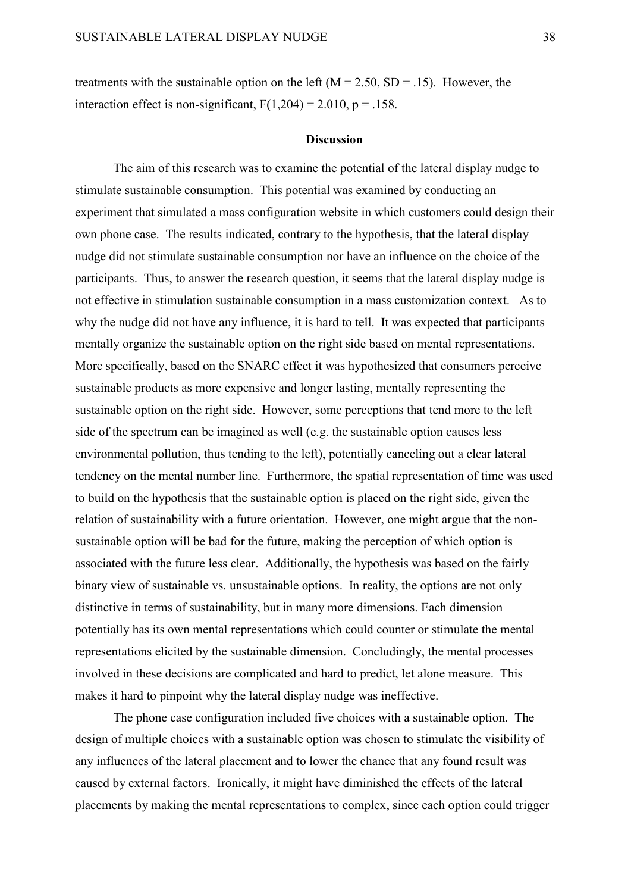treatments with the sustainable option on the left  $(M = 2.50, SD = .15)$ . However, the interaction effect is non-significant,  $F(1,204) = 2.010$ ,  $p = .158$ .

#### **Discussion**

The aim of this research was to examine the potential of the lateral display nudge to stimulate sustainable consumption. This potential was examined by conducting an experiment that simulated a mass configuration website in which customers could design their own phone case. The results indicated, contrary to the hypothesis, that the lateral display nudge did not stimulate sustainable consumption nor have an influence on the choice of the participants. Thus, to answer the research question, it seems that the lateral display nudge is not effective in stimulation sustainable consumption in a mass customization context. As to why the nudge did not have any influence, it is hard to tell. It was expected that participants mentally organize the sustainable option on the right side based on mental representations. More specifically, based on the SNARC effect it was hypothesized that consumers perceive sustainable products as more expensive and longer lasting, mentally representing the sustainable option on the right side. However, some perceptions that tend more to the left side of the spectrum can be imagined as well (e.g. the sustainable option causes less environmental pollution, thus tending to the left), potentially canceling out a clear lateral tendency on the mental number line. Furthermore, the spatial representation of time was used to build on the hypothesis that the sustainable option is placed on the right side, given the relation of sustainability with a future orientation. However, one might argue that the nonsustainable option will be bad for the future, making the perception of which option is associated with the future less clear. Additionally, the hypothesis was based on the fairly binary view of sustainable vs. unsustainable options. In reality, the options are not only distinctive in terms of sustainability, but in many more dimensions. Each dimension potentially has its own mental representations which could counter or stimulate the mental representations elicited by the sustainable dimension. Concludingly, the mental processes involved in these decisions are complicated and hard to predict, let alone measure. This makes it hard to pinpoint why the lateral display nudge was ineffective.

The phone case configuration included five choices with a sustainable option. The design of multiple choices with a sustainable option was chosen to stimulate the visibility of any influences of the lateral placement and to lower the chance that any found result was caused by external factors. Ironically, it might have diminished the effects of the lateral placements by making the mental representations to complex, since each option could trigger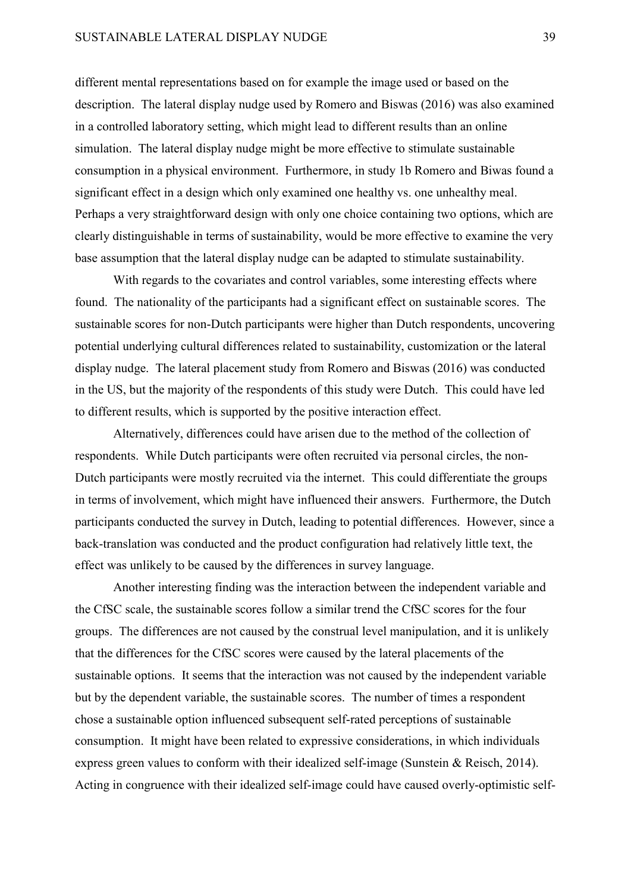different mental representations based on for example the image used or based on the description. The lateral display nudge used by Romero and Biswas (2016) was also examined in a controlled laboratory setting, which might lead to different results than an online simulation. The lateral display nudge might be more effective to stimulate sustainable consumption in a physical environment. Furthermore, in study 1b Romero and Biwas found a significant effect in a design which only examined one healthy vs. one unhealthy meal. Perhaps a very straightforward design with only one choice containing two options, which are clearly distinguishable in terms of sustainability, would be more effective to examine the very base assumption that the lateral display nudge can be adapted to stimulate sustainability.

With regards to the covariates and control variables, some interesting effects where found. The nationality of the participants had a significant effect on sustainable scores. The sustainable scores for non-Dutch participants were higher than Dutch respondents, uncovering potential underlying cultural differences related to sustainability, customization or the lateral display nudge. The lateral placement study from Romero and Biswas (2016) was conducted in the US, but the majority of the respondents of this study were Dutch. This could have led to different results, which is supported by the positive interaction effect.

Alternatively, differences could have arisen due to the method of the collection of respondents. While Dutch participants were often recruited via personal circles, the non-Dutch participants were mostly recruited via the internet. This could differentiate the groups in terms of involvement, which might have influenced their answers. Furthermore, the Dutch participants conducted the survey in Dutch, leading to potential differences. However, since a back-translation was conducted and the product configuration had relatively little text, the effect was unlikely to be caused by the differences in survey language.

Another interesting finding was the interaction between the independent variable and the CfSC scale, the sustainable scores follow a similar trend the CfSC scores for the four groups. The differences are not caused by the construal level manipulation, and it is unlikely that the differences for the CfSC scores were caused by the lateral placements of the sustainable options. It seems that the interaction was not caused by the independent variable but by the dependent variable, the sustainable scores. The number of times a respondent chose a sustainable option influenced subsequent self-rated perceptions of sustainable consumption. It might have been related to expressive considerations, in which individuals express green values to conform with their idealized self-image (Sunstein & Reisch, 2014). Acting in congruence with their idealized self-image could have caused overly-optimistic self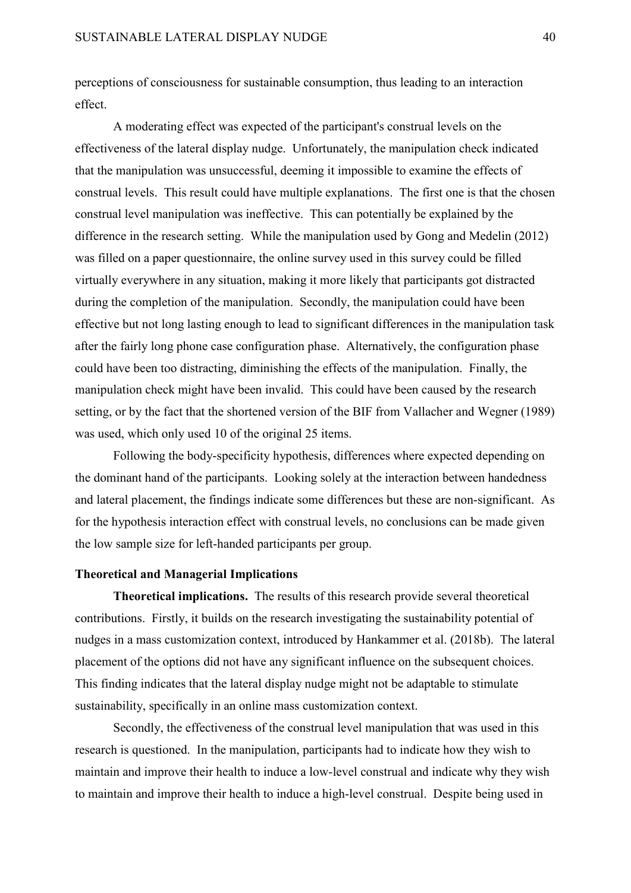perceptions of consciousness for sustainable consumption, thus leading to an interaction effect.

A moderating effect was expected of the participant's construal levels on the effectiveness of the lateral display nudge. Unfortunately, the manipulation check indicated that the manipulation was unsuccessful, deeming it impossible to examine the effects of construal levels. This result could have multiple explanations. The first one is that the chosen construal level manipulation was ineffective. This can potentially be explained by the difference in the research setting. While the manipulation used by Gong and Medelin (2012) was filled on a paper questionnaire, the online survey used in this survey could be filled virtually everywhere in any situation, making it more likely that participants got distracted during the completion of the manipulation. Secondly, the manipulation could have been effective but not long lasting enough to lead to significant differences in the manipulation task after the fairly long phone case configuration phase. Alternatively, the configuration phase could have been too distracting, diminishing the effects of the manipulation. Finally, the manipulation check might have been invalid. This could have been caused by the research setting, or by the fact that the shortened version of the BIF from Vallacher and Wegner (1989) was used, which only used 10 of the original 25 items.

Following the body-specificity hypothesis, differences where expected depending on the dominant hand of the participants. Looking solely at the interaction between handedness and lateral placement, the findings indicate some differences but these are non-significant. As for the hypothesis interaction effect with construal levels, no conclusions can be made given the low sample size for left-handed participants per group.

#### **Theoretical and Managerial Implications**

**Theoretical implications.** The results of this research provide several theoretical contributions. Firstly, it builds on the research investigating the sustainability potential of nudges in a mass customization context, introduced by Hankammer et al. (2018b). The lateral placement of the options did not have any significant influence on the subsequent choices. This finding indicates that the lateral display nudge might not be adaptable to stimulate sustainability, specifically in an online mass customization context.

Secondly, the effectiveness of the construal level manipulation that was used in this research is questioned. In the manipulation, participants had to indicate how they wish to maintain and improve their health to induce a low-level construal and indicate why they wish to maintain and improve their health to induce a high-level construal. Despite being used in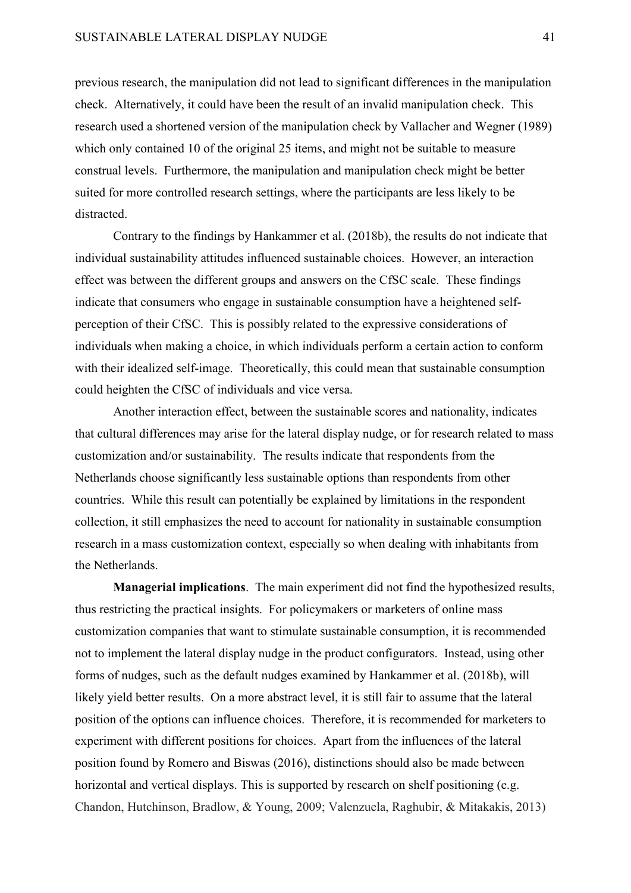previous research, the manipulation did not lead to significant differences in the manipulation check. Alternatively, it could have been the result of an invalid manipulation check. This research used a shortened version of the manipulation check by Vallacher and Wegner (1989) which only contained 10 of the original 25 items, and might not be suitable to measure construal levels. Furthermore, the manipulation and manipulation check might be better suited for more controlled research settings, where the participants are less likely to be distracted.

Contrary to the findings by Hankammer et al. (2018b), the results do not indicate that individual sustainability attitudes influenced sustainable choices. However, an interaction effect was between the different groups and answers on the CfSC scale. These findings indicate that consumers who engage in sustainable consumption have a heightened selfperception of their CfSC. This is possibly related to the expressive considerations of individuals when making a choice, in which individuals perform a certain action to conform with their idealized self-image. Theoretically, this could mean that sustainable consumption could heighten the CfSC of individuals and vice versa.

Another interaction effect, between the sustainable scores and nationality, indicates that cultural differences may arise for the lateral display nudge, or for research related to mass customization and/or sustainability. The results indicate that respondents from the Netherlands choose significantly less sustainable options than respondents from other countries. While this result can potentially be explained by limitations in the respondent collection, it still emphasizes the need to account for nationality in sustainable consumption research in a mass customization context, especially so when dealing with inhabitants from the Netherlands.

**Managerial implications**. The main experiment did not find the hypothesized results, thus restricting the practical insights. For policymakers or marketers of online mass customization companies that want to stimulate sustainable consumption, it is recommended not to implement the lateral display nudge in the product configurators. Instead, using other forms of nudges, such as the default nudges examined by Hankammer et al. (2018b), will likely yield better results. On a more abstract level, it is still fair to assume that the lateral position of the options can influence choices. Therefore, it is recommended for marketers to experiment with different positions for choices. Apart from the influences of the lateral position found by Romero and Biswas (2016), distinctions should also be made between horizontal and vertical displays. This is supported by research on shelf positioning (e.g. Chandon, Hutchinson, Bradlow, & Young, 2009; Valenzuela, Raghubir, & Mitakakis, 2013)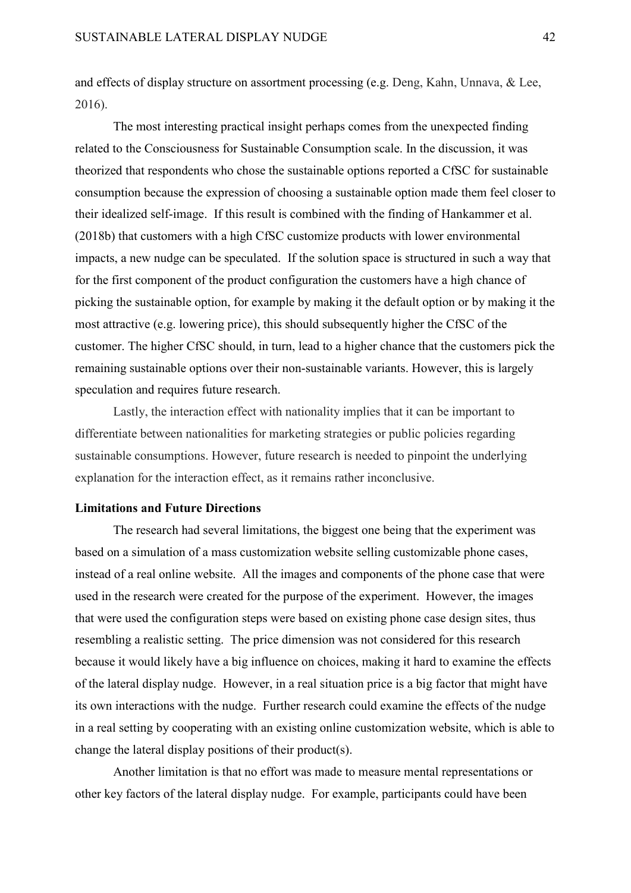and effects of display structure on assortment processing (e.g. Deng, Kahn, Unnava, & Lee, 2016).

The most interesting practical insight perhaps comes from the unexpected finding related to the Consciousness for Sustainable Consumption scale. In the discussion, it was theorized that respondents who chose the sustainable options reported a CfSC for sustainable consumption because the expression of choosing a sustainable option made them feel closer to their idealized self-image. If this result is combined with the finding of Hankammer et al. (2018b) that customers with a high CfSC customize products with lower environmental impacts, a new nudge can be speculated. If the solution space is structured in such a way that for the first component of the product configuration the customers have a high chance of picking the sustainable option, for example by making it the default option or by making it the most attractive (e.g. lowering price), this should subsequently higher the CfSC of the customer. The higher CfSC should, in turn, lead to a higher chance that the customers pick the remaining sustainable options over their non-sustainable variants. However, this is largely speculation and requires future research.

Lastly, the interaction effect with nationality implies that it can be important to differentiate between nationalities for marketing strategies or public policies regarding sustainable consumptions. However, future research is needed to pinpoint the underlying explanation for the interaction effect, as it remains rather inconclusive.

#### **Limitations and Future Directions**

The research had several limitations, the biggest one being that the experiment was based on a simulation of a mass customization website selling customizable phone cases, instead of a real online website. All the images and components of the phone case that were used in the research were created for the purpose of the experiment. However, the images that were used the configuration steps were based on existing phone case design sites, thus resembling a realistic setting. The price dimension was not considered for this research because it would likely have a big influence on choices, making it hard to examine the effects of the lateral display nudge. However, in a real situation price is a big factor that might have its own interactions with the nudge. Further research could examine the effects of the nudge in a real setting by cooperating with an existing online customization website, which is able to change the lateral display positions of their product(s).

Another limitation is that no effort was made to measure mental representations or other key factors of the lateral display nudge. For example, participants could have been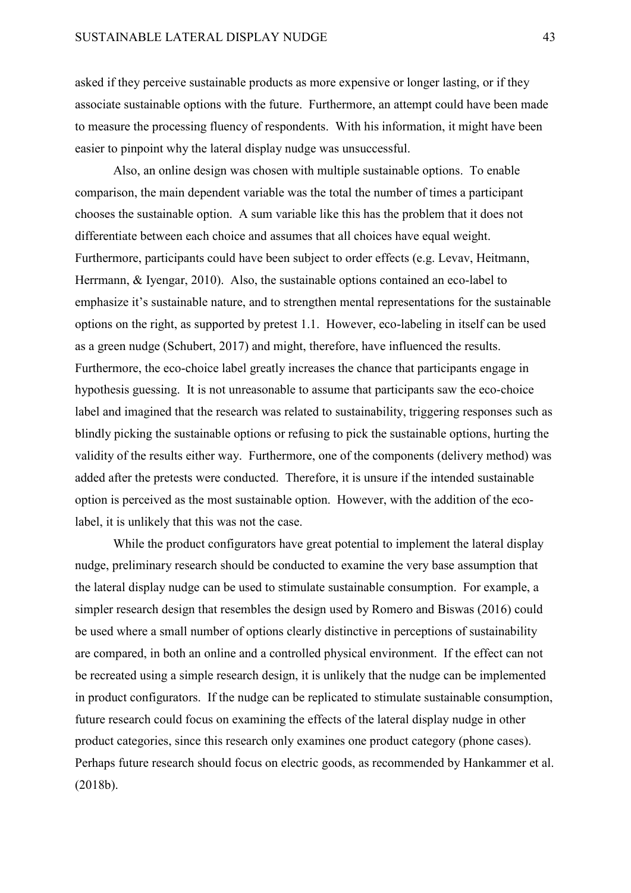asked if they perceive sustainable products as more expensive or longer lasting, or if they associate sustainable options with the future. Furthermore, an attempt could have been made to measure the processing fluency of respondents. With his information, it might have been easier to pinpoint why the lateral display nudge was unsuccessful.

Also, an online design was chosen with multiple sustainable options. To enable comparison, the main dependent variable was the total the number of times a participant chooses the sustainable option. A sum variable like this has the problem that it does not differentiate between each choice and assumes that all choices have equal weight. Furthermore, participants could have been subject to order effects (e.g. Levav, Heitmann, Herrmann, & Iyengar, 2010). Also, the sustainable options contained an eco-label to emphasize it's sustainable nature, and to strengthen mental representations for the sustainable options on the right, as supported by pretest 1.1. However, eco-labeling in itself can be used as a green nudge (Schubert, 2017) and might, therefore, have influenced the results. Furthermore, the eco-choice label greatly increases the chance that participants engage in hypothesis guessing. It is not unreasonable to assume that participants saw the eco-choice label and imagined that the research was related to sustainability, triggering responses such as blindly picking the sustainable options or refusing to pick the sustainable options, hurting the validity of the results either way. Furthermore, one of the components (delivery method) was added after the pretests were conducted. Therefore, it is unsure if the intended sustainable option is perceived as the most sustainable option. However, with the addition of the ecolabel, it is unlikely that this was not the case.

While the product configurators have great potential to implement the lateral display nudge, preliminary research should be conducted to examine the very base assumption that the lateral display nudge can be used to stimulate sustainable consumption. For example, a simpler research design that resembles the design used by Romero and Biswas (2016) could be used where a small number of options clearly distinctive in perceptions of sustainability are compared, in both an online and a controlled physical environment. If the effect can not be recreated using a simple research design, it is unlikely that the nudge can be implemented in product configurators. If the nudge can be replicated to stimulate sustainable consumption, future research could focus on examining the effects of the lateral display nudge in other product categories, since this research only examines one product category (phone cases). Perhaps future research should focus on electric goods, as recommended by Hankammer et al. (2018b).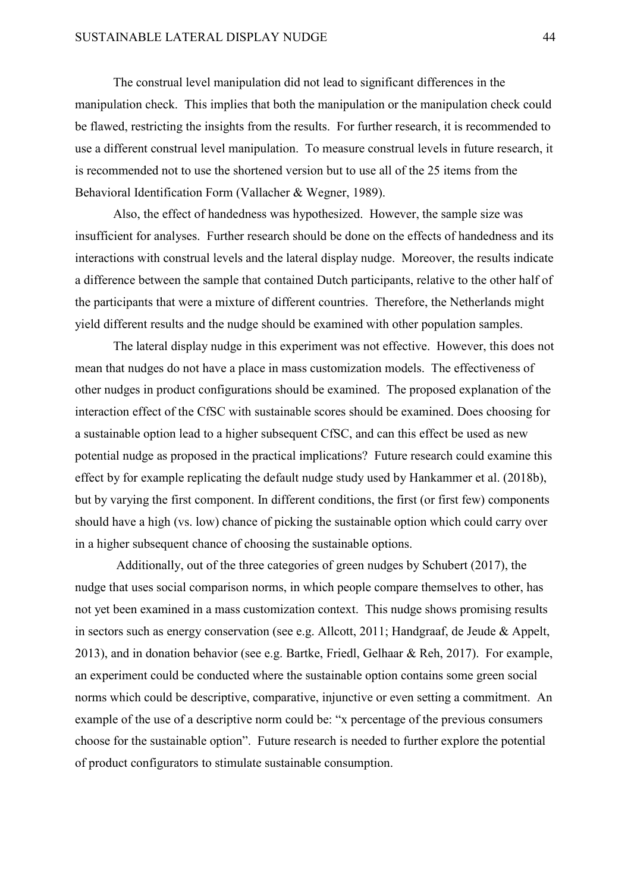The construal level manipulation did not lead to significant differences in the manipulation check. This implies that both the manipulation or the manipulation check could be flawed, restricting the insights from the results. For further research, it is recommended to use a different construal level manipulation. To measure construal levels in future research, it is recommended not to use the shortened version but to use all of the 25 items from the Behavioral Identification Form (Vallacher & Wegner, 1989).

Also, the effect of handedness was hypothesized. However, the sample size was insufficient for analyses. Further research should be done on the effects of handedness and its interactions with construal levels and the lateral display nudge. Moreover, the results indicate a difference between the sample that contained Dutch participants, relative to the other half of the participants that were a mixture of different countries. Therefore, the Netherlands might yield different results and the nudge should be examined with other population samples.

The lateral display nudge in this experiment was not effective. However, this does not mean that nudges do not have a place in mass customization models. The effectiveness of other nudges in product configurations should be examined. The proposed explanation of the interaction effect of the CfSC with sustainable scores should be examined. Does choosing for a sustainable option lead to a higher subsequent CfSC, and can this effect be used as new potential nudge as proposed in the practical implications? Future research could examine this effect by for example replicating the default nudge study used by Hankammer et al. (2018b), but by varying the first component. In different conditions, the first (or first few) components should have a high (vs. low) chance of picking the sustainable option which could carry over in a higher subsequent chance of choosing the sustainable options.

Additionally, out of the three categories of green nudges by Schubert (2017), the nudge that uses social comparison norms, in which people compare themselves to other, has not yet been examined in a mass customization context. This nudge shows promising results in sectors such as energy conservation (see e.g. Allcott, 2011; Handgraaf, de Jeude & Appelt, 2013), and in donation behavior (see e.g. Bartke, Friedl, Gelhaar & Reh, 2017). For example, an experiment could be conducted where the sustainable option contains some green social norms which could be descriptive, comparative, injunctive or even setting a commitment. An example of the use of a descriptive norm could be: "x percentage of the previous consumers choose for the sustainable option". Future research is needed to further explore the potential of product configurators to stimulate sustainable consumption.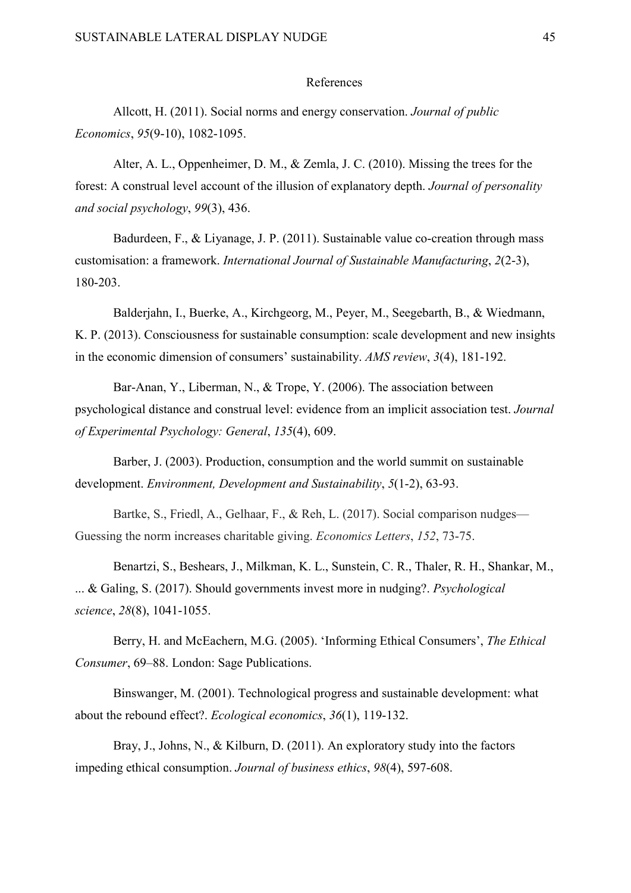#### References

Allcott, H. (2011). Social norms and energy conservation. *Journal of public Economics*, *95*(9-10), 1082-1095.

Alter, A. L., Oppenheimer, D. M., & Zemla, J. C. (2010). Missing the trees for the forest: A construal level account of the illusion of explanatory depth. *Journal of personality and social psychology*, *99*(3), 436.

Badurdeen, F., & Liyanage, J. P. (2011). Sustainable value co-creation through mass customisation: a framework. *International Journal of Sustainable Manufacturing*, *2*(2-3), 180-203.

Balderjahn, I., Buerke, A., Kirchgeorg, M., Peyer, M., Seegebarth, B., & Wiedmann, K. P. (2013). Consciousness for sustainable consumption: scale development and new insights in the economic dimension of consumers' sustainability. *AMS review*, *3*(4), 181-192.

Bar-Anan, Y., Liberman, N., & Trope, Y. (2006). The association between psychological distance and construal level: evidence from an implicit association test. *Journal of Experimental Psychology: General*, *135*(4), 609.

Barber, J. (2003). Production, consumption and the world summit on sustainable development. *Environment, Development and Sustainability*, *5*(1-2), 63-93.

Bartke, S., Friedl, A., Gelhaar, F., & Reh, L. (2017). Social comparison nudges— Guessing the norm increases charitable giving. *Economics Letters*, *152*, 73-75.

Benartzi, S., Beshears, J., Milkman, K. L., Sunstein, C. R., Thaler, R. H., Shankar, M., ... & Galing, S. (2017). Should governments invest more in nudging?. *Psychological science*, *28*(8), 1041-1055.

Berry, H. and McEachern, M.G. (2005). 'Informing Ethical Consumers', *The Ethical Consumer*, 69–88. London: Sage Publications.

Binswanger, M. (2001). Technological progress and sustainable development: what about the rebound effect?. *Ecological economics*, *36*(1), 119-132.

Bray, J., Johns, N., & Kilburn, D. (2011). An exploratory study into the factors impeding ethical consumption. *Journal of business ethics*, *98*(4), 597-608.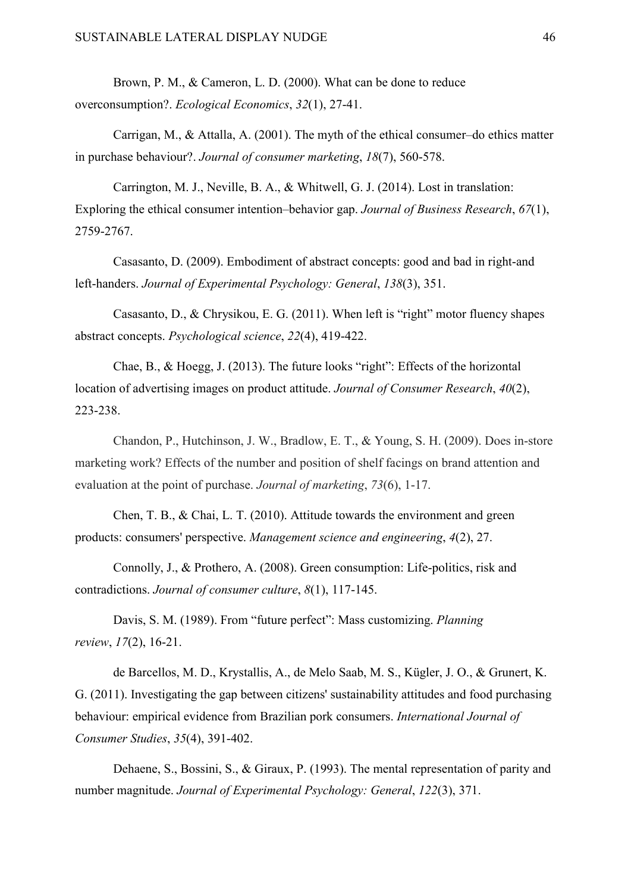Brown, P. M., & Cameron, L. D. (2000). What can be done to reduce overconsumption?. *Ecological Economics*, *32*(1), 27-41.

Carrigan, M., & Attalla, A. (2001). The myth of the ethical consumer–do ethics matter in purchase behaviour?. *Journal of consumer marketing*, *18*(7), 560-578.

Carrington, M. J., Neville, B. A., & Whitwell, G. J. (2014). Lost in translation: Exploring the ethical consumer intention–behavior gap. *Journal of Business Research*, *67*(1), 2759-2767.

Casasanto, D. (2009). Embodiment of abstract concepts: good and bad in right-and left-handers. *Journal of Experimental Psychology: General*, *138*(3), 351.

Casasanto, D., & Chrysikou, E. G. (2011). When left is "right" motor fluency shapes abstract concepts. *Psychological science*, *22*(4), 419-422.

Chae, B., & Hoegg, J. (2013). The future looks "right": Effects of the horizontal location of advertising images on product attitude. *Journal of Consumer Research*, *40*(2), 223-238.

Chandon, P., Hutchinson, J. W., Bradlow, E. T., & Young, S. H. (2009). Does in-store marketing work? Effects of the number and position of shelf facings on brand attention and evaluation at the point of purchase. *Journal of marketing*, *73*(6), 1-17.

Chen, T. B., & Chai, L. T. (2010). Attitude towards the environment and green products: consumers' perspective. *Management science and engineering*, *4*(2), 27.

Connolly, J., & Prothero, A. (2008). Green consumption: Life-politics, risk and contradictions. *Journal of consumer culture*, *8*(1), 117-145.

Davis, S. M. (1989). From "future perfect": Mass customizing. *Planning review*, *17*(2), 16-21.

de Barcellos, M. D., Krystallis, A., de Melo Saab, M. S., Kügler, J. O., & Grunert, K. G. (2011). Investigating the gap between citizens' sustainability attitudes and food purchasing behaviour: empirical evidence from Brazilian pork consumers. *International Journal of Consumer Studies*, *35*(4), 391-402.

Dehaene, S., Bossini, S., & Giraux, P. (1993). The mental representation of parity and number magnitude. *Journal of Experimental Psychology: General*, *122*(3), 371.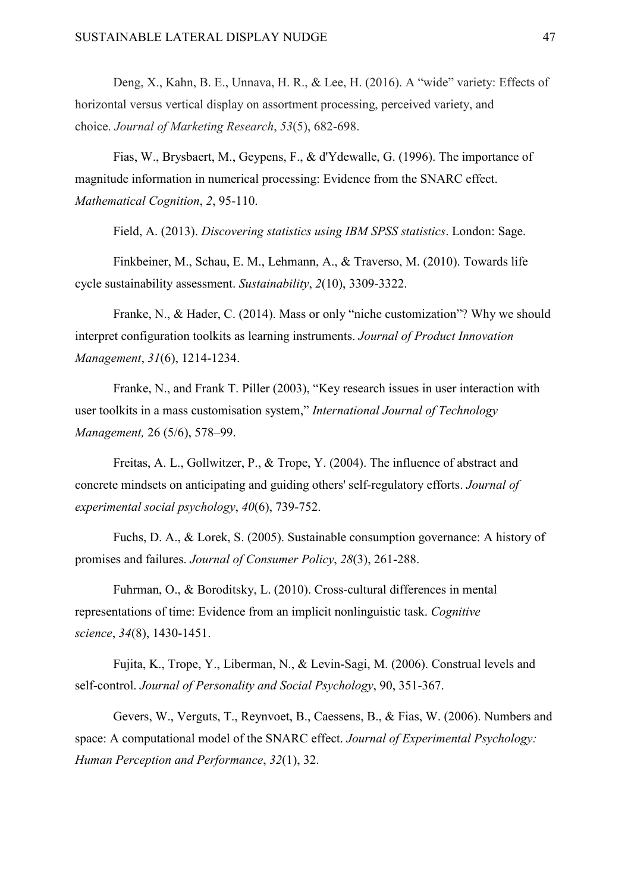Deng, X., Kahn, B. E., Unnava, H. R., & Lee, H. (2016). A "wide" variety: Effects of horizontal versus vertical display on assortment processing, perceived variety, and choice. *Journal of Marketing Research*, *53*(5), 682-698.

Fias, W., Brysbaert, M., Geypens, F., & d'Ydewalle, G. (1996). The importance of magnitude information in numerical processing: Evidence from the SNARC effect. *Mathematical Cognition*, *2*, 95-110.

Field, A. (2013). *Discovering statistics using IBM SPSS statistics*. London: Sage.

Finkbeiner, M., Schau, E. M., Lehmann, A., & Traverso, M. (2010). Towards life cycle sustainability assessment. *Sustainability*, *2*(10), 3309-3322.

Franke, N., & Hader, C. (2014). Mass or only "niche customization"? Why we should interpret configuration toolkits as learning instruments. *Journal of Product Innovation Management*, *31*(6), 1214-1234.

Franke, N., and Frank T. Piller (2003), "Key research issues in user interaction with user toolkits in a mass customisation system," *International Journal of Technology Management,* 26 (5/6), 578–99.

Freitas, A. L., Gollwitzer, P., & Trope, Y. (2004). The influence of abstract and concrete mindsets on anticipating and guiding others' self-regulatory efforts. *Journal of experimental social psychology*, *40*(6), 739-752.

Fuchs, D. A., & Lorek, S. (2005). Sustainable consumption governance: A history of promises and failures. *Journal of Consumer Policy*, *28*(3), 261-288.

Fuhrman, O., & Boroditsky, L. (2010). Cross-cultural differences in mental representations of time: Evidence from an implicit nonlinguistic task. *Cognitive science*, *34*(8), 1430-1451.

Fujita, K., Trope, Y., Liberman, N., & Levin-Sagi, M. (2006). Construal levels and self-control. *Journal of Personality and Social Psychology*, 90, 351-367.

Gevers, W., Verguts, T., Reynvoet, B., Caessens, B., & Fias, W. (2006). Numbers and space: A computational model of the SNARC effect. *Journal of Experimental Psychology: Human Perception and Performance*, *32*(1), 32.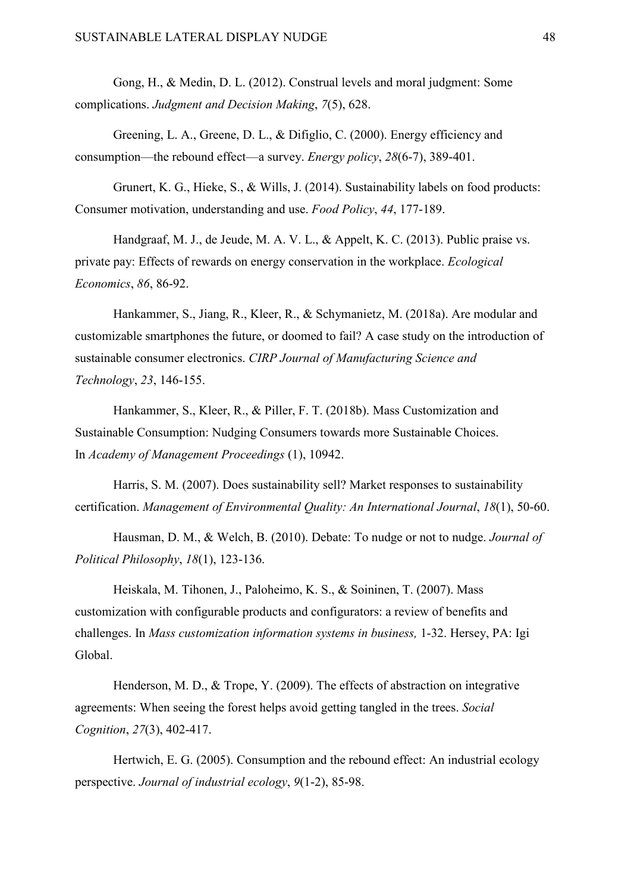Gong, H., & Medin, D. L. (2012). Construal levels and moral judgment: Some complications. *Judgment and Decision Making*, *7*(5), 628.

Greening, L. A., Greene, D. L., & Difiglio, C. (2000). Energy efficiency and consumption—the rebound effect—a survey. *Energy policy*, *28*(6-7), 389-401.

Grunert, K. G., Hieke, S., & Wills, J. (2014). Sustainability labels on food products: Consumer motivation, understanding and use. *Food Policy*, *44*, 177-189.

Handgraaf, M. J., de Jeude, M. A. V. L., & Appelt, K. C. (2013). Public praise vs. private pay: Effects of rewards on energy conservation in the workplace. *Ecological Economics*, *86*, 86-92.

Hankammer, S., Jiang, R., Kleer, R., & Schymanietz, M. (2018a). Are modular and customizable smartphones the future, or doomed to fail? A case study on the introduction of sustainable consumer electronics. *CIRP Journal of Manufacturing Science and Technology*, *23*, 146-155.

Hankammer, S., Kleer, R., & Piller, F. T. (2018b). Mass Customization and Sustainable Consumption: Nudging Consumers towards more Sustainable Choices. In *Academy of Management Proceedings* (1), 10942.

Harris, S. M. (2007). Does sustainability sell? Market responses to sustainability certification. *Management of Environmental Quality: An International Journal*, *18*(1), 50-60.

Hausman, D. M., & Welch, B. (2010). Debate: To nudge or not to nudge. *Journal of Political Philosophy*, *18*(1), 123-136.

Heiskala, M. Tihonen, J., Paloheimo, K. S., & Soininen, T. (2007). Mass customization with configurable products and configurators: a review of benefits and challenges. In *Mass customization information systems in business,* 1-32. Hersey, PA: Igi Global.

Henderson, M. D., & Trope, Y. (2009). The effects of abstraction on integrative agreements: When seeing the forest helps avoid getting tangled in the trees. *Social Cognition*, *27*(3), 402-417.

Hertwich, E. G. (2005). Consumption and the rebound effect: An industrial ecology perspective. *Journal of industrial ecology*, *9*(1‐2), 85-98.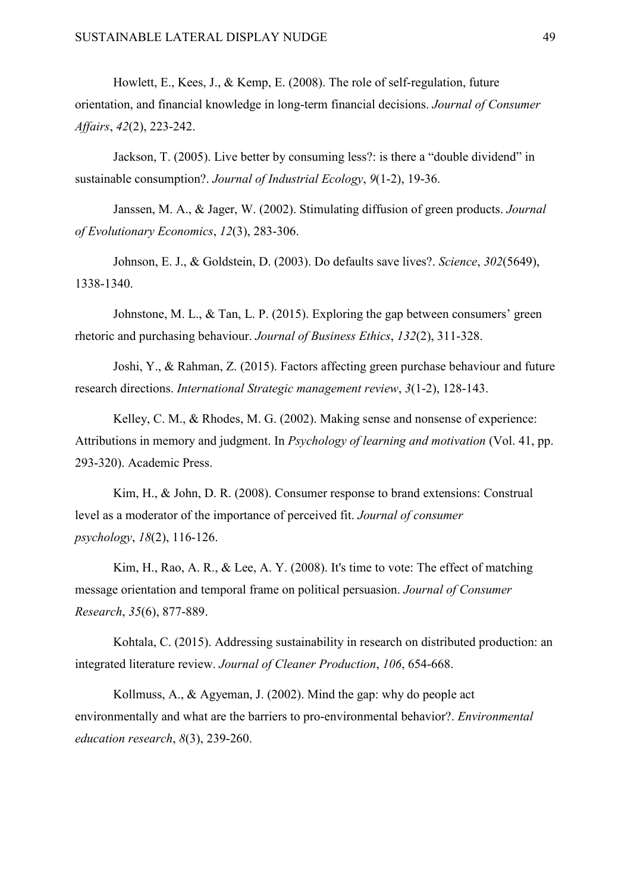Howlett, E., Kees, J., & Kemp, E. (2008). The role of self‐regulation, future orientation, and financial knowledge in long‐term financial decisions. *Journal of Consumer Affairs*, *42*(2), 223-242.

Jackson, T. (2005). Live better by consuming less?: is there a "double dividend" in sustainable consumption?. *Journal of Industrial Ecology*, *9*(1‐2), 19-36.

Janssen, M. A., & Jager, W. (2002). Stimulating diffusion of green products. *Journal of Evolutionary Economics*, *12*(3), 283-306.

Johnson, E. J., & Goldstein, D. (2003). Do defaults save lives?. *Science*, *302*(5649), 1338-1340.

Johnstone, M. L., & Tan, L. P. (2015). Exploring the gap between consumers' green rhetoric and purchasing behaviour. *Journal of Business Ethics*, *132*(2), 311-328.

Joshi, Y., & Rahman, Z. (2015). Factors affecting green purchase behaviour and future research directions. *International Strategic management review*, *3*(1-2), 128-143.

Kelley, C. M., & Rhodes, M. G. (2002). Making sense and nonsense of experience: Attributions in memory and judgment. In *Psychology of learning and motivation* (Vol. 41, pp. 293-320). Academic Press.

Kim, H., & John, D. R. (2008). Consumer response to brand extensions: Construal level as a moderator of the importance of perceived fit. *Journal of consumer psychology*, *18*(2), 116-126.

Kim, H., Rao, A. R., & Lee, A. Y. (2008). It's time to vote: The effect of matching message orientation and temporal frame on political persuasion. *Journal of Consumer Research*, *35*(6), 877-889.

Kohtala, C. (2015). Addressing sustainability in research on distributed production: an integrated literature review. *Journal of Cleaner Production*, *106*, 654-668.

Kollmuss, A., & Agyeman, J. (2002). Mind the gap: why do people act environmentally and what are the barriers to pro-environmental behavior?. *Environmental education research*, *8*(3), 239-260.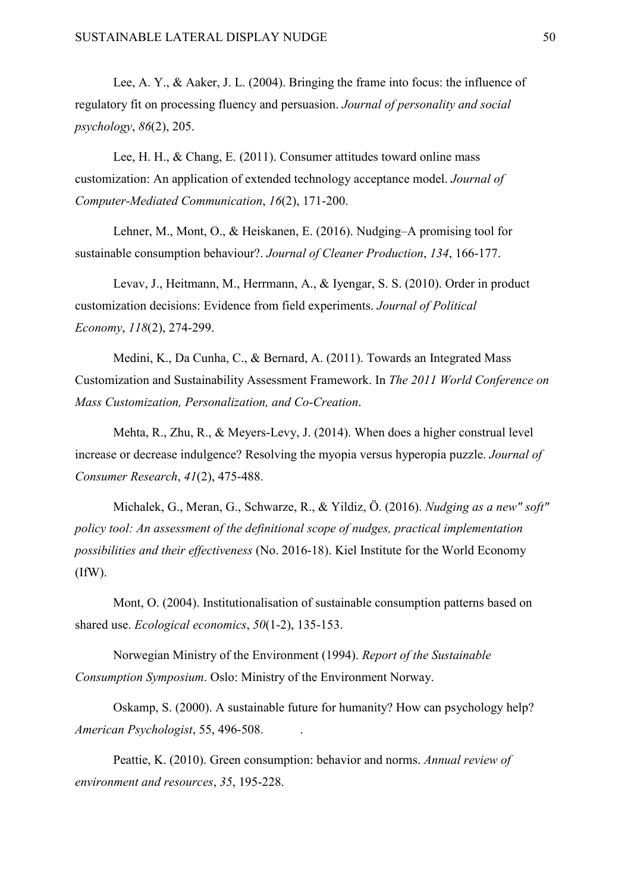Lee, A. Y., & Aaker, J. L. (2004). Bringing the frame into focus: the influence of regulatory fit on processing fluency and persuasion. *Journal of personality and social psychology*, *86*(2), 205.

Lee, H. H., & Chang, E. (2011). Consumer attitudes toward online mass customization: An application of extended technology acceptance model. *Journal of Computer-Mediated Communication*, *16*(2), 171-200.

Lehner, M., Mont, O., & Heiskanen, E. (2016). Nudging–A promising tool for sustainable consumption behaviour?. *Journal of Cleaner Production*, *134*, 166-177.

Levav, J., Heitmann, M., Herrmann, A., & Iyengar, S. S. (2010). Order in product customization decisions: Evidence from field experiments. *Journal of Political Economy*, *118*(2), 274-299.

Medini, K., Da Cunha, C., & Bernard, A. (2011). Towards an Integrated Mass Customization and Sustainability Assessment Framework. In *The 2011 World Conference on Mass Customization, Personalization, and Co-Creation*.

Mehta, R., Zhu, R., & Meyers-Levy, J. (2014). When does a higher construal level increase or decrease indulgence? Resolving the myopia versus hyperopia puzzle. *Journal of Consumer Research*, *41*(2), 475-488.

Michalek, G., Meran, G., Schwarze, R., & Yildiz, Ö. (2016). *Nudging as a new" soft" policy tool: An assessment of the definitional scope of nudges, practical implementation possibilities and their effectiveness* (No. 2016-18). Kiel Institute for the World Economy (IfW).

Mont, O. (2004). Institutionalisation of sustainable consumption patterns based on shared use. *Ecological economics*, *50*(1-2), 135-153.

Norwegian Ministry of the Environment (1994). *Report of the Sustainable Consumption Symposium*. Oslo: Ministry of the Environment Norway.

Oskamp, S. (2000). A sustainable future for humanity? How can psychology help? *American Psychologist*, 55, 496-508. .

Peattie, K. (2010). Green consumption: behavior and norms. *Annual review of environment and resources*, *35*, 195-228.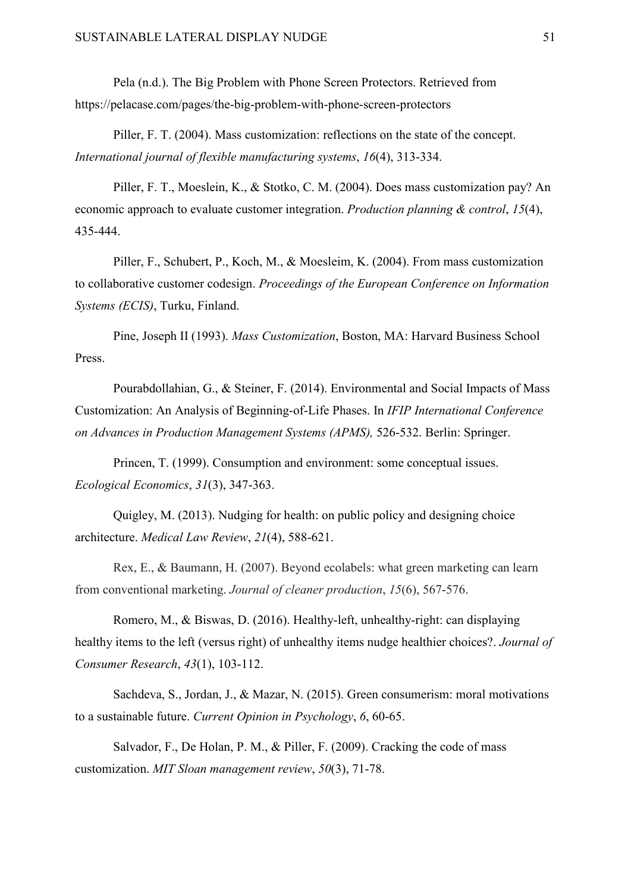Pela (n.d.). The Big Problem with Phone Screen Protectors. Retrieved from https://pelacase.com/pages/the-big-problem-with-phone-screen-protectors

Piller, F. T. (2004). Mass customization: reflections on the state of the concept. *International journal of flexible manufacturing systems*, *16*(4), 313-334.

Piller, F. T., Moeslein, K., & Stotko, C. M. (2004). Does mass customization pay? An economic approach to evaluate customer integration. *Production planning & control*, *15*(4), 435-444.

Piller, F., Schubert, P., Koch, M., & Moesleim, K. (2004). From mass customization to collaborative customer codesign. *Proceedings of the European Conference on Information Systems (ECIS)*, Turku, Finland.

Pine, Joseph II (1993). *Mass Customization*, Boston, MA: Harvard Business School Press.

Pourabdollahian, G., & Steiner, F. (2014). Environmental and Social Impacts of Mass Customization: An Analysis of Beginning-of-Life Phases. In *IFIP International Conference on Advances in Production Management Systems (APMS),* 526-532. Berlin: Springer.

Princen, T. (1999). Consumption and environment: some conceptual issues. *Ecological Economics*, *31*(3), 347-363.

Quigley, M. (2013). Nudging for health: on public policy and designing choice architecture. *Medical Law Review*, *21*(4), 588-621.

Rex, E., & Baumann, H. (2007). Beyond ecolabels: what green marketing can learn from conventional marketing. *Journal of cleaner production*, *15*(6), 567-576.

Romero, M., & Biswas, D. (2016). Healthy-left, unhealthy-right: can displaying healthy items to the left (versus right) of unhealthy items nudge healthier choices?. *Journal of Consumer Research*, *43*(1), 103-112.

Sachdeva, S., Jordan, J., & Mazar, N. (2015). Green consumerism: moral motivations to a sustainable future. *Current Opinion in Psychology*, *6*, 60-65.

Salvador, F., De Holan, P. M., & Piller, F. (2009). Cracking the code of mass customization. *MIT Sloan management review*, *50*(3), 71-78.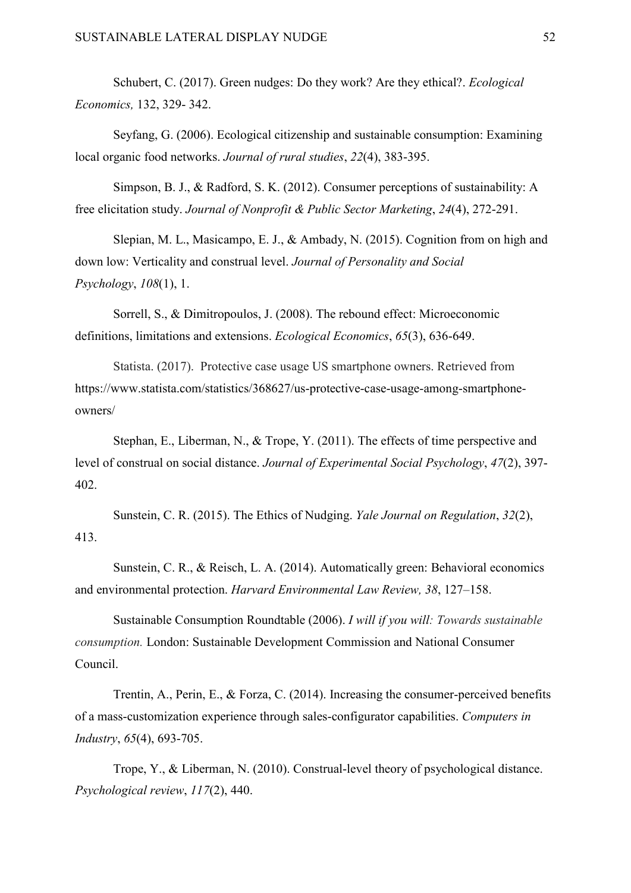Schubert, C. (2017). Green nudges: Do they work? Are they ethical?. *Ecological Economics,* 132, 329- 342.

Seyfang, G. (2006). Ecological citizenship and sustainable consumption: Examining local organic food networks. *Journal of rural studies*, *22*(4), 383-395.

Simpson, B. J., & Radford, S. K. (2012). Consumer perceptions of sustainability: A free elicitation study. *Journal of Nonprofit & Public Sector Marketing*, *24*(4), 272-291.

Slepian, M. L., Masicampo, E. J., & Ambady, N. (2015). Cognition from on high and down low: Verticality and construal level. *Journal of Personality and Social Psychology*, *108*(1), 1.

Sorrell, S., & Dimitropoulos, J. (2008). The rebound effect: Microeconomic definitions, limitations and extensions. *Ecological Economics*, *65*(3), 636-649.

Statista. (2017). Protective case usage US smartphone owners. Retrieved from [https://www.statista.com/statistics/368627/us-protective-case-usage-among-smartphone](https://www.statista.com/statistics/368627/us-protective-case-usage-among-smartphone-owners/)[owners/](https://www.statista.com/statistics/368627/us-protective-case-usage-among-smartphone-owners/)

Stephan, E., Liberman, N., & Trope, Y. (2011). The effects of time perspective and level of construal on social distance. *Journal of Experimental Social Psychology*, *47*(2), 397- 402.

Sunstein, C. R. (2015). The Ethics of Nudging. *Yale Journal on Regulation*, *32*(2), 413.

Sunstein, C. R., & Reisch, L. A. (2014). Automatically green: Behavioral economics and environmental protection. *Harvard Environmental Law Review, 38*, 127–158.

Sustainable Consumption Roundtable (2006). *I will if you will: Towards sustainable consumption.* London: Sustainable Development Commission and National Consumer Council.

Trentin, A., Perin, E., & Forza, C. (2014). Increasing the consumer-perceived benefits of a mass-customization experience through sales-configurator capabilities. *Computers in Industry*, *65*(4), 693-705.

Trope, Y., & Liberman, N. (2010). Construal-level theory of psychological distance. *Psychological review*, *117*(2), 440.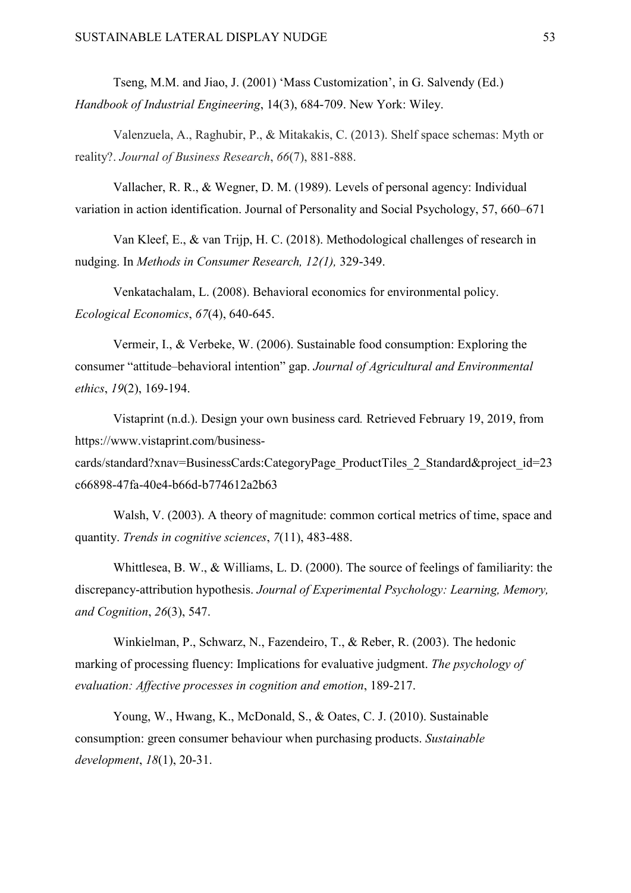Tseng, M.M. and Jiao, J. (2001) 'Mass Customization', in G. Salvendy (Ed.) *Handbook of Industrial Engineering*, 14(3), 684-709. New York: Wiley.

Valenzuela, A., Raghubir, P., & Mitakakis, C. (2013). Shelf space schemas: Myth or reality?. *Journal of Business Research*, *66*(7), 881-888.

Vallacher, R. R., & Wegner, D. M. (1989). Levels of personal agency: Individual variation in action identification. Journal of Personality and Social Psychology, 57, 660–671

Van Kleef, E., & van Trijp, H. C. (2018). Methodological challenges of research in nudging. In *Methods in Consumer Research, 12(1),* 329-349.

Venkatachalam, L. (2008). Behavioral economics for environmental policy. *Ecological Economics*, *67*(4), 640-645.

Vermeir, I., & Verbeke, W. (2006). Sustainable food consumption: Exploring the consumer "attitude–behavioral intention" gap. *Journal of Agricultural and Environmental ethics*, *19*(2), 169-194.

Vistaprint (n.d.). Design your own business card*.* Retrieved February 19, 2019, from https://www.vistaprint.com/business-

cards/standard?xnav=BusinessCards:CategoryPage\_ProductTiles\_2\_Standard&project\_id=23 c66898-47fa-40e4-b66d-b774612a2b63

Walsh, V. (2003). A theory of magnitude: common cortical metrics of time, space and quantity. *Trends in cognitive sciences*, *7*(11), 483-488.

Whittlesea, B. W., & Williams, L. D. (2000). The source of feelings of familiarity: the discrepancy-attribution hypothesis. *Journal of Experimental Psychology: Learning, Memory, and Cognition*, *26*(3), 547.

Winkielman, P., Schwarz, N., Fazendeiro, T., & Reber, R. (2003). The hedonic marking of processing fluency: Implications for evaluative judgment. *The psychology of evaluation: Affective processes in cognition and emotion*, 189-217.

Young, W., Hwang, K., McDonald, S., & Oates, C. J. (2010). Sustainable consumption: green consumer behaviour when purchasing products. *Sustainable development*, *18*(1), 20-31.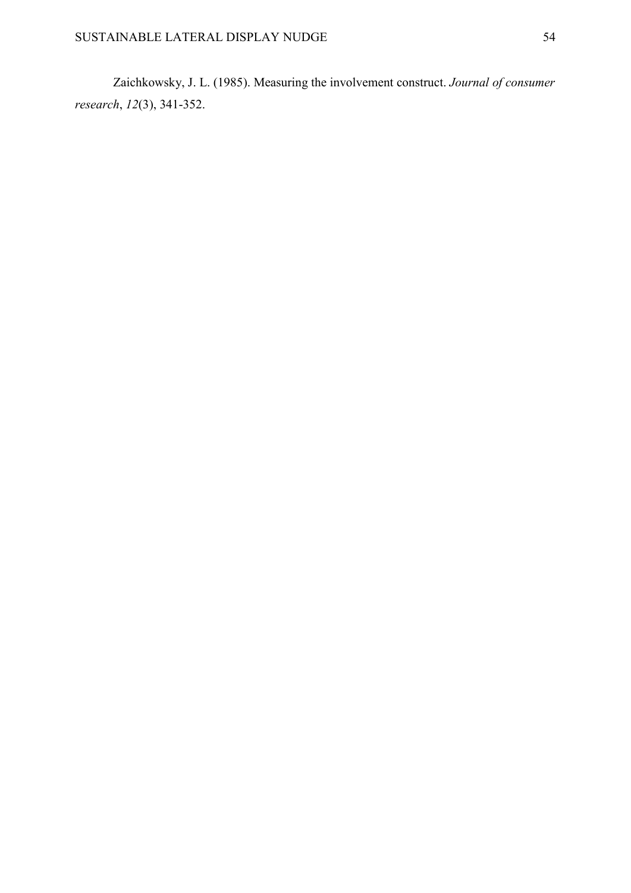Zaichkowsky, J. L. (1985). Measuring the involvement construct. *Journal of consumer research*, *12*(3), 341-352.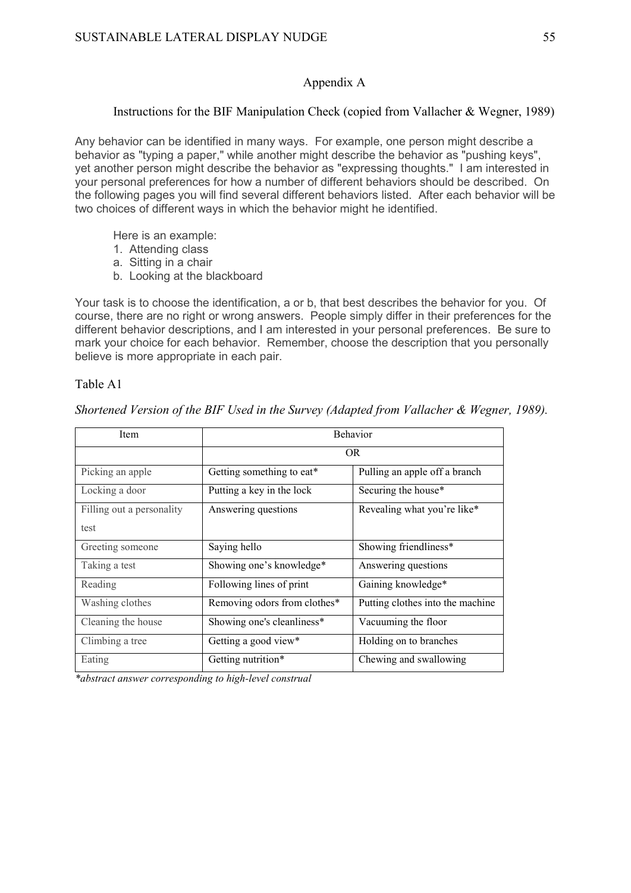#### Appendix A

#### Instructions for the BIF Manipulation Check (copied from Vallacher & Wegner, 1989)

Any behavior can be identified in many ways. For example, one person might describe a behavior as "typing a paper," while another might describe the behavior as "pushing keys", yet another person might describe the behavior as "expressing thoughts." I am interested in your personal preferences for how a number of different behaviors should be described. On the following pages you will find several different behaviors listed. After each behavior will be two choices of different ways in which the behavior might he identified.

Here is an example:

- 1. Attending class
- a. Sitting in a chair
- b. Looking at the blackboard

Your task is to choose the identification, a or b, that best describes the behavior for you. Of course, there are no right or wrong answers. People simply differ in their preferences for the different behavior descriptions, and I am interested in your personal preferences. Be sure to mark your choice for each behavior. Remember, choose the description that you personally believe is more appropriate in each pair.

#### Table A1

*Shortened Version of the BIF Used in the Survey (Adapted from Vallacher & Wegner, 1989).*

| Item                      | <b>Behavior</b>              |                                  |  |
|---------------------------|------------------------------|----------------------------------|--|
|                           | OR.                          |                                  |  |
| Picking an apple          | Getting something to eat*    | Pulling an apple off a branch    |  |
| Locking a door            | Putting a key in the lock    | Securing the house*              |  |
| Filling out a personality | Answering questions          | Revealing what you're like*      |  |
| test                      |                              |                                  |  |
| Greeting someone          | Saying hello                 | Showing friendliness*            |  |
| Taking a test             | Showing one's knowledge*     | Answering questions              |  |
| Reading                   | Following lines of print     | Gaining knowledge*               |  |
| Washing clothes           | Removing odors from clothes* | Putting clothes into the machine |  |
| Cleaning the house        | Showing one's cleanliness*   | Vacuuming the floor              |  |
| Climbing a tree           | Getting a good view*         | Holding on to branches           |  |
| Eating                    | Getting nutrition*           | Chewing and swallowing           |  |

*\*abstract answer corresponding to high-level construal*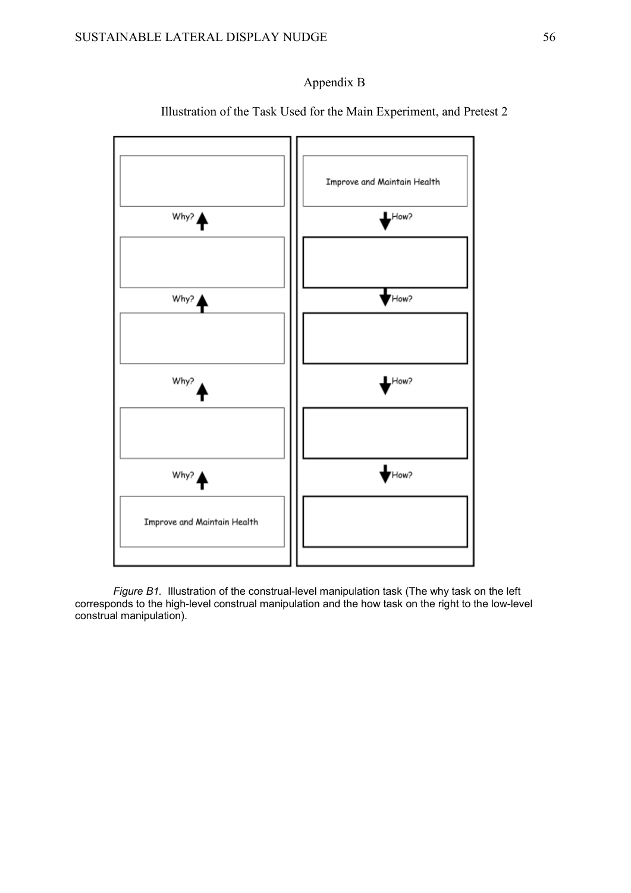### Appendix B



Illustration of the Task Used for the Main Experiment, and Pretest 2

*Figure B1.* Illustration of the construal-level manipulation task (The why task on the left corresponds to the high-level construal manipulation and the how task on the right to the low-level construal manipulation).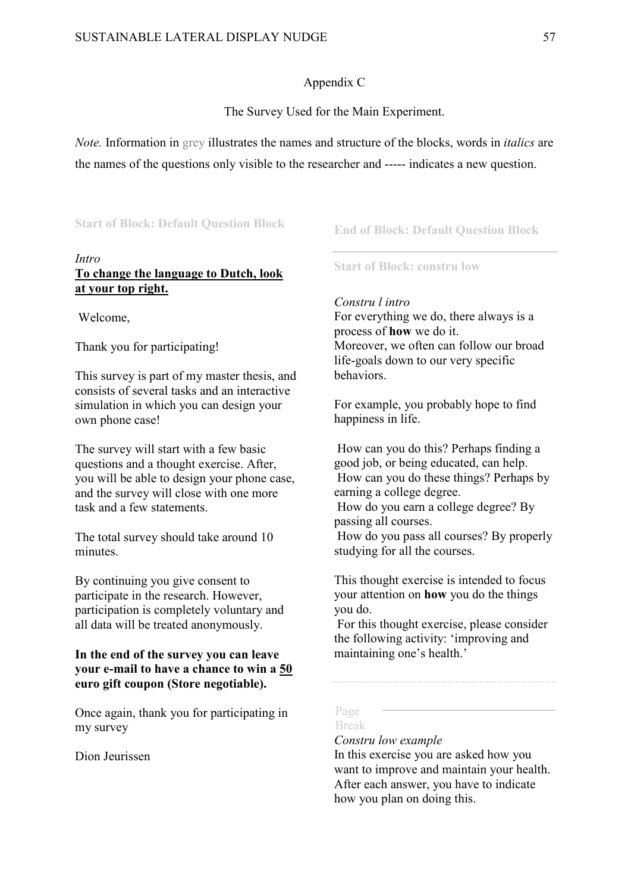#### Appendix C

#### The Survey Used for the Main Experiment.

*Note.* Information in grey illustrates the names and structure of the blocks, words in *italics* are the names of the questions only visible to the researcher and ----- indicates a new question.

#### **Start of Block: Default Question Block**

#### *Intro*

### **To change the language to Dutch, look at your top right.**

Welcome,

Thank you for participating!

This survey is part of my master thesis, and consists of several tasks and an interactive simulation in which you can design your own phone case!

The survey will start with a few basic questions and a thought exercise. After, you will be able to design your phone case, and the survey will close with one more task and a few statements.

The total survey should take around 10 minutes.

By continuing you give consent to participate in the research. However, participation is completely voluntary and all data will be treated anonymously.

#### **In the end of the survey you can leave your e-mail to have a chance to win a 50 euro gift coupon (Store negotiable).**

Once again, thank you for participating in my survey

Dion Jeurissen

#### **End of Block: Default Question Block**

**Start of Block: constru low**

#### *Constru l intro*

For everything we do, there always is a process of **how** we do it. Moreover, we often can follow our broad life-goals down to our very specific behaviors.

For example, you probably hope to find happiness in life.

How can you do this? Perhaps finding a good job, or being educated, can help. How can you do these things? Perhaps by earning a college degree.

How do you earn a college degree? By passing all courses.

How do you pass all courses? By properly studying for all the courses.

This thought exercise is intended to focus your attention on **how** you do the things you do.

For this thought exercise, please consider the following activity: 'improving and maintaining one's health.'

#### Page Break

#### *Constru low example*

In this exercise you are asked how you want to improve and maintain your health. After each answer, you have to indicate how you plan on doing this.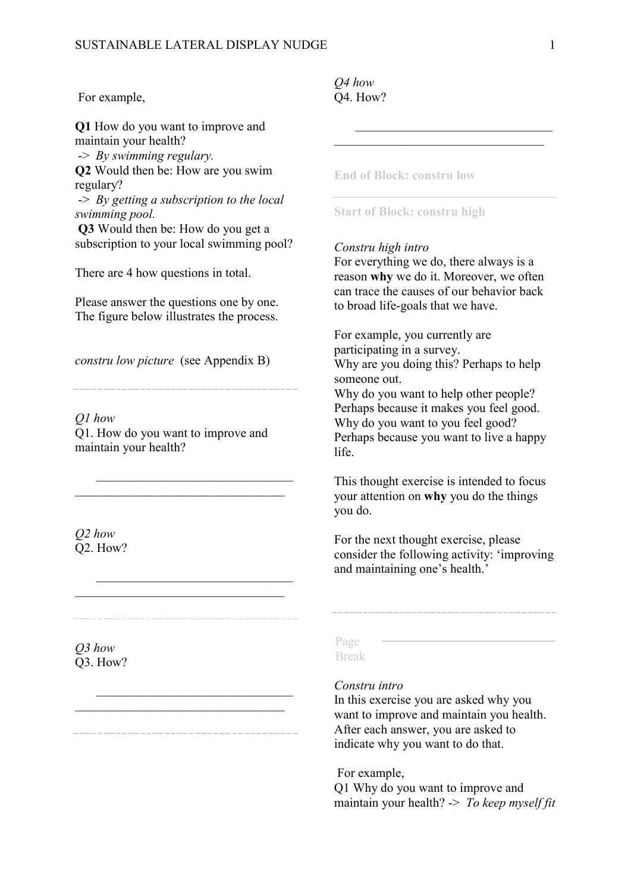#### For example,

**Q1** How do you want to improve and maintain your health? -> *By swimming regulary.*

**Q2** Would then be: How are you swim regulary?

-> *By getting a subscription to the local swimming pool.*

**Q3** Would then be: How do you get a subscription to your local swimming pool?

There are 4 how questions in total.

Please answer the questions one by one. The figure below illustrates the process.

*constru low picture* (see Appendix B)

*Q1 how* Q1. How do you want to improve and maintain your health?

 $\mathcal{L}_\mathcal{L}$  $\mathcal{L}_\mathcal{L}$  , which is a set of the set of the set of the set of the set of the set of the set of the set of the set of the set of the set of the set of the set of the set of the set of the set of the set of the set of

 $\mathcal{L}_\mathcal{L}$  $\mathcal{L}_\mathcal{L}$  , which is a set of the set of the set of the set of the set of the set of the set of the set of the set of the set of the set of the set of the set of the set of the set of the set of the set of the set of

 $\mathcal{L}_\mathcal{L}$  , which is a set of the set of the set of the set of the set of the set of the set of the set of the set of the set of the set of the set of the set of the set of the set of the set of the set of the set of

*Q2 how* Q2. How?

*Q3 how*  Q3. How?

#### *Q4 how* Q4. How?

**End of Block: constru low**

#### **Start of Block: constru high**

#### *Constru high intro*

For everything we do, there always is a reason **why** we do it. Moreover, we often can trace the causes of our behavior back to broad life-goals that we have.

 $\overline{\phantom{a}}$  $\overline{\phantom{a}}$  , and the set of the set of the set of the set of the set of the set of the set of the set of the set of the set of the set of the set of the set of the set of the set of the set of the set of the set of the s

For example, you currently are participating in a survey. Why are you doing this? Perhaps to help someone out.

Why do you want to help other people? Perhaps because it makes you feel good. Why do you want to you feel good? Perhaps because you want to live a happy life.

This thought exercise is intended to focus your attention on **why** you do the things you do.

For the next thought exercise, please consider the following activity: 'improving and maintaining one's health.'

#### Page Break

#### *Constru intro*

In this exercise you are asked why you want to improve and maintain you health. After each answer, you are asked to indicate why you want to do that.

For example,

Q1 Why do you want to improve and maintain your health? -> *To keep myself fit*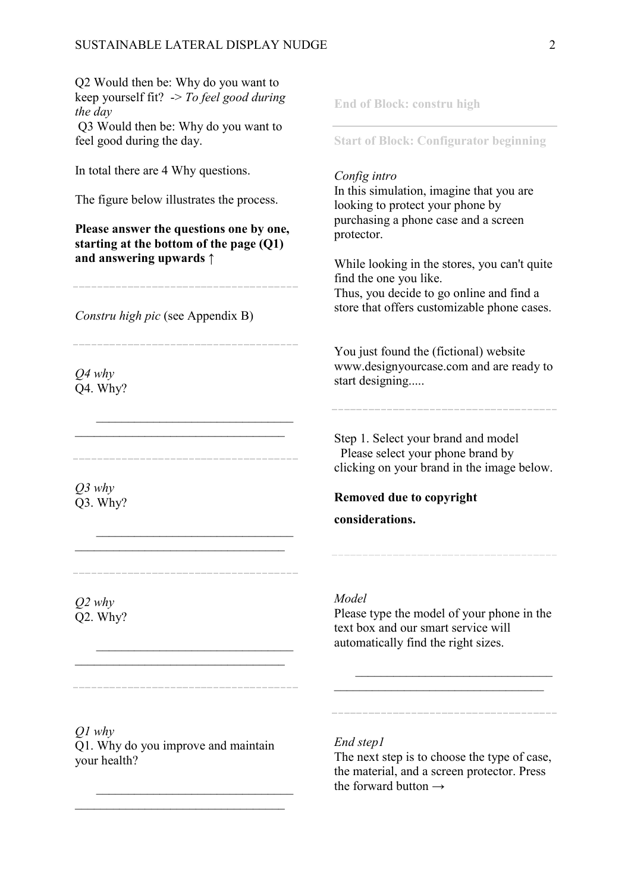Q2 Would then be: Why do you want to keep yourself fit? -> *To feel good during the day* Q3 Would then be: Why do you want to feel good during the day. In total there are 4 Why questions. The figure below illustrates the process. **Please answer the questions one by one, starting at the bottom of the page (Q1) and answering upwards** ↑ *Constru high pic* (see Appendix B) *Q4 why* Q4. Why?  $\mathcal{L}_\mathcal{L}$  $\mathcal{L}=\mathcal{L}=\mathcal{L}=\mathcal{L}=\mathcal{L}=\mathcal{L}=\mathcal{L}=\mathcal{L}=\mathcal{L}=\mathcal{L}=\mathcal{L}=\mathcal{L}=\mathcal{L}=\mathcal{L}=\mathcal{L}=\mathcal{L}=\mathcal{L}=\mathcal{L}=\mathcal{L}=\mathcal{L}=\mathcal{L}=\mathcal{L}=\mathcal{L}=\mathcal{L}=\mathcal{L}=\mathcal{L}=\mathcal{L}=\mathcal{L}=\mathcal{L}=\mathcal{L}=\mathcal{L}=\mathcal{L}=\mathcal{L}=\mathcal{L}=\mathcal{L}=\mathcal{L}=\mathcal{$ *Q3 why* Q3. Why?  $\mathcal{L}_\mathcal{L}$  , which is a set of the set of the set of the set of the set of the set of the set of the set of the set of the set of the set of the set of the set of the set of the set of the set of the set of the set of *Q2 why* Q2. Why?  $\mathcal{L}_\mathcal{L}$ **End of Block: constru high Start of Block: Configurator beginning** *Config intro* In this simulation, imagine that you are looking to protect your phone by purchasing a phone case and a screen protector. While looking in the stores, you can't quite find the one you like. Thus, you decide to go online and find a store that offers customizable phone cases. You just found the (fictional) website www.designyourcase.com and are ready to start designing..... Step 1. Select your brand and model Please select your phone brand by clicking on your brand in the image below. **Removed due to copyright considerations.** *Model* Please type the model of your phone in the text box and our smart service will automatically find the right sizes.  $\overline{\phantom{a}}$  , and the set of the set of the set of the set of the set of the set of the set of the set of the set of the set of the set of the set of the set of the set of the set of the set of the set of the set of the s

*Q1 why* Q1. Why do you improve and maintain your health?

 $\mathcal{L}_\mathcal{L}$  $\mathcal{L}_\mathcal{L}$  , which is a set of the set of the set of the set of the set of the set of the set of the set of the set of the set of the set of the set of the set of the set of the set of the set of the set of the set of

#### *End step1*

The next step is to choose the type of case, the material, and a screen protector. Press the forward button  $\rightarrow$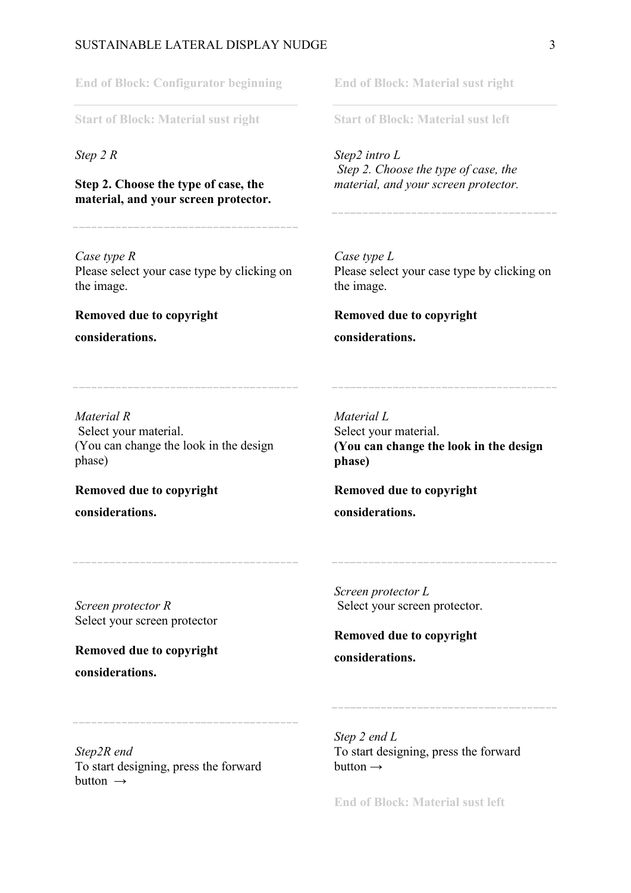#### SUSTAINABLE LATERAL DISPLAY NUDGE  $\overline{3}$

**End of Block: Configurator beginning**

**Start of Block: Material sust right**

*Step 2 R*

**Step 2. Choose the type of case, the material, and your screen protector.**

*Case type R* Please select your case type by clicking on the image.

### **Removed due to copyright**

**considerations.**

**End of Block: Material sust right**

**Start of Block: Material sust left**

*Step2 intro L Step 2. Choose the type of case, the material, and your screen protector.*

*Case type L* Please select your case type by clicking on the image.

# **Removed due to copyright**

**considerations.**

*Material R* Select your material. (You can change the look in the design phase)

**Removed due to copyright considerations.**

*Material L* Select your material. **(You can change the look in the design phase)**

**Removed due to copyright considerations.**

*Screen protector R* Select your screen protector

**Removed due to copyright** 

**considerations.**

*Screen protector L* Select your screen protector.

**Removed due to copyright considerations.**

*Step2R end* To start designing, press the forward button  $\rightarrow$ 

*Step 2 end L* To start designing, press the forward button  $\rightarrow$ 

**End of Block: Material sust left**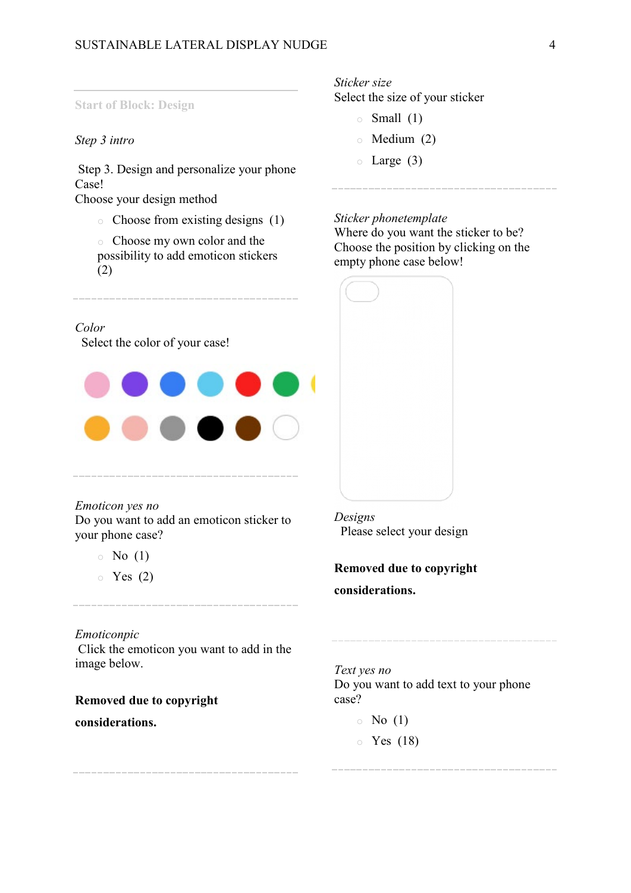#### **Start of Block: Design**

#### *Step 3 intro*

Step 3. Design and personalize your phone Case!

Choose your design method

- o Choose from existing designs (1)
- o Choose my own color and the possibility to add emoticon stickers (2)

#### *Color*

Select the color of your case!



*Emoticon yes no* Do you want to add an emoticon sticker to your phone case?

- $\circ$  No (1)
- $\circ$  Yes (2)

#### *Emoticonpic*

Click the emoticon you want to add in the image below.

**Removed due to copyright considerations.**

### *Sticker size*

Select the size of your sticker

- $\circ$  Small (1)
- o Medium (2)
- $\circ$  Large (3)

#### *Sticker phonetemplate*

Where do you want the sticker to be? Choose the position by clicking on the empty phone case below!

|      |                                                                                                                                                                                                                                                                            | 부분에 전 전쟁을 감정했다.<br>والمحارض والمستحقق والمحاربين                                                                                                                                                                                 |  |
|------|----------------------------------------------------------------------------------------------------------------------------------------------------------------------------------------------------------------------------------------------------------------------------|----------------------------------------------------------------------------------------------------------------------------------------------------------------------------------------------------------------------------------|--|
|      |                                                                                                                                                                                                                                                                            | e de la partida de la partida de la contrada de la contrada de la contrada de la contrada de la contrada de la<br>Del contrada de la contrada de la contrada de la contrada de la contrada de la contrada de la contrada de la c |  |
|      | 소금 가게 돌고 있는 것 같은 것 같은 것이 좋아졌다.<br><u>de la Regna de Caractería de la componenta de la componenta de la componenta de la componenta de la componenta<br/>La componenta del componenta del componenta del componenta del componenta del componenta del componenta del co</u> |                                                                                                                                                                                                                                  |  |
|      | <u> 1958 - Alexandr Alexander, amerikan</u><br>지수는 어머니는 그는 아이에 대한 것이 이 일을 받았다. 이 지수는 그 가지가 되어 있어 있다.<br><b>*******************************</b>                                                                                                                             |                                                                                                                                                                                                                                  |  |
|      | uan<br>an anns                                                                                                                                                                                                                                                             | <b>ich zhoù u</b> het                                                                                                                                                                                                            |  |
|      | <u> Military a Serie Alexandro a Carlo Carlo a</u><br>1월 1일 1월 2월 12일 12월 12일 12월 12일 12일 12일<br>1월 1일 1월 1일 1월 1일 1월 1일 1월 1일 1월 1일 1월 1일 1월 1일 1월 1일 1월 1일 1월 1일 1월 1일 1월 1일 1월 1일 1월 1일 1월 1일 1월 1일 1월 1일 1월                                                            |                                                                                                                                                                                                                                  |  |
|      | <u>. KRAS ARA SERIKE WIR</u>                                                                                                                                                                                                                                               |                                                                                                                                                                                                                                  |  |
| - 53 |                                                                                                                                                                                                                                                                            | f ei feilige Frysk                                                                                                                                                                                                               |  |
|      | <u> 15 de estados de la contra de la c</u><br><u> 대한 현신 도박한 동일</u> 조각을 설치                                                                                                                                                                                                  |                                                                                                                                                                                                                                  |  |
|      | <u>g time në mërket të shqipër </u><br><u>이 나를 만들어</u> 가지 않고 있다.                                                                                                                                                                                                           |                                                                                                                                                                                                                                  |  |

*Designs*  Please select your design

**Removed due to copyright considerations.**

*Text yes no* Do you want to add text to your phone case?

 $\circ$  No (1)

 $\circ$  Yes (18)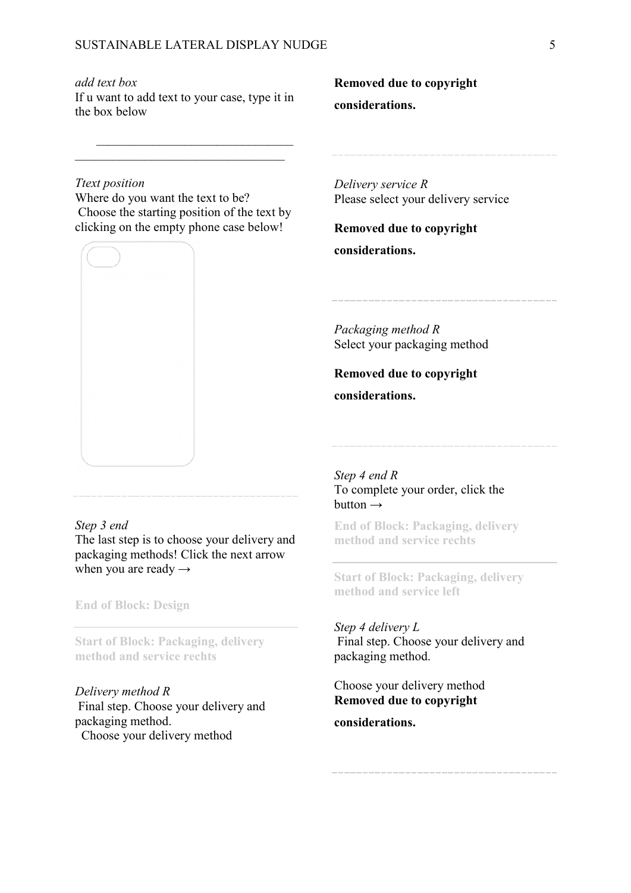*add text box*

If u want to add text to your case, type it in the box below

 $\mathcal{L}_\mathcal{L}$ 

### **Removed due to copyright considerations.**

*Ttext position*

Where do you want the text to be? Choose the starting position of the text by clicking on the empty phone case below!



#### *Delivery service R* Please select your delivery service

**Removed due to copyright considerations.**

*Packaging method R* Select your packaging method

**Removed due to copyright considerations.**

#### *Step 3 end*

The last step is to choose your delivery and packaging methods! Click the next arrow when you are ready  $\rightarrow$ 

**End of Block: Design**

**Start of Block: Packaging, delivery method and service rechts**

*Delivery method R*  Final step. Choose your delivery and packaging method. Choose your delivery method

*Step 4 end R* To complete your order, click the button  $\rightarrow$ 

**End of Block: Packaging, delivery method and service rechts**

**Start of Block: Packaging, delivery method and service left**

#### *Step 4 delivery L*

Final step. Choose your delivery and packaging method.

Choose your delivery method **Removed due to copyright** 

**considerations.**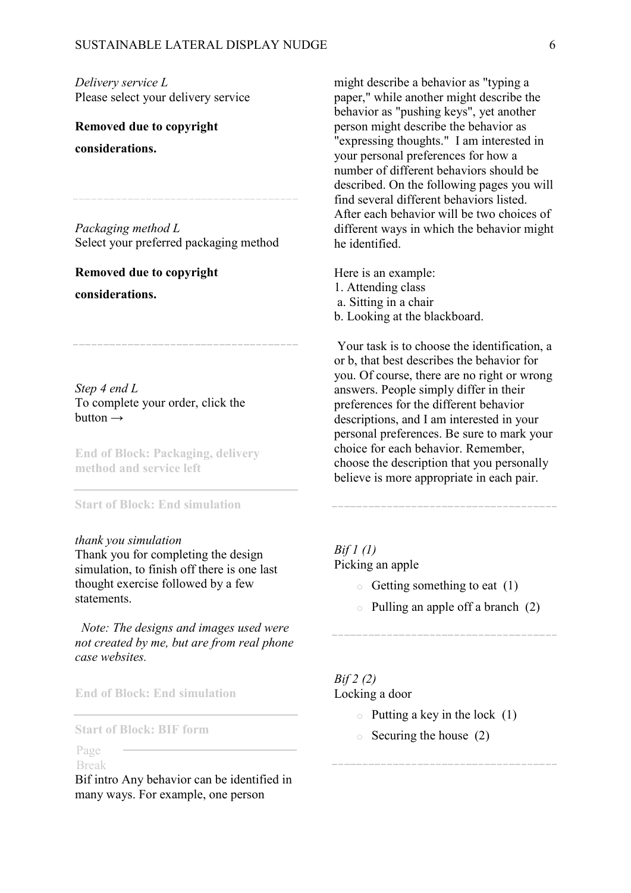*Delivery service L* Please select your delivery service

**Removed due to copyright considerations.**

*Packaging method L* Select your preferred packaging method

**Removed due to copyright considerations.**

*Step 4 end L*  To complete your order, click the button  $\rightarrow$ 

**End of Block: Packaging, delivery method and service left**

#### **Start of Block: End simulation**

#### *thank you simulation*

Thank you for completing the design simulation, to finish off there is one last thought exercise followed by a few statements.

 *Note: The designs and images used were not created by me, but are from real phone case websites.*

**End of Block: End simulation**

**Start of Block: BIF form**

#### Page Break

Bif intro Any behavior can be identified in many ways. For example, one person

might describe a behavior as "typing a paper," while another might describe the behavior as "pushing keys", yet another person might describe the behavior as "expressing thoughts." I am interested in your personal preferences for how a number of different behaviors should be described. On the following pages you will find several different behaviors listed. After each behavior will be two choices of different ways in which the behavior might he identified.

Here is an example: 1. Attending class a. Sitting in a chair b. Looking at the blackboard.

Your task is to choose the identification, a or b, that best describes the behavior for you. Of course, there are no right or wrong answers. People simply differ in their preferences for the different behavior descriptions, and I am interested in your personal preferences. Be sure to mark your choice for each behavior. Remember, choose the description that you personally believe is more appropriate in each pair.

*Bif 1 (1)* Picking an apple

- $\circ$  Getting something to eat (1)
- o Pulling an apple off a branch (2)

#### *Bif 2 (2)*

Locking a door

- $\circ$  Putting a key in the lock (1)
- $\circ$  Securing the house (2)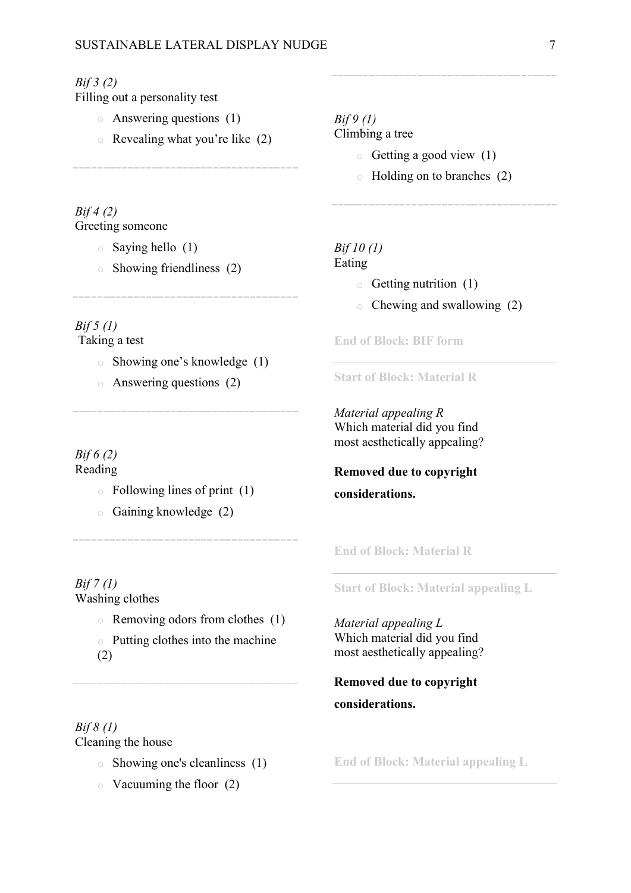#### *Bif 3 (2)*

Filling out a personality test

- o Answering questions (1)
- o Revealing what you're like (2)

*Bif 4 (2)* Greeting someone

- $\circ$  Saying hello (1)
- o Showing friendliness (2)

*Bif 5 (1)* Taking a test

- o Showing one's knowledge (1)
- o Answering questions (2)

*Bif 6 (2)* Reading

- $\circ$  Following lines of print (1)
- o Gaining knowledge (2)

*Bif 7 (1)* Washing clothes

o Removing odors from clothes (1)

o Putting clothes into the machine (2)

*Bif 8 (1)* Cleaning the house

- o Showing one's cleanliness (1)
- $\circ$  Vacuuming the floor (2)

## *Bif 9 (1)*

Climbing a tree

- $\circ$  Getting a good view (1)
- o Holding on to branches (2)

### *Bif 10 (1)*

#### Eating

- $\circ$  Getting nutrition (1)
- o Chewing and swallowing (2)

**End of Block: BIF form**

**Start of Block: Material R**

*Material appealing R* Which material did you find most aesthetically appealing?

## **Removed due to copyright**

### **considerations.**

**End of Block: Material R**

**Start of Block: Material appealing L**

*Material appealing L* Which material did you find most aesthetically appealing?

### **Removed due to copyright considerations.**

**End of Block: Material appealing L**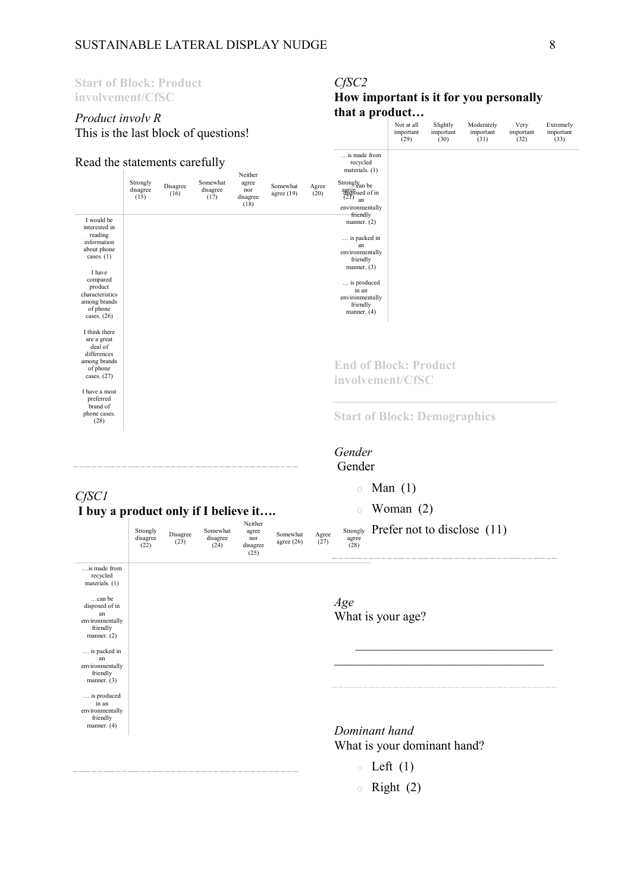#### **Start of Block: Product involvement/CfSC** *Product involv R* This is the last block of questions! Read the statements carefully Strongly disagree (15) Disagree (16) Somewhat disagree  $(17)$ Neither agree nor<sup>1</sup> disagree (18) Somewhat agree (19) Agree (20) Strongly<sub>an be</sub> agree  $\frac{3}{21}$  and  $\frac{3}{21}$  and  $\frac{3}{21}$  and  $\frac{3}{21}$  and  $\frac{3}{21}$  and  $\frac{3}{21}$  and  $\frac{3}{21}$  and  $\frac{3}{21}$  and  $\frac{3}{21}$  and  $\frac{3}{21}$  and  $\frac{3}{21}$  and  $\frac{3}{21}$  and  $\frac{3}{21}$  and  $\frac{3}{21}$  and  $\frac{3$ I would be interested in reading information about phone cases.  $(1)$ I have compared product characteristics among brands of phone cases. (26) I think there are a great deal of differences among brands of phone cases. (27) I have a most preferred brand of phone cases. (28) *CfSC1* **I buy a product only if I believe it….** Strongly disagree (22) Disagree (23) Somewhat disagree (24) Neither agree nor disagree  $(25)$ Somewhat agree (26) Agree (27)  $S_{\text{strongly}}$  Prefer not to disclose (11) agree (28) …is made from recycled materials. (1) …can be disposed of in an environmentally friendly manner. (2) … is packed in an environmentally friendly manner. (3) … is produced in an environmentally friendly  $manner. (4)$ *CfSC2* **How important is it for you personally that a product…** Not at all important (29) Slightly important (30) Moderately important (31) Very important (32) Extremely important (33) …is made from recycled materials. (1) environmentally friendly manner. (2) … is packed in an environmentally friendly manner. (3) … is produced in an environmentally friendly manner. (4) **End of Block: Product involvement/CfSC Start of Block: Demographics** *Gender* Gender  $\circ$  Man (1)  $\circ$  Woman (2) *Age*  What is your age?  $\overline{\phantom{a}}$  $\overline{\phantom{a}}$  , and the set of the set of the set of the set of the set of the set of the set of the set of the set of the set of the set of the set of the set of the set of the set of the set of the set of the set of the s *Dominant hand* What is your dominant hand?  $\circ$  Left (1)

 $\circ$  Right (2)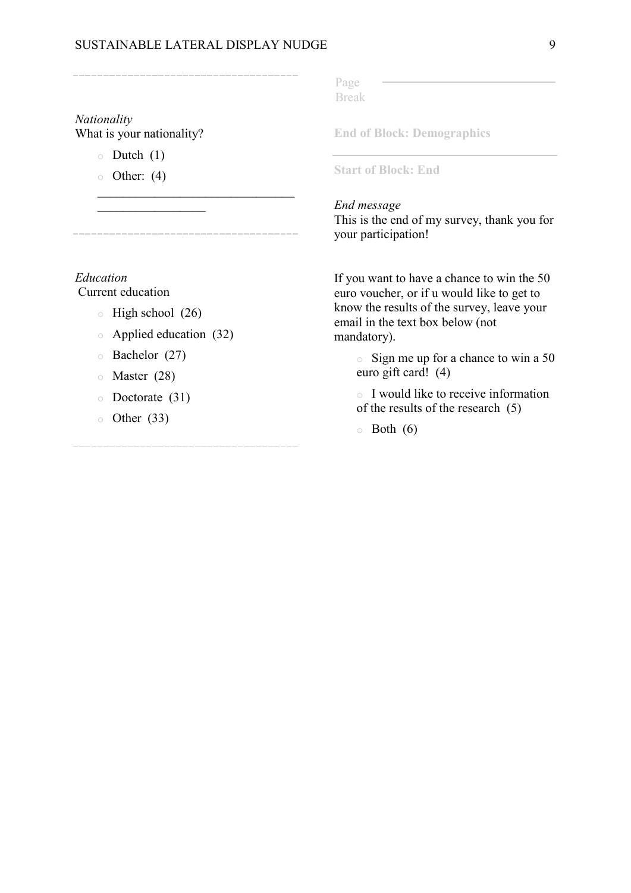#### SUSTAINABLE LATERAL DISPLAY NUDGE 9

\_\_\_\_\_\_\_\_\_\_\_\_\_\_\_\_\_\_\_\_\_\_\_\_\_\_\_\_\_\_\_

*Nationality*

What is your nationality?

 $\circ$  Dutch (1)

 $\circ$  Other: (4)

 $\overline{\phantom{a}}$ 

*Education* Current education

 $\circ$  High school (26)

o Applied education (32)

- o Bachelor (27)
- o Master (28)
- o Doctorate (31)
- $\circ$  Other (33)

Page Break

**End of Block: Demographics**

**Start of Block: End**

#### *End message*

This is the end of my survey, thank you for your participation!

If you want to have a chance to win the 50 euro voucher, or if u would like to get to know the results of the survey, leave your email in the text box below (not mandatory).

> $\circ$  Sign me up for a chance to win a 50 euro gift card! (4)

o I would like to receive information of the results of the research (5)

 $\circ$  Both (6)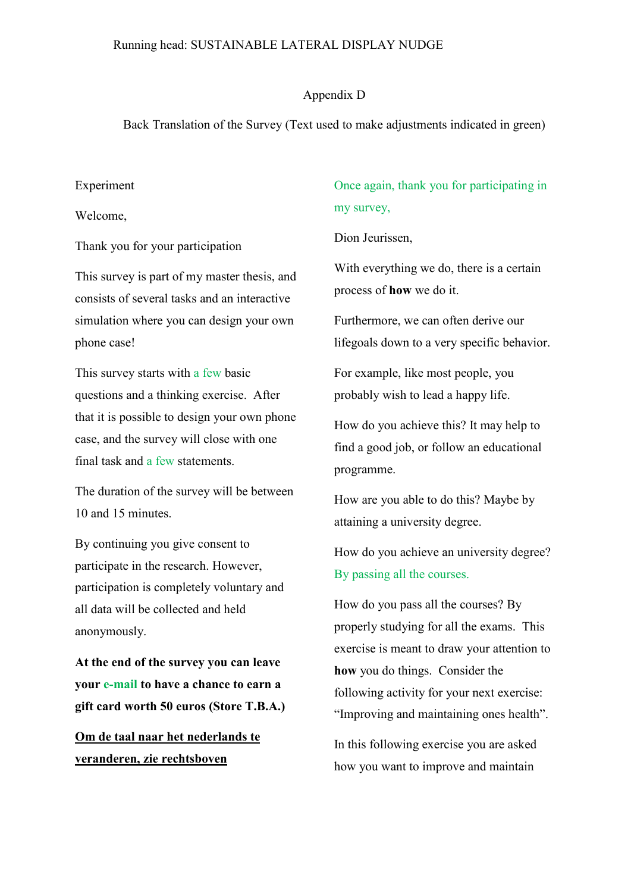#### Running head: SUSTAINABLE LATERAL DISPLAY NUDGE

#### Appendix D

Back Translation of the Survey (Text used to make adjustments indicated in green)

#### Experiment

Welcome,

Thank you for your participation

This survey is part of my master thesis, and consists of several tasks and an interactive simulation where you can design your own phone case!

This survey starts with a few basic questions and a thinking exercise. After that it is possible to design your own phone case, and the survey will close with one final task and a few statements.

The duration of the survey will be between 10 and 15 minutes.

By continuing you give consent to participate in the research. However, participation is completely voluntary and all data will be collected and held anonymously.

**At the end of the survey you can leave your e-mail to have a chance to earn a gift card worth 50 euros (Store T.B.A.)**

**Om de taal naar het nederlands te veranderen, zie rechtsboven**

Once again, thank you for participating in my survey,

Dion Jeurissen,

With everything we do, there is a certain process of **how** we do it.

Furthermore, we can often derive our lifegoals down to a very specific behavior.

For example, like most people, you probably wish to lead a happy life.

How do you achieve this? It may help to find a good job, or follow an educational programme.

How are you able to do this? Maybe by attaining a university degree.

How do you achieve an university degree? By passing all the courses.

How do you pass all the courses? By properly studying for all the exams. This exercise is meant to draw your attention to **how** you do things. Consider the following activity for your next exercise: "Improving and maintaining ones health".

In this following exercise you are asked how you want to improve and maintain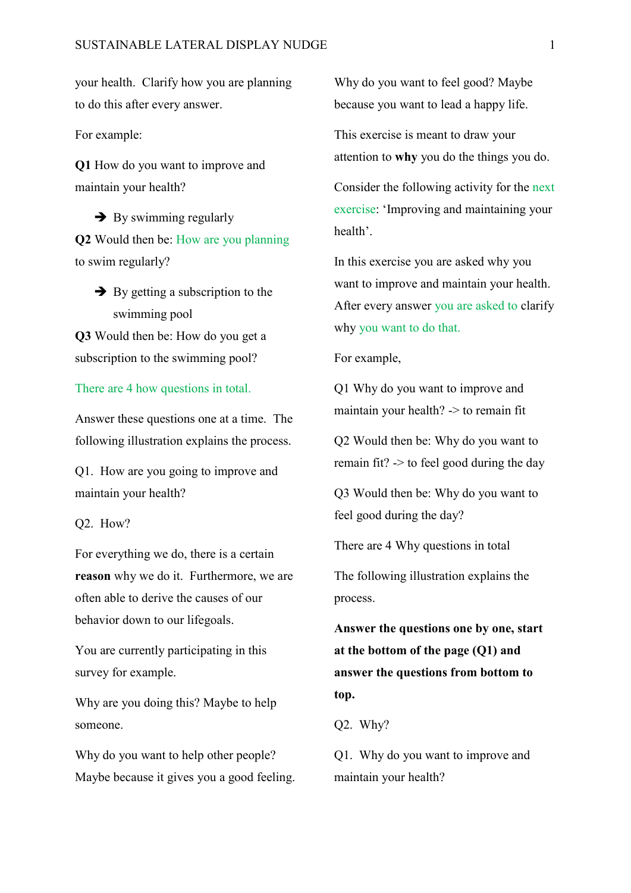your health. Clarify how you are planning to do this after every answer.

For example:

**Q1** How do you want to improve and maintain your health?

 $\rightarrow$  By swimming regularly **Q2** Would then be: How are you planning to swim regularly?

 $\rightarrow$  By getting a subscription to the swimming pool

**Q3** Would then be: How do you get a subscription to the swimming pool?

#### There are 4 how questions in total.

Answer these questions one at a time. The following illustration explains the process.

Q1. How are you going to improve and maintain your health?

Q2. How?

For everything we do, there is a certain **reason** why we do it. Furthermore, we are often able to derive the causes of our behavior down to our lifegoals.

You are currently participating in this survey for example.

Why are you doing this? Maybe to help someone.

Why do you want to help other people? Maybe because it gives you a good feeling.

Why do you want to feel good? Maybe because you want to lead a happy life.

This exercise is meant to draw your attention to **why** you do the things you do.

Consider the following activity for the next exercise: 'Improving and maintaining your health'.

In this exercise you are asked why you want to improve and maintain your health. After every answer you are asked to clarify why you want to do that.

For example,

Q1 Why do you want to improve and maintain your health? -> to remain fit

Q2 Would then be: Why do you want to remain fit? -> to feel good during the day

Q3 Would then be: Why do you want to feel good during the day?

There are 4 Why questions in total

The following illustration explains the process.

**Answer the questions one by one, start at the bottom of the page (Q1) and answer the questions from bottom to top.**

Q2. Why?

Q1. Why do you want to improve and maintain your health?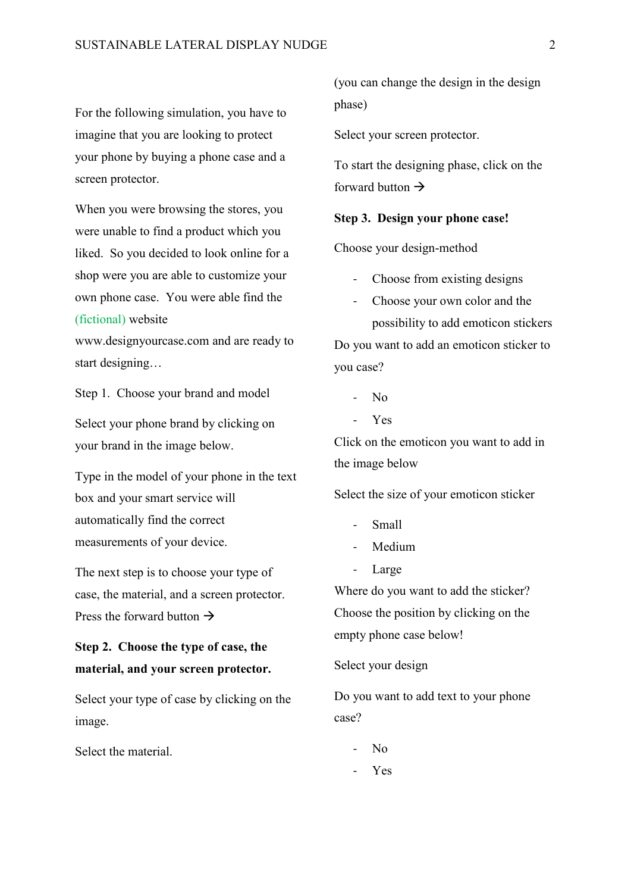For the following simulation, you have to imagine that you are looking to protect your phone by buying a phone case and a screen protector.

When you were browsing the stores, you were unable to find a product which you liked. So you decided to look online for a shop were you are able to customize your own phone case. You were able find the (fictional) website

www.designyourcase.com and are ready to start designing…

Step 1. Choose your brand and model

Select your phone brand by clicking on your brand in the image below.

Type in the model of your phone in the text box and your smart service will automatically find the correct measurements of your device.

The next step is to choose your type of case, the material, and a screen protector. Press the forward button  $\rightarrow$ 

### **Step 2. Choose the type of case, the material, and your screen protector.**

Select your type of case by clicking on the image.

Select the material.

(you can change the design in the design phase)

Select your screen protector.

To start the designing phase, click on the forward button  $\rightarrow$ 

#### **Step 3. Design your phone case!**

Choose your design-method

- Choose from existing designs
- Choose your own color and the possibility to add emoticon stickers Do you want to add an emoticon sticker to you case?
	- $N<sub>0</sub>$
	- Yes

Click on the emoticon you want to add in the image below

Select the size of your emoticon sticker

- Small
- Medium
- Large

Where do you want to add the sticker? Choose the position by clicking on the empty phone case below!

Select your design

Do you want to add text to your phone case?

- No
- Yes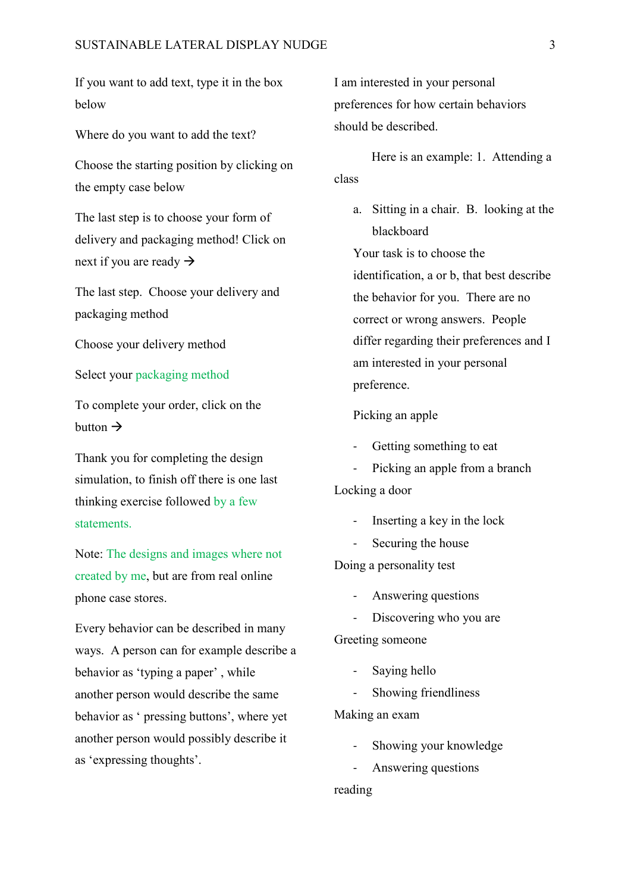If you want to add text, type it in the box below

Where do you want to add the text?

Choose the starting position by clicking on the empty case below

The last step is to choose your form of delivery and packaging method! Click on next if you are ready  $\rightarrow$ 

The last step. Choose your delivery and packaging method

Choose your delivery method

Select your packaging method

To complete your order, click on the button  $\rightarrow$ 

Thank you for completing the design simulation, to finish off there is one last thinking exercise followed by a few statements.

Note: The designs and images where not created by me, but are from real online phone case stores.

Every behavior can be described in many ways. A person can for example describe a behavior as 'typing a paper' , while another person would describe the same behavior as ' pressing buttons', where yet another person would possibly describe it as 'expressing thoughts'.

I am interested in your personal preferences for how certain behaviors should be described.

Here is an example: 1. Attending a class

a. Sitting in a chair. B. looking at the blackboard

Your task is to choose the identification, a or b, that best describe the behavior for you. There are no correct or wrong answers. People differ regarding their preferences and I am interested in your personal preference.

#### Picking an apple

- Getting something to eat
- Picking an apple from a branch

Locking a door

- Inserting a key in the lock
- Securing the house

Doing a personality test

- Answering questions
- Discovering who you are

Greeting someone

- Saying hello
- Showing friendliness

Making an exam

- Showing your knowledge
- Answering questions

reading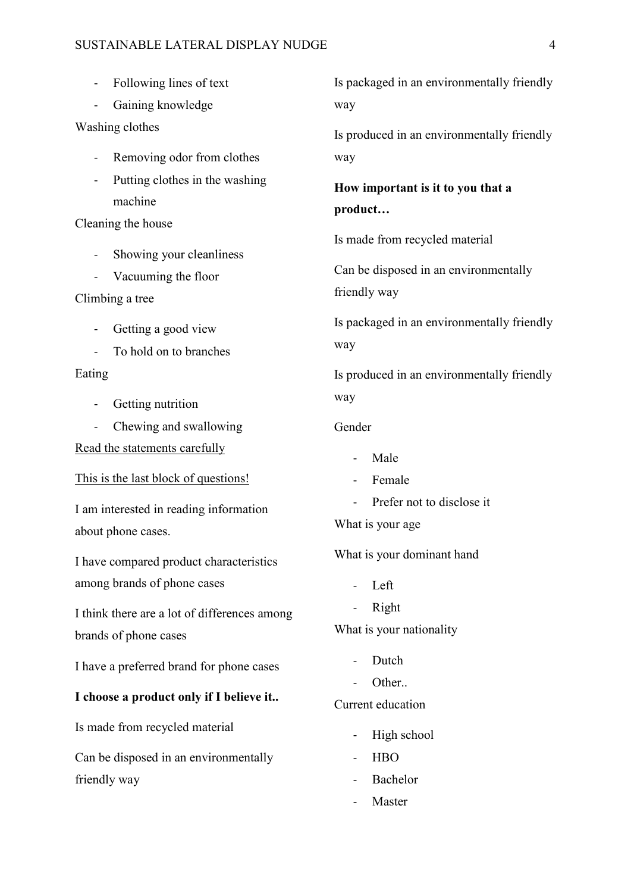#### SUSTAINABLE LATERAL DISPLAY NUDGE 4

- Following lines of text
- Gaining knowledge
- Washing clothes
	- Removing odor from clothes
	- Putting clothes in the washing machine

#### Cleaning the house

- Showing your cleanliness
- Vacuuming the floor
- Climbing a tree
	- Getting a good view
	- To hold on to branches

#### Eating

- Getting nutrition
- Chewing and swallowing

Read the statements carefully

This is the last block of questions!

I am interested in reading information about phone cases.

I have compared product characteristics among brands of phone cases

I think there are a lot of differences among brands of phone cases

I have a preferred brand for phone cases

#### **I choose a product only if I believe it..**

Is made from recycled material

Can be disposed in an environmentally friendly way

Is packaged in an environmentally friendly way

Is produced in an environmentally friendly way

## **How important is it to you that a product…**

Is made from recycled material

Can be disposed in an environmentally friendly way

Is packaged in an environmentally friendly way

Is produced in an environmentally friendly way

#### Gender

- Male
- Female
- Prefer not to disclose it
- What is your age

What is your dominant hand

- Left
- Right

What is your nationality

- Dutch
- Other.

#### Current education

- High school
- HBO
- **Bachelor**
- **Master**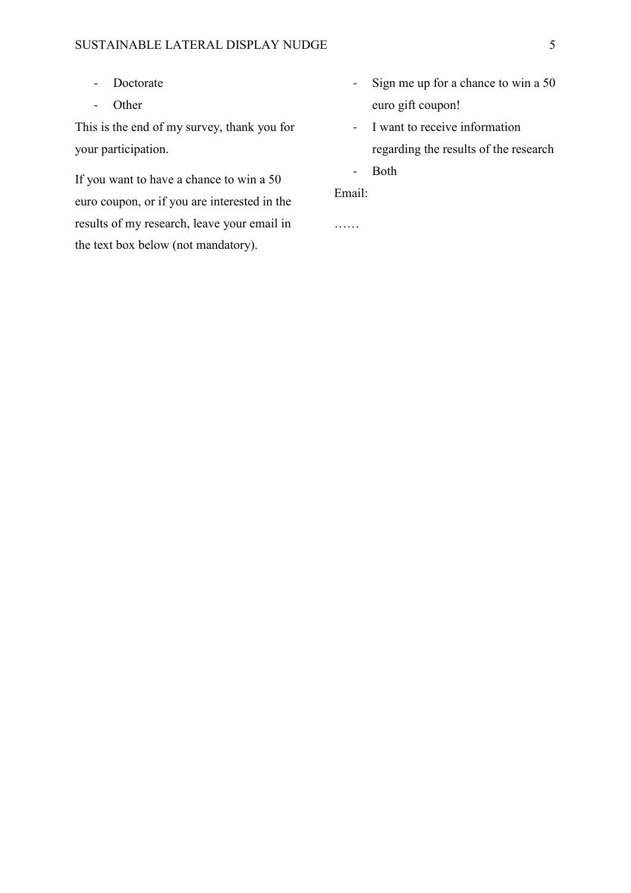- Doctorate
- Other

This is the end of my survey, thank you for your participation.

If you want to have a chance to win a 50 euro coupon, or if you are interested in the results of my research, leave your email in the text box below (not mandatory).

- Sign me up for a chance to win a 50 euro gift coupon!
- I want to receive information regarding the results of the research
- Both

Email:

……